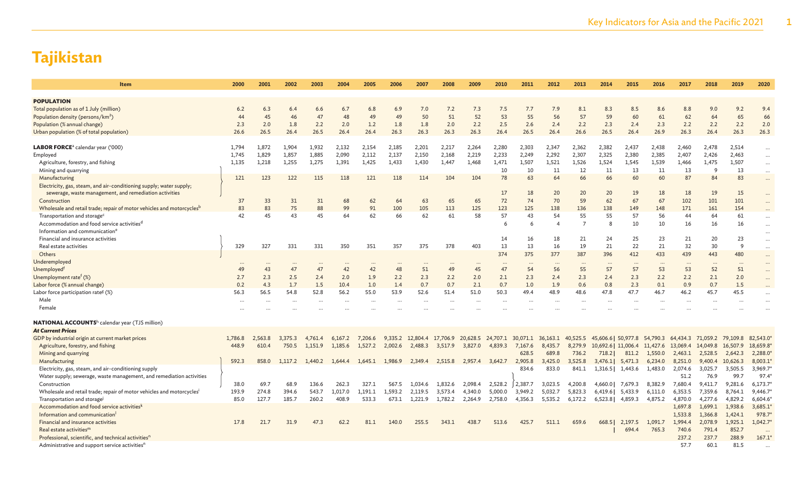| Item                                                                                                                          | 2000     | 2001     | 2002     | 2003    | 2004     | 2005     | 2006     | 2007      | 2008     | 2009            | 2010     | 2011     | 2012                       | 2013           | 2014                | 2015     | 2016     | 2017     | 2018              | 2019     | 2020      |
|-------------------------------------------------------------------------------------------------------------------------------|----------|----------|----------|---------|----------|----------|----------|-----------|----------|-----------------|----------|----------|----------------------------|----------------|---------------------|----------|----------|----------|-------------------|----------|-----------|
| <b>POPULATION</b>                                                                                                             |          |          |          |         |          |          |          |           |          |                 |          |          |                            |                |                     |          |          |          |                   |          |           |
| Total population as of 1 July (million)                                                                                       | 6.2      | 6.3      | 6.4      | 6.6     | 6.7      | 6.8      | 6.9      | 7.0       | 7.2      | 7.3             | 7.5      | 7.7      | 7.9                        | 8.1            | 8.3                 | 8.5      | 8.6      | 8.8      | 9.0               | 9.2      | 9.4       |
| Population density (persons/km <sup>2</sup> )                                                                                 | 44       | 45       | 46       | 47      | 48       | 49       | 49       | 50        | 51       | 52              | 53       | 55       | 56                         | 57             | 59                  | 60       | 61       | 62       | 64                | 65       | 66        |
| Population (% annual change)                                                                                                  | 2.3      | 2.0      | 1.8      | 2.2     | 2.0      | 1.2      | 1.8      | 1.8       | 2.0      | 2.2             | 2.5      | 2.6      | 2.4                        | 2.2            | 2.3                 | 2.4      | 2.3      | 2.2      | 2.2               | 2.2      | 2.0       |
| Urban population (% of total population)                                                                                      | 26.6     | 26.5     | 26.4     | 26.5    | 26.4     | 26.4     | 26.3     | 26.3      | 26.3     | 26.3            | 26.4     | 26.5     | 26.4                       | 26.6           | 26.5                | 26.4     | 26.9     | 26.3     | 26.4              | 26.3     | 26.3      |
|                                                                                                                               |          |          |          |         |          |          |          |           |          |                 |          |          |                            |                |                     |          |          |          |                   |          |           |
| <b>LABOR FORCE</b> <sup>a</sup> calendar year ('000)                                                                          | 1,794    | 1,872    | 1.904    | 1,932   | 2,132    | 2,154    | 2,185    | 2,201     | 2,217    | 2,264           | 2,280    | 2,303    | 2,347                      | 2,362          | 2,382               | 2,437    | 2,438    | 2,460    | 2,478             | 2,514    | $\ldots$  |
| Employed                                                                                                                      | 1,745    | 1,829    | 1,857    | 1,885   | 2,090    | 2,112    | 2,137    | 2,150     | 2,168    | 2,219           | 2,233    | 2,249    | 2,292                      | 2,307          | 2,325               | 2,380    | 2,385    | 2,407    | 2,426             | 2,463    | $\cdots$  |
| Agriculture, forestry, and fishing                                                                                            | 1,135    | 1,218    | 1,255    | 1,275   | 1,391    | 1,425    | 1,433    | 1,430     | 1,447    | 1,468           | 1,471    | 1,507    | 1,521                      | 1,526          | 1,524               | 1,545    | 1,539    | 1,466    | 1,475             | 1,507    | $\cdots$  |
| Mining and quarrying                                                                                                          |          |          |          |         |          |          |          |           |          |                 | 10       | 10       | 11                         | 12             | 11                  | 13       | 11       | 13       | 9                 | 13       | $\cdots$  |
| Manufacturing                                                                                                                 | 121      | 123      | 122      | 115     | 118      | 121      | 118      | 114       | 104      | 104             | 78       | 63       | 64                         | 66             | 66                  | 60       | 60       | 87       | 84                | 83       | $\ldots$  |
| Electricity, gas, steam, and air-conditioning supply; water supply;<br>sewerage, waste management, and remediation activities |          |          |          |         |          |          |          |           |          |                 | 17       | 18       | 20                         | 20             | 20                  | 19       | 18       | 18       | 19                | 15       | $\cdots$  |
| Construction                                                                                                                  | 37       | 33       | 31       | 31      | 68       | 62       | 64       | 63        | 65       | 65              | 72       | 74       | 70                         | 59             | 62                  | 67       | 67       | 102      | 101               | 101      | $\cdots$  |
| Wholesale and retail trade; repair of motor vehicles and motorcycles <sup>b</sup>                                             | 83       | 83       | 75       | 88      | 99       | 91       | 100      | 105       | 113      | 125             | 123      | 125      | 138                        | 136            | 138                 | 149      | 148      | 171      | 161               | 154      | $\cdots$  |
| Transportation and storage <sup>c</sup>                                                                                       | 42       | 45       | 43       | 45      | 64       | 62       | 66       | 62        | 61       | 58              | 57       | 43       | 54                         | 55             | 55                  | 57       | 56       | 44       | 64                | 61       | $\ldots$  |
| Accommodation and food service activities <sup>d</sup>                                                                        |          |          |          |         |          |          |          |           |          |                 | 6        | -6       | $\overline{4}$             | $\overline{7}$ | 8                   | 10       | 10       | 16       | 16                | 16       | $\cdots$  |
| Information and communication <sup>e</sup>                                                                                    |          |          |          |         |          |          |          |           |          |                 |          |          |                            |                |                     |          |          |          |                   |          | $\cdots$  |
| Financial and insurance activities                                                                                            |          |          |          |         |          |          |          |           |          |                 | 14       | 16       | 18                         | 21             | 24                  | 25       | 23       | 21       | 20                | 23       | $\cdots$  |
| Real estate activities                                                                                                        | 329      | 327      | 331      | 331     | 350      | 351      | 357      | 375       | 378      | 403             | 13       | 13       | 16                         | 19             | 21                  | 22       | 21       | 32       | 30                | 9        | $\cdots$  |
| Others                                                                                                                        |          |          |          |         |          |          |          |           |          |                 | 374      | 375      | 377                        | 387            | 396                 | 412      | 433      | 439      | 443               | 480      | $\cdots$  |
| Underemployed                                                                                                                 | $\cdots$ | $\cdots$ | $\cdots$ |         | $\cdots$ | $\cdots$ |          | $\cdots$  | $\cdots$ | $\cdots$        | $\cdots$ | $\cdots$ | $\cdots$                   | $\cdots$       | $\cdots$            | $\cdots$ | $\cdots$ | $\cdots$ | $\cdots$          | $\cdot$  | $\cdots$  |
| Unemployedf                                                                                                                   | 49       | 43       | 47       | 47      | 42       | 42       | 48       | 51        | 49       | 45              | 47       | 54       | 56                         | 55             | 57                  | 57       | 53       | 53       | 52                | 51       | $\cdots$  |
| Unemployment rate <sup>f</sup> $(\%)$                                                                                         | 2.7      | 2.3      | 2.5      | 2.4     | 2.0      | 1.9      | 2.2      | 2.3       | 2.2      | 2.0             | 2.1      | 2.3      | 2.4                        | 2.3            | 2.4                 | 2.3      | 2.2      | 2.2      | 2.1               | 2.0      | $\cdots$  |
| Labor force (% annual change)                                                                                                 | 0.2      | 4.3      | 1.7      | 1.5     | 10.4     | 1.0      | 1.4      | 0.7       | 0.7      | 2.1             | 0.7      | 1.0      | 1.9                        | 0.6            | 0.8                 | 2.3      | 0.1      | 0.9      | 0.7               | 1.5      | $\cdots$  |
| Labor force participation rate <sup>g</sup> (%)                                                                               | 56.3     | 56.5     | 54.8     | 52.8    | 56.2     | 55.0     | 53.9     | 52.6      | 51.4     | 51.0            | 50.3     | 49.4     | 48.9                       | 48.6           | 47.8                | 47.7     | 46.7     | 46.2     | 45.7              | 45.5     | $\cdots$  |
| Male                                                                                                                          | $\cdots$ | $\cdots$ | $\cdots$ |         | $\cdots$ | $\cdots$ | $\cdots$ | $\ddotsc$ | $\cdots$ | $\cdots$        | $\cdots$ | $\cdots$ | $\cdots$                   | $\cdots$       | $\cdots$            | $\cdots$ | $\cdots$ | $\cdots$ |                   |          |           |
| Female                                                                                                                        |          |          |          |         |          |          |          |           |          |                 |          |          |                            |                |                     |          |          |          |                   |          |           |
| <b>NATIONAL ACCOUNTS</b> <sup>h</sup> calendar year (TJS million)                                                             |          |          |          |         |          |          |          |           |          |                 |          |          |                            |                |                     |          |          |          |                   |          |           |
| <b>At Current Prices</b>                                                                                                      |          |          |          |         |          |          |          |           |          |                 |          |          |                            |                |                     |          |          |          |                   |          |           |
| GDP by industrial origin at current market prices                                                                             | 1,786.8  | 2.563.8  | 3,375.3  | 4.761.4 | 6.167.2  | 7,206.6  | 9.335.2  | 12,804.4  | 17,706.9 | 20,628.5        | 24,707.1 |          | 30,071.1 36,163.1 40,525.5 |                | 45,606.6   50,977.8 |          | 54,790.3 | 64,434.3 | 71,059.2 79,109.8 |          | 82,543.0  |
| Agriculture, forestry, and fishing                                                                                            | 448.9    | 610.4    | 750.5    | 1,151.9 | 1,185.6  | 1,527.2  | 2,002.6  | 2,488.3   | 3,517.9  | 3,827.0         | 4,839.3  | 7,167.6  | 8,435.7                    | 8,279.9        | 10,692.6   11,006.4 |          | 11,427.6 | 13,069.4 | 14,049.8          | 16,507.9 | 18,659.8  |
| Mining and quarrying                                                                                                          |          |          |          |         |          |          |          |           |          |                 |          | 628.5    | 689.8                      | 736.2          | 718.2               | 811.2    | 1,550.0  | 2,463.1  | 2,528.5           | 2,642.3  | 2,288.0   |
| Manufacturing                                                                                                                 | 592.3    | 858.0    | 1,117.2  | 1,440.2 | 1,644.4  | 1,645.1  | 1,986.9  | 2,349.4   | 2,515.8  | 2,957.4 3,642.7 |          | 2,905.8  | 3,425.0                    | 3,525.8        | 3,476.1             | 5,471.3  | 6,234.0  | 8,251.0  | 9,400.4           | 10,626.3 | 8,003.1   |
| Electricity, gas, steam, and air-conditioning supply                                                                          |          |          |          |         |          |          |          |           |          |                 |          | 834.6    | 833.0                      | 841.1          | 1,316.5             | 1,443.6  | 1.483.0  | 2,074.6  | 3,025.7           | 3,505.5  | 3,969.7   |
| Water supply; sewerage, waste management, and remediation activities                                                          |          |          |          |         |          |          |          |           |          |                 |          |          |                            |                |                     |          |          | 51.2     | 76.9              | 99.7     | 97.4      |
| Construction                                                                                                                  | 38.0     | 69.7     | 68.9     | 136.6   | 262.3    | 327.1    | 567.5    | 1,034.6   | 1,832.6  | 2,098.4         | 2,528.2  | 2,387.7  | 3,023.5                    | 4,200.8        | 4,660.0             | 7,679.3  | 8,382.9  | 7,680.4  | 9,411.7           | 9,281.6  | 6,173.7   |
| Wholesale and retail trade; repair of motor vehicles and motorcycles <sup>i</sup>                                             | 193.9    | 274.8    | 394.6    | 543.7   | 1,017.0  | 1,191.1  | 1,593.2  | 2,119.5   | 3,573.4  | 4,340.0         | 5,000.0  | 3,949.2  | 5,032.7                    | 5,823.3        | 6,419.6             | 5,433.9  | 6,111.0  | 6,353.5  | 7,359.6           | 8,764.1  | 9,446.7   |
| Transportation and storage                                                                                                    | 85.0     | 127.7    | 185.7    | 260.2   | 408.9    | 533.3    | 673.1    | 1,221.9   | 1,782.2  | 2,264.9         | 2,758.0  | 4,356.3  | 5,535.2                    | 6,172.2        | 6,523.8             | 4,859.3  | 4,875.2  | 4,870.0  | 4,277.6           | 4,829.2  | 6,604.6   |
| Accommodation and food service activities <sup>k</sup>                                                                        |          |          |          |         |          |          |          |           |          |                 |          |          |                            |                |                     |          |          | 1,697.8  | 1,699.1           | 1,938.6  | 3,685.1   |
| Information and communication                                                                                                 |          |          |          |         |          |          |          |           |          |                 |          |          |                            |                |                     |          |          | 1,533.8  | 1,366.8           | 1,424.1  | 978.7     |
| Financial and insurance activities                                                                                            | 17.8     | 21.7     | 31.9     | 47.3    | 62.2     | 81.1     | 140.0    | 255.5     | 343.1    | 438.7           | 513.6    | 425.7    | 511.1                      | 659.6          | 668.5               | 2,197.5  | 1,091.7  | 1,994.4  | 2,078.9           | 1,925.1  | 1,042.7   |
| Real estate activities <sup>m</sup>                                                                                           |          |          |          |         |          |          |          |           |          |                 |          |          |                            |                |                     | 694.4    | 765.3    | 740.6    | 791.4             | 852.7    | $\cdots$  |
| Professional, scientific, and technical activities <sup>n</sup>                                                               |          |          |          |         |          |          |          |           |          |                 |          |          |                            |                |                     |          |          | 237.2    | 237.7             | 288.9    | 167.1     |
| Administrative and support service activities <sup>n</sup>                                                                    |          |          |          |         |          |          |          |           |          |                 |          |          |                            |                |                     |          |          | 57.7     | 60.1              | 81.5     | $\ddotsc$ |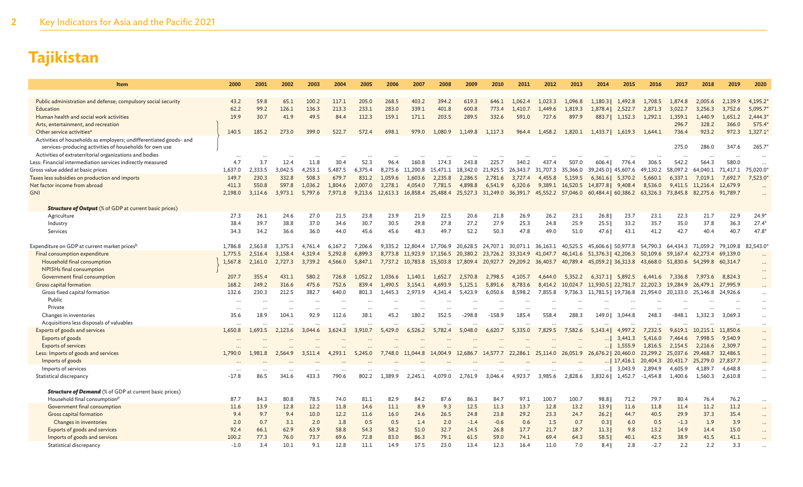| Item                                                                                                                          | 2000     | 2001    | 2002      | 2003    | 2004    | 2005    | 2006     | 2007             | 2008     | 2009     | 2010              | 2011                                                                   | 2012              | 2013              | 2014                                                                             | 2015              | 2016       | 2017     | 2018                       | 2019     | 2020                 |
|-------------------------------------------------------------------------------------------------------------------------------|----------|---------|-----------|---------|---------|---------|----------|------------------|----------|----------|-------------------|------------------------------------------------------------------------|-------------------|-------------------|----------------------------------------------------------------------------------|-------------------|------------|----------|----------------------------|----------|----------------------|
|                                                                                                                               |          |         |           |         |         |         |          |                  |          |          |                   |                                                                        |                   |                   |                                                                                  |                   |            |          |                            |          |                      |
| Public administration and defense; compulsory social security                                                                 | 43.2     | 59.8    | 65.1      | 100.2   | 117.1   | 205.0   | 268.5    | 403.2            | 394.2    | 619.3    | 646.1             | 1,062.4                                                                | 1,023.3           | 1,096.8           | 1.180.3                                                                          | 1,492.8           | 1,708.5    | 1,874.8  | 2.005.6                    | 2,139.9  | 4,195.2              |
| Education                                                                                                                     | 62.2     | 99.2    | 126.1     | 136.3   | 213.3   | 233.1   | 283.0    | 339.1            | 401.8    | 600.8    | 773.4             | 1,410.7                                                                | 1,449.6           | 1,819.3           | 1,878.4                                                                          | 2,522.7           | 2,871.3    | 3,022.7  | 3,256.3                    | 3,752.6  | 5,095.7              |
| Human health and social work activities                                                                                       | 19.9     | 30.7    | 41.9      | 49.5    | 84.4    | 112.3   | 159.1    | 171.1            | 203.5    | 289.5    | 332.6             | 591.0                                                                  | 727.6             | 897.9             | 883.71                                                                           | 1,152.3           | 1.292.1    | 1,359.1  | 1,440.9                    | 1,651.2  | 2,444.3'             |
| Arts, entertainment, and recreation                                                                                           |          |         |           |         |         |         |          |                  |          |          |                   |                                                                        |                   |                   |                                                                                  |                   |            | 296.7    | 328.2                      | 366.0    | 575.4                |
| Other service activities <sup>o</sup>                                                                                         | 140.5    | 185.2   | 273.0     | 399.0   | 522.7   | 572.4   | 698.1    | 979.0            | 1.080.9  | 1,149.8  | 1,117.3           | 964.4                                                                  | 1,458.2           | 1,820.1           |                                                                                  | 1,433.7   1,619.3 | 1,644.1    | 736.4    | 923.2                      | 972.3    | 1,327.1              |
| Activities of households as employers; undifferentiated goods- and<br>services-producing activities of households for own use |          |         |           |         |         |         |          |                  |          |          |                   |                                                                        |                   |                   |                                                                                  |                   |            | 275.0    | 286.0                      | 347.6    | 265.7                |
| Activities of extraterritorial organizations and bodies                                                                       |          |         |           |         |         |         |          |                  |          |          |                   |                                                                        |                   |                   |                                                                                  |                   |            |          | $\ddot{\phantom{a}}$       | $\cdots$ | $\ddot{\phantom{a}}$ |
| Less: Financial intermediation services indirectly measured                                                                   | 4.7      | 3.7     | 12.4      | 11.8    | 30.4    | 52.3    | 96.4     | 160.8            | 174.3    | 243.8    | 225.7             | 340.2                                                                  | 437.4             | 507.0             | 606.4                                                                            | 776.4             | 306.5      | 542.2    | 564.3                      | 580.0    |                      |
| Gross value added at basic prices                                                                                             | 1,637.0  | 2.333.5 | 3.042.5   | 4,253.1 | 5.487.5 | 6.375.4 |          | 8,275.6 11,200.8 | 15,471.1 | 18,342.0 | 21,925.5          | 26,343.7                                                               | 31,707.3          | 35,366.0          | 39,245.0   45,607.6                                                              |                   | 49.130.2   | 58,097.2 | 64,040.1                   | 71,417.1 | 75,020.0             |
| Taxes less subsidies on production and imports                                                                                | 149.7    | 230.3   | 332.8     | 508.3   | 679.7   | 831.2   | 1,059.6  | 1,603.6          | 2,235.8  | 2,286.5  | 2,781.6           | 3,727.4                                                                | 4,455.8           | 5,159.5           |                                                                                  | $6,361.6$ 5,370.2 | 5,660.1    | 6,337.1  | 7,019.1                    | 7,692.7  | 7,523.0              |
| Net factor income from abroad                                                                                                 | 411.3    | 550.8   | 597.8     | 1.036.2 | 1,804.6 | 2,007.0 | 3,278.1  | 4.054.0          | 7,781.5  | 4,898.8  | 6,541.9           | 6,320.6                                                                |                   | 9,389.1 16,520.5  | 14,877.8 9,408.4                                                                 |                   | 8,536.0    |          | 9,411.5 11,216.4           | 12,679.9 |                      |
| <b>GNI</b>                                                                                                                    | 2,198.0  | 3,114.6 | 3.973.1   | 5,797.6 | 7,971.8 | 9.213.6 | 12,613.3 | 16,858.4         | 25,488.4 |          | 25,527.3 31,249.0 | 36,391.7                                                               |                   | 45,552.2 57,046.0 | 60,484.4   60,386.2                                                              |                   | 63,326.3   |          | 73,845.8 82,275.6 91,789.7 |          | $\ddotsc$            |
| <b>Structure of Output</b> (% of GDP at current basic prices)                                                                 |          |         |           |         |         |         |          |                  |          |          |                   |                                                                        |                   |                   |                                                                                  |                   |            |          |                            |          |                      |
| Agriculture                                                                                                                   | 27.3     | 26.1    | 24.6      | 27.0    | 21.5    | 23.8    | 23.9     | 21.9             | 22.5     | 20.6     | 21.8              | 26.9                                                                   | 26.2              | 23.1              | 26.8                                                                             | 23.7              | 23.1       | 22.3     | 21.7                       | 22.9     | $24.9*$              |
| Industry                                                                                                                      | 38.4     | 39.7    | 38.8      | 37.0    | 34.6    | 30.7    | 30.5     | 29.8             | 27.8     | 27.2     | 27.9              | 25.3                                                                   | 24.8              | 25.9              | 25.51                                                                            | 33.2              | 35.7       | 35.0     | 37.8                       | 36.3     | $27.4*$              |
| Services                                                                                                                      | 34.3     | 34.2    | 36.6      | 36.0    | 44.0    | 45.6    | 45.6     | 48.3             | 49.7     | 52.2     | 50.3              | 47.8                                                                   | 49.0              | 51.0              | 47.6                                                                             | 43.1              | 41.2       | 42.7     | 40.4                       | 40.7     | 47.8                 |
| Expenditure on GDP at current market prices <sup>h</sup>                                                                      | 1,786.8  | 2,563.8 | 3,375.3   | 4,761.4 | 6,167.2 | 7,206.6 |          |                  |          |          |                   | 9,335.2 12,804.4 17,706.9 20,628.5 24,707.1 30,071.1 36,163.1 40,525.5 |                   |                   | 45,606.6   50,977.8 54,790.3                                                     |                   |            |          | 64,434.3 71,059.2 79,109.8 |          | 82,543.0             |
| Final consumption expenditure                                                                                                 | 1,775.5  | 2,516.4 | 3.158.4   | 4.319.4 | 5,292.8 | 6,899.3 |          | 8,773.8 11,923.9 |          |          |                   |                                                                        |                   |                   | 17,156.5 20,380.2 23,726.2 33,314.9 41,047.7 46,141.6 51,376.3 42,206.3 50,109.6 |                   |            | 59,167.4 | 62,273.4                   | 69,139.0 |                      |
| Household final consumption                                                                                                   | 1,567.8  | 2.161.0 | 2,727.3   | 3,739.2 | 4,566.0 | 5,847.1 |          | 7,737.2 10,783.8 |          |          |                   |                                                                        |                   |                   | 15,503.8 17,809.4 20,927.7 29,209.2 36,403.7 40,789.4 45,059.2 36,313.8 43,668.0 |                   |            |          | 51,830.6 54,299.8 60,314.7 |          |                      |
| NPISHs final consumption                                                                                                      |          |         |           |         |         |         |          |                  |          |          |                   |                                                                        |                   |                   |                                                                                  |                   |            |          |                            |          |                      |
| Government final consumption                                                                                                  | 207.7    | 355.4   | 431.1     | 580.2   | 726.8   | 1.052.2 | 1,036.6  | 1.140.1          | 1.652.7  | 2,570.8  | 2,798.5           | 4,105.7                                                                | 4,644.0           | 5,352.2           | 6,317.1                                                                          | 5,892.5           | 6,441.6    | 7.336.8  | 7,973.6                    | 8,824.3  |                      |
| Gross capital formation                                                                                                       | 168.2    | 249.2   | 316.6     | 475.6   | 752.6   | 839.4   | 1,490.5  | 3,154.1          | 4,693.9  | 5,125.1  | 5,891.6           | 8,783.6                                                                |                   | 8,414.2 10,024.7  | 11,930.5   22,781.7                                                              |                   | 22,202.3   | 19,284.9 | 26,479.1 27,995.9          |          |                      |
| Gross fixed capital formation                                                                                                 | 132.6    | 230.3   | 212.5     | 382.7   | 640.0   | 801.3   | 1.445.3  | 2.973.9          | 4.341.4  | 5,423.9  | 6,050.6           | 8,598.2                                                                | 7,855.8           | 9,736.3           | 11,781.5   19,736.8                                                              |                   | 21,954.0   | 20,133.0 | 25,146.8                   | 24,926.6 | $\cdots$             |
| Public                                                                                                                        | $\cdots$ |         | $\ddotsc$ |         |         |         |          |                  |          |          |                   |                                                                        |                   |                   |                                                                                  |                   |            |          |                            |          | $\cdots$             |
| Private                                                                                                                       |          |         |           |         |         |         |          |                  |          |          |                   |                                                                        |                   |                   |                                                                                  |                   |            |          |                            |          | $\cdots$             |
| Changes in inventories                                                                                                        | 35.6     | 18.9    | 104.1     | 92.9    | 112.6   | 38.1    | 45.2     | 180.2            | 352.5    | $-298.8$ | $-158.9$          | 185.4                                                                  | 558.4             | 288.3             | 149.0                                                                            | 3,044.8           | 248.3      | $-848.1$ | 1,332.3                    | 3,069.3  | $\cdots$             |
| Acquisitions less disposals of valuables                                                                                      | $\cdots$ |         |           |         |         |         |          |                  |          |          |                   |                                                                        |                   |                   |                                                                                  |                   |            |          |                            |          | $\ddots$             |
| Exports of goods and services                                                                                                 | 1,650.8  | 1,693.5 | 2,123.6   | 3,044.6 | 3,624.3 | 3,910.7 | 5,429.0  | 6,526.2          | 5,782.4  | 5,048.0  | 6,620.7           | 5,335.0                                                                | 7,829.5           | 7,582.6           | 5.143.41                                                                         | 4,997.2           | 7.232.5    | 9,619.1  | 10,215.1                   | 11,850.6 | $\cdots$             |
| Exports of goods                                                                                                              |          |         |           |         |         |         |          |                  |          |          |                   |                                                                        |                   |                   |                                                                                  | 3,441.3           | 5,416.0    | 7,464.6  | 7,998.5                    | 9.540.9  | $\cdots$             |
| <b>Exports of services</b>                                                                                                    |          |         |           |         |         |         |          |                  |          |          |                   |                                                                        |                   |                   |                                                                                  | 1.555.9           | 1,816.5    | 2,154.5  | 2,216.6                    | 2,309.7  | $\cdots$             |
| Less: Imports of goods and services                                                                                           | 1,790.0  | 1,981.8 | 2,564.9   | 3,511.4 | 4,293.1 | 5,245.0 | 7,748.0  | 11,044.8         | 14,004.9 | 12,686.7 | 14,577.7          |                                                                        | 22,286.1 25,114.0 |                   | 26,051.9 26,676.2   20,460.0                                                     |                   | 23,299.2   |          | 25,037.6 29,468.7          | 32,486.5 |                      |
| Imports of goods                                                                                                              |          |         |           |         |         |         |          |                  |          |          |                   |                                                                        |                   |                   |                                                                                  | 17,416.1          | 20,404.3   | 20,431.7 | 25,279.0                   | 27,837.7 |                      |
| Imports of services                                                                                                           |          |         |           |         |         |         |          |                  |          |          |                   |                                                                        |                   |                   |                                                                                  | 3,043.9           | 2,894.9    | 4,605.9  | 4,189.7                    | 4.648.8  | $\ddotsc$            |
| Statistical discrepancy                                                                                                       | $-17.8$  | 86.5    | 341.6     | 433.3   | 790.6   | 802.2   | 1,389.9  | 2,245.1          | 4,079.0  | 2,761.9  | 3,046.4           | 4,923.7                                                                | 3,985.6           | 2,828.6           | 3,832.6                                                                          | 1,452.7           | $-1,454.8$ | 1,400.6  | 1,560.3                    | 2,610.8  |                      |
| <b>Structure of Demand</b> (% of GDP at current basic prices)                                                                 |          |         |           |         |         |         |          |                  |          |          |                   |                                                                        |                   |                   |                                                                                  |                   |            |          |                            |          |                      |
| Household final consumption <sup>p</sup>                                                                                      | 87.7     | 84.3    | 80.8      | 78.5    | 74.0    | 81.1    | 82.9     | 84.2             | 87.6     | 86.3     | 84.7              | 97.1                                                                   | 100.7             | 100.7             | 98.8                                                                             | 71.2              | 79.7       | 80.4     | 76.4                       | 76.2     | $\cdots$             |
| Government final consumption                                                                                                  | 11.6     | 13.9    | 12.8      | 12.2    | 11.8    | 14.6    | 11.1     | 8.9              | 9.3      | 12.5     | 11.3              | 13.7                                                                   | 12.8              | 13.2              | 13.9                                                                             | 11.6              | 11.8       | 11.4     | 11.2                       | 11.2     |                      |
| Gross capital formation                                                                                                       | 9.4      | 9.7     | 9.4       | 10.0    | 12.2    | 11.6    | 16.0     | 24.6             | 26.5     | 24.8     | 23.8              | 29.2                                                                   | 23.3              | 24.7              | 26.2                                                                             | 44.7              | 40.5       | 29.9     | 37.3                       | 35.4     | $\cdots$             |
| Changes in inventories                                                                                                        | 2.0      | 0.7     | 3.1       | 2.0     | 1.8     | 0.5     | 0.5      | 1.4              | 2.0      | $-1.4$   | $-0.6$            | 0.6                                                                    | 1.5               | 0.7               | 0.3                                                                              | 6.0               | 0.5        | $-1.3$   | 1.9                        | 3.9      |                      |
| Exports of goods and services                                                                                                 | 92.4     | 66.1    | 62.9      | 63.9    | 58.8    | 54.3    | 58.2     | 51.0             | 32.7     | 24.5     | 26.8              | 17.7                                                                   | 21.7              | 18.7              | 11.3                                                                             | 9.8               | 13.2       | 14.9     | 14.4                       | 15.0     |                      |
| Imports of goods and services                                                                                                 | 100.2    | 77.3    | 76.0      | 73.7    | 69.6    | 72.8    | 83.0     | 86.3             | 79.1     | 61.5     | 59.0              | 74.1                                                                   | 69.4              | 64.3              | 58.5                                                                             | 40.1              | 42.5       | 38.9     | 41.5                       | 41.1     |                      |
| Statistical discrepancy                                                                                                       | $-1.0$   | 3.4     | 10.1      | 9.1     | 12.8    | 11.1    | 14.9     | 17.5             | 23.0     | 13.4     | 12.3              | 16.4                                                                   | 11.0              | 7.0               | 8.41                                                                             | 2.8               | $-2.7$     | 2.2      | 2.2                        | 3.3      |                      |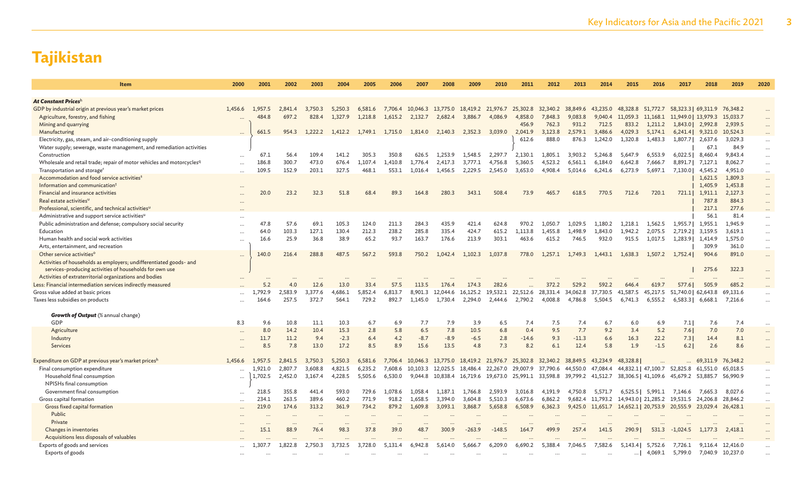| <b>Item</b>                                                                       | 2000      | 2001    | 2002     | 2003    | 2004    | 2005      | 2006    | 2007             | 2008                                                  | 2009              | 2010     | 2011      | 2012                                | 2013     | 2014      | 2015                | 2016                                         | 2017                | 2018              | 2019      | 2020     |
|-----------------------------------------------------------------------------------|-----------|---------|----------|---------|---------|-----------|---------|------------------|-------------------------------------------------------|-------------------|----------|-----------|-------------------------------------|----------|-----------|---------------------|----------------------------------------------|---------------------|-------------------|-----------|----------|
|                                                                                   |           |         |          |         |         |           |         |                  |                                                       |                   |          |           |                                     |          |           |                     |                                              |                     |                   |           |          |
| At Constant Pricesh                                                               |           |         |          |         |         |           |         |                  |                                                       |                   |          |           |                                     |          |           |                     |                                              |                     |                   |           |          |
| GDP by industrial origin at previous year's market prices                         | 1,456.6   | 1,957.5 | 2,841.4  | 3,750.3 | 5,250.3 | 6,581.6   |         |                  | 7,706.4 10,046.3 13,775.0 18,419.2 21,976.7           |                   |          |           | 25,302.8 32,340.2 38,849.6 43,235.0 |          |           |                     | 48,328.8 51,772.7 58,323.3 69,311.9 76,348.2 |                     |                   |           |          |
| Agriculture, forestry, and fishing                                                |           | 484.8   | 697.2    | 828.4   | 1.327.9 | 1,218.8   | 1,615.2 | 2,132.7          | 2,682.4                                               | 3.886.7           | 4.086.9  | 4,858.0   | 7,848.3                             | 9.083.8  | 9.040.4   | 11,059.3 11,168.1   |                                              | 11,949.0   13,979.3 |                   | 15,033.7  |          |
| Mining and quarrying                                                              |           |         |          |         |         |           |         |                  |                                                       |                   |          | 456.9     | 762.3                               | 931.2    | 712.5     | 833.2               | 1,211.2                                      |                     | 1,843.0   2,992.8 | 2,939.5   | $\cdots$ |
| Manufacturing                                                                     |           | 661.5   | 954.3    | 1,222.2 | 1,412.2 | 1.749.1   | 1,715.0 | 1,814.0          | 2.140.3                                               | 2,352.3           | 3,039.0  | 2.041.9   | 3,123.8                             | 2.579.1  | 3.486.6   | 4,029.3             | 5,174.1                                      |                     | 6,241.4 9,321.0   | 10,524.3  |          |
| Electricity, gas, steam, and air-conditioning supply                              |           |         |          |         |         |           |         |                  |                                                       |                   |          | 612.6     | 888.0                               | 876.3    | 1,242.0   | 1,320.8             | 1,483.3                                      |                     | 1,807.7   2,637.6 | 3,029.3   | $\cdots$ |
| Water supply; sewerage, waste management, and remediation activities              |           |         |          |         |         |           |         |                  |                                                       |                   |          |           |                                     |          |           |                     |                                              |                     | 67.1              | 84.9      |          |
| Construction                                                                      | $\cdots$  | 67.1    | 56.4     | 109.4   | 141.2   | 305.3     | 350.8   | 626.5            | 1,253.9                                               | 1,548.5           | 2,297.7  | 2,130.1   | 1,805.1                             | 3,903.2  | 5,246.8   | 5,647.9             | 6,553.9                                      | 6,022.5             | 8,460.4           | 9,843.4   | $\cdots$ |
| Wholesale and retail trade; repair of motor vehicles and motorcycles <sup>q</sup> | $\cdots$  | 186.8   | 300.7    | 473.0   | 676.4   | 1,107.4   | 1,410.8 | 1,776.4          | 2,417.3                                               | 3,777.1           | 4,756.8  | 5,360.5   | 4,523.2                             | 6,561.1  | 6,184.0   | 6,642.8             | 7,666.7                                      | 8,891.7             | 7,127.1           | 8,062.7   | $\cdots$ |
| Transportation and storage <sup>r</sup>                                           | $\cdots$  | 109.5   | 152.9    | 203.1   | 327.5   | 468.1     | 553.1   | 1,016.4          | 1,456.5                                               | 2.229.5           | 2,545.0  | 3,653.0   | 4,908.4                             | 5,014.6  | 6,241.6   | 6,273.9             | 5,697.1                                      | 7,130.0             | 4,545.2           | 4,951.0   | $\cdots$ |
| Accommodation and food service activities <sup>s</sup>                            |           |         |          |         |         |           |         |                  |                                                       |                   |          |           |                                     |          |           |                     |                                              |                     | 1,621.5           | 1,809.3   | $\cdots$ |
| Information and communication <sup>t</sup>                                        |           |         |          |         |         |           |         |                  |                                                       |                   |          |           |                                     |          |           |                     |                                              |                     | 1,405.9           | 1,453.8   | $\ldots$ |
| Financial and insurance activities                                                |           | 20.0    | 23.2     | 32.3    | 51.8    | 68.4      | 89.3    | 164.8            | 280.3                                                 | 343.1             | 508.4    | 73.9      | 465.7                               | 618.5    | 770.5     | 712.6               | 720.1                                        |                     | 721.1 1,911.1     | 2,127.3   | $\cdots$ |
| Real estate activities <sup>u</sup>                                               | $\ddotsc$ |         |          |         |         |           |         |                  |                                                       |                   |          |           |                                     |          |           |                     |                                              |                     | 787.8             | 884.3     | $\cdots$ |
| Professional, scientific, and technical activities <sup>u</sup>                   |           |         |          |         |         |           |         |                  |                                                       |                   |          |           |                                     |          |           |                     |                                              |                     | 217.1             | 277.6     |          |
| Administrative and support service activities <sup>u</sup>                        | $\cdots$  |         |          |         |         |           |         |                  |                                                       |                   |          |           |                                     |          |           |                     |                                              |                     | 56.1              | 81.4      | $\cdots$ |
| Public administration and defense; compulsory social security                     |           | 47.8    | 57.6     | 69.1    | 105.3   | 124.0     | 211.3   | 284.3            | 435.9                                                 | 421.4             | 624.8    | 970.2     | 1,050.7                             | 1,029.5  | 1,180.2   | 1,218.1             | 1,562.5                                      | 1,955.7             | 1,955.1           | 1,945.9   | $\cdots$ |
| Education                                                                         | $\ddots$  | 64.0    | 103.3    | 127.1   | 130.4   | 212.3     | 238.2   | 285.8            | 335.4                                                 | 424.7             | 615.2    | 1.113.8   | 1,455.8                             | 1.498.9  | 1.843.0   | 1,942.2             | 2.075.5                                      | 2,719.2             | 3,159.5           | 3,619.1   | $\cdots$ |
| Human health and social work activities                                           | $\cdots$  | 16.6    | 25.9     | 36.8    | 38.9    | 65.2      | 93.7    | 163.7            | 176.6                                                 | 213.9             | 303.1    | 463.6     | 615.2                               | 746.5    | 932.0     | 915.5               | 1,017.5                                      | 1,283.91            | 1,414.9           | 1,575.0   | $\ldots$ |
| Arts, entertainment, and recreation                                               |           |         |          |         |         |           |         |                  |                                                       |                   |          |           |                                     |          |           |                     |                                              |                     | 309.9             | 361.0     | $\cdots$ |
| Other service activities <sup>o</sup>                                             | $\cdots$  | 140.0   | 216.4    | 288.8   | 487.5   | 567.2     | 593.8   | 750.2            | 1,042.4                                               | 1,102.3           | 1,037.8  | 778.0     | 1,257.1                             | 1,749.3  | 1,443.1   | 1,638.3             | 1,507.2                                      | 1,752.4             | 904.6             | 891.0     | $\cdots$ |
| Activities of households as employers; undifferentiated goods- and                |           |         |          |         |         |           |         |                  |                                                       |                   |          |           |                                     |          |           |                     |                                              |                     |                   |           |          |
| services-producing activities of households for own use                           |           |         |          |         |         |           |         |                  |                                                       |                   |          |           |                                     |          |           |                     |                                              |                     | 275.6             | 322.3     | $\cdots$ |
| Activities of extraterritorial organizations and bodies                           |           |         |          |         |         |           |         |                  |                                                       |                   |          |           |                                     |          |           |                     |                                              |                     |                   | $\ddotsc$ |          |
| Less: Financial intermediation services indirectly measured                       |           | 5.2     | 4.0      | 12.6    | 13.0    | 33.4      | 57.5    | 113.5            | 176.4                                                 | 174.3             | 282.6    |           | 372.2                               | 529.2    | 592.2     | 646.4               | 619.7                                        | 577.6               | 505.9             | 685.2     |          |
| Gross value added at basic prices                                                 |           | 1.792.9 | 2.583.9  | 3,377.6 | 4,686.1 | 5,852.4   | 6,813.7 | 8,901.3          | 12,044.6                                              | 16,125.2          | 19.532.1 | 22,512.6  | 28,331.4                            | 34,062.8 | 37,730.5  | 41,587.5            | 45.217.5                                     | 51,740.0   62,643.8 |                   | 69,131.6  |          |
| Taxes less subsidies on products                                                  |           | 164.6   | 257.5    | 372.7   | 564.1   | 729.2     | 892.7   | 1.145.0          | 1.730.4                                               | 2,294.0           | 2,444.6  | 2,790.2   | 4,008.8                             | 4,786.8  | 5.504.5   | 6.741.3             | 6,555.2                                      |                     | 6,583.3   6,668.1 | 7,216.6   |          |
|                                                                                   |           |         |          |         |         |           |         |                  |                                                       |                   |          |           |                                     |          |           |                     |                                              |                     |                   |           |          |
| <b>Growth of Output</b> (% annual change)                                         |           |         |          |         |         |           |         |                  |                                                       |                   |          |           |                                     |          |           |                     |                                              |                     |                   |           |          |
| GDP                                                                               | 8.3       | 9.6     | 10.8     | 11.1    | 10.3    | 6.7       | 6.9     | 7.7              | 7.9                                                   | 3.9               | 6.5      | 7.4       | 7.5                                 | 7.4      | 6.7       | 6.0                 | 6.9                                          | 7.1                 | 7.6               | 7.4       |          |
| Agriculture                                                                       |           | 8.0     | 14.2     | 10.4    | 15.3    | 2.8       | 5.8     | 6.5              | 7.8                                                   | 10.5              | 6.8      | 0.4       | 9.5                                 | 7.7      | 9.2       | 3.4                 | 5.2                                          | 7.6                 | 7.0               | 7.0       | $\cdots$ |
| Industry                                                                          | $\ddotsc$ | 11.7    | 11.2     | 9.4     | $-2.3$  | 6.4       | 4.2     | $-8.7$           | $-8.9$                                                | $-6.5$            | 2.8      | $-14.6$   | 9.3                                 | $-11.3$  | 6.6       | 16.3                | 22.2                                         | 7.3                 | 14.4              | 8.1       | $\cdots$ |
| Services                                                                          |           | 8.5     | 7.8      | 13.0    | 17.2    | 8.5       | 8.9     | 15.6             | 13.5                                                  | 4.8               | 7.3      | 8.2       | 6.1                                 | 12.4     | 5.8       | 1.9                 | $-1.5$                                       | 6.2                 | 2.6               | 8.6       | $\cdots$ |
|                                                                                   |           |         |          |         |         |           |         |                  |                                                       |                   |          |           |                                     |          |           |                     |                                              |                     |                   |           |          |
| Expenditure on GDP at previous year's market pricesh                              | 1,456.6   | 1.957.5 | 2.841.5  | 3.750.3 | 5.250.3 | 6,581.6   |         | 7,706.4 10,046.3 | 13,775.0 18,419.2 21,976.7 25,302.8 32,340.2 38,849.5 |                   |          |           |                                     |          | 43.234.9  | 48,328.8            |                                              |                     | 69,311.9 76,348.2 |           |          |
| Final consumption expenditure                                                     | $\cdots$  | 1,921.0 | 2.807.7  | 3.608.8 | 4.821.5 | 6,235.2   | 7,608.6 | 10.103.3         | 12,025.5 18,486.4 22,267.0 29,007.9 37,790.6          |                   |          |           |                                     | 44,550.0 | 47,084.4  |                     | 44,832.1   47,100.7  52,825.8  61,551.0      |                     |                   | 65,018.5  |          |
| Household final consumption                                                       | $\cdots$  | 1,702.5 | 2,452.0  | 3,167.4 | 4,228.5 | 5,505.6   | 6,530.0 | 9,044.8          | 10,838.4                                              | 16,719.6 19,673.0 |          |           | 25,991.1 33,598.8 39,799.2 41,512.7 |          |           |                     | 38,306.5   41,109.6 45,679.2 53,885.7        |                     |                   | 56,990.9  |          |
| NPISHs final consumption                                                          |           |         |          |         |         |           |         |                  |                                                       |                   |          |           |                                     |          |           |                     |                                              |                     |                   |           |          |
| Government final consumption                                                      | $\ddots$  | 218.5   | 355.8    | 441.4   | 593.0   | 729.6     | 1.078.6 | 1.058.4          | 1.187.1                                               | 1.766.8           | 2,593.9  | 3,016.8   | 4.191.9                             | 4.750.8  | 5.571.7   | 6,525.5             | 5,991.1                                      | 7.146.6             | 7.665.3           | 8.027.6   |          |
| Gross capital formation                                                           | $\cdots$  | 234.1   | 263.5    | 389.6   | 460.2   | 771.9     | 918.2   | 1.658.5          | 3.394.0                                               | 3,604.8           | 5,510.3  | 6,673.6   | 6,862.2                             | 9.682.4  | 11,793.2  | 14,943.0   21,285.2 |                                              | 19,531.5 24,206.8   |                   | 28,846.2  | $\cdots$ |
| Gross fixed capital formation                                                     |           | 219.0   | 174.6    | 313.2   | 361.9   | 734.2     | 879.2   | 1,609.8          | 3,093.1                                               | 3,868.7           | 5,658.8  | 6,508.9   | 6,362.3                             | 9,425.0  | 11,651.7  | 14,652.1   20,753.9 |                                              | 20,555.9            | 23,029.4          | 26,428.1  | $\cdots$ |
| Public                                                                            |           |         | $\cdots$ |         |         |           |         |                  |                                                       |                   |          |           |                                     |          |           |                     |                                              |                     |                   |           | $\cdots$ |
| Private                                                                           |           |         |          |         |         |           |         |                  |                                                       |                   |          |           |                                     |          |           |                     |                                              |                     |                   |           | $\cdots$ |
| Changes in inventories                                                            |           | 15.1    | 88.9     | 76.4    | 98.3    | 37.8      | 39.0    | 48.7             | 300.9                                                 | $-263.9$          | $-148.5$ | 164.7     | 499.9                               | 257.4    | 141.5     | 290.91              | 531.3                                        | $-1,024.5$          | 1,177.3           | 2,418.1   | $\cdots$ |
| Acquisitions less disposals of valuables                                          |           |         |          |         |         | $\ddotsc$ |         |                  |                                                       |                   |          |           |                                     |          | $\ddotsc$ |                     |                                              |                     |                   |           |          |
| Exports of goods and services                                                     |           | 1,307.7 | 1,822.8  | 2,750.3 | 3,732.5 | 3,728.0   | 5,131.4 | 6,942.8          | 5,614.0                                               | 5,666.7           | 6,209.0  | 6,690.2   | 5,388.4                             | 7,046.5  | 7,582.6   | 5,143.4             | 5,752.6                                      | 7,726.1             | 9,116.4           | 12,416.0  | $\cdots$ |
| Exports of goods                                                                  |           |         |          |         |         |           |         |                  |                                                       |                   |          | $\ddotsc$ |                                     |          | $\cdots$  | $\cdots$            | 4,069.1                                      | 5,799.0             | 7,040.9 10,237.0  |           |          |
|                                                                                   |           |         |          |         |         |           |         |                  |                                                       |                   |          |           |                                     |          |           |                     |                                              |                     |                   |           |          |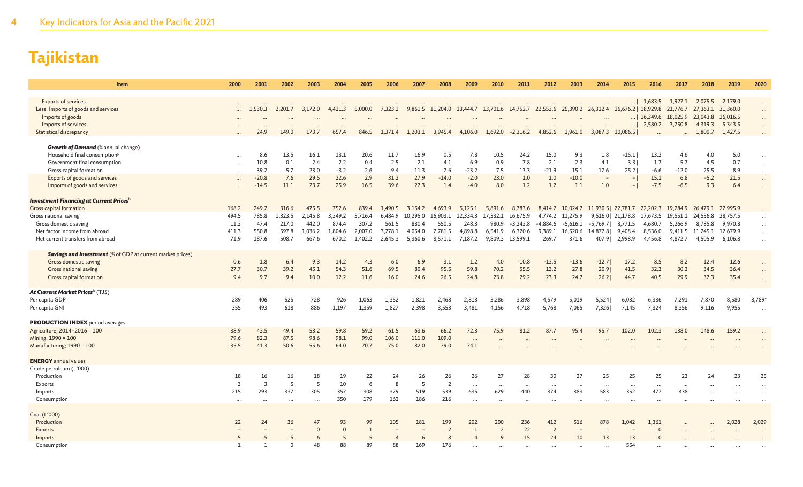| Item                                                              | 2000              | 2001                    | 2002           | 2003     | 2004                 | 2005         | 2006    | 2007     | 2008           | 2009      | 2010                  | 2011             | 2012                  | 2013                  | 2014                                                                                                       | 2015                     | 2016                                  | 2017       | 2018              | 2019     | 2020                 |
|-------------------------------------------------------------------|-------------------|-------------------------|----------------|----------|----------------------|--------------|---------|----------|----------------|-----------|-----------------------|------------------|-----------------------|-----------------------|------------------------------------------------------------------------------------------------------------|--------------------------|---------------------------------------|------------|-------------------|----------|----------------------|
| <b>Exports of services</b>                                        |                   |                         |                |          |                      |              |         |          |                | $\ddots$  |                       |                  |                       | $\ddots$              |                                                                                                            |                          | $\ldots$   1,683.5                    | 1,927.1    | 2,075.5           | 2,179.0  |                      |
| Less: Imports of goods and services                               |                   | 1,530.3                 | 2,201.7        | 3,172.0  | 4,421.3              | 5,000.0      | 7,323.2 |          |                |           |                       |                  |                       |                       | 9,861.5 11,204.0 13,444.7 13,701.6 14,752.7 22,553.6 25,390.2 26,312.4 26,676.2 18,929.8 21,776.7 27,363.1 |                          |                                       |            |                   | 31,360.0 | $\cdots$             |
| Imports of goods                                                  |                   |                         |                |          |                      |              |         |          |                |           |                       |                  |                       |                       |                                                                                                            |                          | $\ldots$   16,349.6 18,025.9 23,043.8 |            |                   | 26,016.5 |                      |
| Imports of services                                               |                   |                         |                |          |                      |              |         |          |                |           |                       |                  |                       | $\ddotsc$             |                                                                                                            | $\ldots$                 | 2,580.2                               | 3,750.8    | 4,319.3           | 5,343.5  | $\cdots$             |
| <b>Statistical discrepancy</b>                                    |                   | 24.9                    | 149.0          | 173.7    | 657.4                | 846.5        | 1,371.4 | 1,203.1  | 3,945.4        | 4,106.0   | 1,692.0               | $-2,316.2$       | 4,852.6               | 2,961.0               | 3,087.3 10,086.5                                                                                           |                          | $\ddotsc$                             | $\dddotsc$ | 1,800.7           | 1,427.5  |                      |
|                                                                   |                   |                         |                |          |                      |              |         |          |                |           |                       |                  |                       |                       |                                                                                                            |                          |                                       |            |                   |          |                      |
| <b>Growth of Demand</b> (% annual change)                         |                   |                         |                |          |                      |              |         |          |                |           |                       |                  |                       |                       |                                                                                                            |                          |                                       |            |                   |          |                      |
| Household final consumption <sup>p</sup>                          | $\cdots$          | 8.6                     | 13.5           | 16.1     | 13.1                 | 20.6         | 11.7    | 16.9     | 0.5            | 7.8       | 10.5                  | 24.2             | 15.0                  | 9.3                   | 1.8                                                                                                        | $-15.1$                  | 13.2                                  | 4.6        | 4.0               | 5.0      | $\cdots$             |
| Government final consumption                                      |                   | 10.8                    | 0.1            | 2.4      | 2.2                  | 0.4          | 2.5     | 2.1      | 4.1            | 6.9       | 0.9                   | 7.8              | 2.1                   | 2.3                   | 4.1                                                                                                        | 3.3                      | 1.7                                   | 5.7        | 4.5               | 0.7      | $\cdots$             |
| Gross capital formation                                           | $\ddots$          | 39.2                    | 5.7            | 23.0     | $-3.2$               | 2.6          | 9.4     | 11.3     | 7.6            | $-23.2$   | 7.5                   | 13.3             | $-21.9$               | 15.1                  | 17.6                                                                                                       | 25.2                     | $-6.6$                                | $-12.0$    | 25.5              | 8.9      | $\cdots$             |
| Exports of goods and services                                     |                   | $-20.8$                 | 7.6            | 29.5     | 22.6                 | 2.9          | 31.2    | 27.9     | $-14.0$        | $-2.0$    | 23.0                  | 1.0              | 1.0                   | $-10.0$               | $\hspace{0.1mm}-\hspace{0.1mm}$                                                                            |                          | 15.1                                  | 6.8        | $-5.2$            | 21.5     | $\cdots$             |
| Imports of goods and services                                     |                   | $-14.5$                 | 11.1           | 23.7     | 25.9                 | 16.5         | 39.6    | 27.3     | 1.4            | $-4.0$    | 8.0                   | 1.2              | 1.2                   | 1.1                   | 1.0                                                                                                        | $\overline{\phantom{a}}$ | $-7.5$                                | $-6.5$     | 9.3               | 6.4      | $\cdots$             |
| <b>Investment Financing at Current Prices</b> h                   |                   |                         |                |          |                      |              |         |          |                |           |                       |                  |                       |                       |                                                                                                            |                          |                                       |            |                   |          |                      |
| Gross capital formation                                           | 168.2             | 249.2                   | 316.6          | 475.5    | 752.6                | 839.4        | 1,490.5 | 3,154.2  | 4.693.9        | 5,125.1   | 5,891.6               | 8,783.6          |                       |                       | 8,414.2 10,024.7 11,930.5 22,781.7 22,202.3 19,284.9 26,479.1 27,995.9                                     |                          |                                       |            |                   |          |                      |
| Gross national saving                                             | 494.5             | 785.8                   | 1,323.5        | 2,145.8  | 3.349.2              | 3,716.4      | 6,484.9 | 10,295.0 | 16,903.1       |           | 12,334.3 17,332.1     | 16,675.9         |                       | 4,774.2 11,275.9      |                                                                                                            |                          | 9,516.0   21,178.8 17,673.5           |            | 19,551.1 24,536.8 | 28,757.5 | $\cdots$             |
| Gross domestic saving                                             | 11.3              | 47.4                    | 217.0          | 442.0    | 874.4                | 307.2        | 561.5   | 880.4    | 550.5          | 248.3     | 980.9                 | $-3,243.8$       |                       | $-4,884.6$ $-5,616.1$ | $-5,769.7$ 8,771.5                                                                                         |                          | 4,680.7                               | 5,266.9    | 8,785.8           | 9,970.8  | $\cdots$             |
| Net factor income from abroad                                     | 411.3             | 550.8                   | 597.8          | 1,036.2  | 1,804.6              | 2,007.0      | 3,278.1 | 4,054.0  | 7,781.5        | 4,898.8   | 6,541.9               | 6,320.6          |                       | 9,389.1 16,520.6      | 14,877.8 9,408.4                                                                                           |                          | 8,536.0                               |            | 9,411.5 11,245.1  | 12,679.9 | $\cdots$             |
| Net current transfers from abroad                                 | 71.9              | 187.6                   | 508.7          | 667.6    | 670.2                | 1.402.2      | 2,645.3 | 5,360.6  | 8,571.1        | 7,187.2   |                       | 9,809.3 13,599.1 | 269.7                 | 371.6                 |                                                                                                            | 407.9   2,998.9          | 4,456.8                               | 4,872.7    | 4,505.9           | 6,106.8  | $\cdots$             |
|                                                                   |                   |                         |                |          |                      |              |         |          |                |           |                       |                  |                       |                       |                                                                                                            |                          |                                       |            |                   |          |                      |
| <b>Savings and Investment</b> (% of GDP at current market prices) |                   |                         |                |          |                      |              |         |          |                |           |                       |                  |                       |                       |                                                                                                            |                          |                                       |            |                   |          |                      |
| Gross domestic saving                                             | 0.6               | 1.8                     | 6.4            | 9.3      | 14.2                 | 4.3          | 6.0     | 6.9      | 3.1            | 1.2       | 4.0                   | $-10.8$          | $-13.5$               | $-13.6$               | $-12.7$                                                                                                    | 17.2                     | 8.5                                   | 8.2        | 12.4              | 12.6     | $\cdots$             |
| Gross national saving                                             | 27.7              | 30.7                    | 39.2           | 45.1     | 54.3                 | 51.6         | 69.5    | 80.4     | 95.5           | 59.8      | 70.2                  | 55.5             | 13.2                  | 27.8                  | 20.9                                                                                                       | 41.5                     | 32.3                                  | 30.3       | 34.5              | 36.4     | $\ddots$             |
| Gross capital formation                                           | 9.4               | 9.7                     | 9.4            | 10.0     | 12.2                 | 11.6         | 16.0    | 24.6     | 26.5           | 24.8      | 23.8                  | 29.2             | 23.3                  | 24.7                  | 26.2                                                                                                       | 44.7                     | 40.5                                  | 29.9       | 37.3              | 35.4     | $\ddots$             |
|                                                                   |                   |                         |                |          |                      |              |         |          |                |           |                       |                  |                       |                       |                                                                                                            |                          |                                       |            |                   |          |                      |
| <b>At Current Market Prices</b> h (TJS)                           |                   |                         |                |          |                      |              |         |          |                |           |                       |                  |                       |                       |                                                                                                            |                          |                                       |            |                   |          |                      |
| Per capita GDP                                                    | 289               | 406                     | 525            | 728      | 926                  | 1,063        | 1,352   | 1,821    | 2,468          | 2,813     | 3,286                 | 3,898            | 4,579                 | 5,019                 | 5,524                                                                                                      | 6,032                    | 6,336                                 | 7,291      | 7,870             | 8,580    | 8,789*               |
| Per capita GNI                                                    | 355               | 493                     | 618            | 886      | 1,197                | 1,359        | 1,827   | 2,398    | 3,553          | 3,481     | 4,156                 | 4,718            | 5,768                 | 7,065                 | 7,326                                                                                                      | 7,145                    | 7,324                                 | 8,356      | 9,116             | 9,955    | $\ddot{\phantom{a}}$ |
|                                                                   |                   |                         |                |          |                      |              |         |          |                |           |                       |                  |                       |                       |                                                                                                            |                          |                                       |            |                   |          |                      |
| <b>PRODUCTION INDEX</b> period averages                           |                   |                         |                |          |                      |              |         |          |                |           |                       |                  |                       |                       |                                                                                                            |                          |                                       |            |                   |          |                      |
| Agriculture; 2014-2016 = 100                                      | 38.9              | 43.5                    | 49.4           | 53.2     | 59.8                 | 59.2         | 61.5    | 63.6     | 66.2           | 72.3      | 75.9                  | 81.2             | 87.7                  | 95.4                  | 95.7                                                                                                       | 102.0                    | 102.3                                 | 138.0      | 148.6             | 159.2    |                      |
| Mining: 1990 = 100                                                | 79.6              | 82.3                    | 87.5           | 98.6     | 98.1                 | 99.0         | 106.0   | 111.0    | 109.0          | $\ddotsc$ |                       |                  |                       |                       |                                                                                                            |                          |                                       |            |                   |          |                      |
| Manufacturing; 1990 = 100                                         | 35.5              | 41.3                    | 50.6           | 55.6     | 64.0                 | 70.7         | 75.0    | 82.0     | 79.0           | 74.1      |                       |                  |                       |                       |                                                                                                            |                          |                                       |            |                   |          |                      |
|                                                                   |                   |                         |                |          |                      |              |         |          |                |           |                       |                  |                       |                       |                                                                                                            |                          |                                       |            |                   |          |                      |
| <b>ENERGY</b> annual values                                       |                   |                         |                |          |                      |              |         |          |                |           |                       |                  |                       |                       |                                                                                                            |                          |                                       |            |                   |          |                      |
| Crude petroleum (t'000)                                           |                   |                         |                |          |                      |              |         |          |                |           |                       |                  |                       |                       |                                                                                                            |                          |                                       |            |                   |          |                      |
| Production                                                        | 18                | 16                      | 16             | 18       | 19                   | 22           | 24      | 26       | 26             | 26        | 27                    | 28               | 30                    | 27                    | 25                                                                                                         | 25                       | 25                                    | 23         | 24                | 23       | 25                   |
| Exports                                                           | 3                 | $\overline{\mathbf{3}}$ | 5              | 5        | 10                   | 6            | 8       | 5        | $\overline{2}$ | $\cdots$  | $\ddots$              | $\cdots$         | $\cdots$              | $\ddotsc$             | $\cdots$                                                                                                   | $\ddotsc$                | $\cdots$                              | $\cdots$   | $\ddotsc$         |          | $\ddotsc$            |
| Imports                                                           | 215               | 293                     | 337            | 305      | 357                  | 308          | 379     | 519      | 539            | 635       | 629                   | 440              | 374                   | 383                   | 583                                                                                                        | 352                      | 477                                   | 438        | $\ddotsc$         |          | $\ddot{\phantom{a}}$ |
| Consumption                                                       | $\ddots$          |                         |                | $\ddots$ | 350                  | 179          | 162     | 186      | 216            | $\cdots$  |                       |                  |                       | $\ddotsc$             |                                                                                                            |                          |                                       |            |                   |          | $\ddotsc$            |
|                                                                   |                   |                         |                |          |                      |              |         |          |                |           |                       |                  |                       |                       |                                                                                                            |                          |                                       |            |                   |          |                      |
| Coal (t '000)                                                     |                   |                         |                | 47       |                      |              |         |          |                |           |                       |                  |                       |                       |                                                                                                            |                          |                                       |            |                   |          |                      |
| Production                                                        | 22                | 24                      | 36             | $\Omega$ | 93<br>$\Omega$       | 99           | 105     | 181      | 199            | 202       | 200<br>$\overline{2}$ | 236              | 412<br>$\overline{2}$ | 516                   | 878                                                                                                        | 1,042                    | 1,361<br>$\mathbf{0}$                 |            |                   | 2,028    | 2,029                |
| <b>Exports</b>                                                    |                   |                         |                |          |                      | $\mathbf{1}$ |         |          | $\overline{2}$ | -1        | q                     | 22               |                       |                       | $\ddotsc$                                                                                                  |                          |                                       |            |                   |          |                      |
| Imports                                                           | 5<br>$\mathbf{1}$ | 1                       | -5<br>$\Omega$ | 6<br>48  | $\overline{5}$<br>88 | 5<br>89      | 88      | 169      | 8<br>176       |           |                       | 15               | 24                    | 10                    | 13                                                                                                         | 13<br>554                | 10                                    |            |                   |          |                      |
| Consumption                                                       |                   |                         |                |          |                      |              |         |          |                |           |                       | $\ddotsc$        |                       |                       |                                                                                                            |                          |                                       |            |                   |          |                      |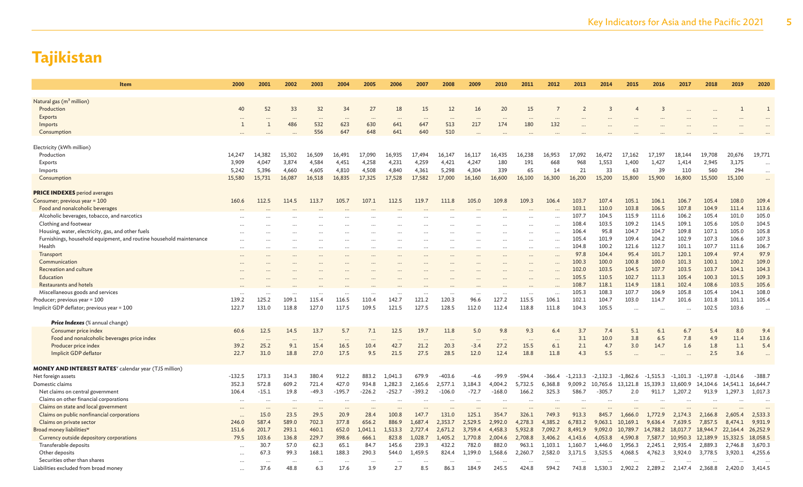| <b>Item</b>                                                                                    | 2000                  | 2001     | 2002      | 2003             | 2004             | 2005                 | 2006      | 2007      | 2008                     | 2009     | 2010               | 2011      | 2012              | 2013               | 2014       | 2015       | 2016       | 2017       | 2018              | 2019       | 2020         |
|------------------------------------------------------------------------------------------------|-----------------------|----------|-----------|------------------|------------------|----------------------|-----------|-----------|--------------------------|----------|--------------------|-----------|-------------------|--------------------|------------|------------|------------|------------|-------------------|------------|--------------|
| Natural gas (m <sup>3</sup> million)                                                           |                       |          |           |                  |                  |                      |           |           |                          |          |                    |           |                   |                    |            |            |            |            |                   |            |              |
| Production                                                                                     | 40                    | 52       | 33        | 32               | 34               | 27                   | 18        | 15        | 12                       | 16       | 20                 | 15        |                   |                    | 3          |            | 3          |            |                   |            | $\mathbf{1}$ |
| Exports                                                                                        |                       |          | $\ddotsc$ | $\cdots$         | $\cdots$         | $\ddotsc$            | $\cdots$  | $\ddotsc$ | $\overline{\phantom{a}}$ | $\cdots$ |                    | $\ddotsc$ |                   |                    |            |            |            |            |                   |            |              |
| Imports                                                                                        | $\overline{1}$        | 1        | 486       | 532              | 623              | 630                  | 641       | 647       | 513                      | 217      | 174                | 180       | 132               |                    |            |            |            |            |                   |            |              |
| Consumption                                                                                    |                       |          |           | 556              | 647              | 648                  | 641       | 640       | 510                      |          |                    |           |                   |                    |            |            |            |            |                   |            |              |
|                                                                                                |                       |          |           |                  |                  |                      |           |           |                          |          |                    |           |                   |                    |            |            |            |            |                   |            |              |
| Electricity (kWh million)                                                                      |                       |          |           |                  |                  |                      |           |           |                          |          |                    |           |                   |                    |            |            |            |            |                   |            |              |
| Production                                                                                     | 14,247                | 14,382   | 15,302    | 16,509           | 16,491           | 17,090               | 16,935    | 17,494    | 16,147                   | 16,117   | 16,435             | 16,238    | 16,953            | 17,092             | 16,472     | 17,162     | 17,197     | 18,144     | 19,708            | 20,676     | 19,771       |
| Exports                                                                                        | 3,909                 | 4,047    | 3,874     | 4,584            | 4,451            | 4,258                | 4,231     | 4,259     | 4,421                    | 4,247    | 180                | 191       | 668               | 968                | 1,553      | 1,400      | 1,427      | 1,414      | 2,945             | 3,175      | $\cdots$     |
| Imports                                                                                        | 5,242                 | 5,396    | 4,660     | 4,605            | 4,810            | 4,508                | 4,840     | 4,361     | 5,298                    | 4,304    | 339                | 65        | 14                | 21                 | 33         | 63         | 39         | 110        | 560               | 294        | $\cdots$     |
| Consumption                                                                                    | 15,580                | 15,731   | 16,087    | 16,518           | 16,835           | 17,325               | 17,528    | 17,582    | 17,000                   | 16,160   | 16,600             | 16,100    | 16,300            | 16,200             | 15,200     | 15,800     | 15,900     | 16,800     | 15,500            | 15,100     | $\cdots$     |
| <b>PRICE INDEXES</b> period averages                                                           |                       |          |           |                  |                  |                      |           |           |                          |          |                    |           |                   |                    |            |            |            |            |                   |            |              |
| Consumer; previous year = 100                                                                  | 160.6                 | 112.5    | 114.5     | 113.7            | 105.7            | 107.1                | 112.5     | 119.7     | 111.8                    | 105.0    | 109.8              | 109.3     | 106.4             | 103.7              | 107.4      | 105.1      | 106.1      | 106.7      | 105.4             | 108.0      | 109.4        |
| Food and nonalcoholic beverages                                                                |                       |          |           |                  |                  |                      |           |           |                          |          |                    |           |                   | 103.1              | 110.0      | 103.8      | 106.5      | 107.8      | 104.9             | 111.4      | 113.6        |
| Alcoholic beverages, tobacco, and narcotics                                                    |                       |          |           |                  |                  |                      |           |           |                          |          |                    |           |                   | 107.7              | 104.5      | 115.9      | 111.6      | 106.2      | 105.4             | 101.0      | 105.0        |
| Clothing and footwear                                                                          |                       |          |           |                  |                  |                      |           |           |                          |          |                    |           | $\cdots$          | 108.4              | 103.5      | 109.2      | 114.5      | 109.1      | 105.6             | 105.0      | 104.5        |
| Housing, water, electricity, gas, and other fuels                                              |                       |          |           |                  |                  |                      |           |           |                          |          |                    |           | $\cdots$          | 106.4              | 95.8       | 104.7      | 104.7      | 109.8      | 107.1             | 105.0      | 105.8        |
| Furnishings, household equipment, and routine household maintenance                            |                       |          |           |                  |                  |                      |           |           |                          |          |                    | $\cdots$  | $\cdots$          | 105.4              | 101.9      | 109.4      | 104.2      | 102.9      | 107.3             | 106.6      | 107.3        |
| Health                                                                                         | $\ddotsc$             |          | $\cdots$  | $\cdots$         |                  | $\ddotsc$            | $\cdots$  |           | $\cdots$                 |          |                    | $\cdots$  | $\cdots$          | 104.8              | 100.2      | 121.6      | 112.7      | 101.1      | 107.7             | 111.6      | 106.7        |
| Transport                                                                                      |                       |          |           |                  |                  | $\cdots$             | $\cdots$  |           |                          |          |                    | $\cdots$  | $\cdots$          | 97.8               | 104.4      | 95.4       | 101.7      | 120.1      | 109.4             | 97.4       | 97.9         |
| Communication                                                                                  |                       |          |           |                  |                  |                      |           |           |                          |          |                    |           |                   | 100.3              | 100.0      | 100.8      | 100.0      | 101.3      | 100.1             | 100.2      | 109.0        |
| Recreation and culture                                                                         |                       |          |           |                  |                  |                      |           |           |                          |          |                    |           | $\cdots$          | 102.0              | 103.5      | 104.5      | 107.7      | 103.5      | 103.7             | 104.1      | 104.3        |
| Education                                                                                      |                       |          |           |                  |                  |                      |           |           |                          |          |                    |           |                   | 105.5              | 110.5      | 102.7      | 111.3      | 105.4      | 100.3             | 101.5      | 109.3        |
| Restaurants and hotels                                                                         |                       |          |           |                  |                  |                      |           |           |                          |          |                    |           |                   | 108.7              | 118.1      | 114.9      | 118.1      | 102.4      | 108.6             | 103.5      | 105.6        |
| Miscellaneous goods and services                                                               |                       |          |           |                  |                  |                      |           |           |                          |          |                    |           | $\cdots$          | 105.3              | 108.3      | 107.7      | 106.9      | 105.8      | 105.4             | 104.1      | 108.0        |
| Producer; previous year = 100                                                                  | 139.2                 | 125.2    | 109.1     | 115.4            | 116.5            | 110.4                | 142.7     | 121.2     | 120.3                    | 96.6     | 127.2              | 115.5     | 106.1             | 102.1              | 104.7      | 103.0      | 114.7      | 101.6      | 101.8             | 101.1      | 105.4        |
| Implicit GDP deflator; previous year = 100                                                     | 122.7                 | 131.0    | 118.8     | 127.0            | 117.5            | 109.5                | 121.5     | 127.5     | 128.5                    | 112.0    | 112.4              | 118.8     | 111.8             | 104.3              | 105.5      |            |            |            | 102.5             | 103.6      |              |
| Price Indexes (% annual change)                                                                |                       |          |           |                  |                  |                      |           |           |                          |          |                    |           |                   |                    |            |            |            |            |                   |            |              |
| Consumer price index                                                                           | 60.6                  | 12.5     | 14.5      | 13.7             | 5.7              | 7.1                  | 12.5      | 19.7      | 11.8                     | 5.0      | 9.8                | 9.3       | 6.4               | 3.7                | 7.4        | 5.1        | 6.1        | 6.7        | 5.4               | 8.0        | 9.4          |
| Food and nonalcoholic beverages price index                                                    | $\cdots$              | $\cdots$ | $\cdots$  | $\cdots$         | $\cdots$         | $\cdots$             | $\ddots$  | $\cdots$  | $\cdots$                 | $\ddots$ | $\cdots$           | $\cdots$  | $\cdots$          | 3.1                | 10.0       | 3.8        | 6.5        | 7.8        | 4.9               | 11.4       | 13.6         |
| Producer price index                                                                           | 39.2                  | 25.2     | 9.1       | 15.4             | 16.5             | 10.4                 | 42.7      | 21.2      | 20.3                     | $-3.4$   | 27.2               | 15.5      | 6.1               | 2.1                | 4.7        | 3.0        | 14.7       | 1.6        | 1.8               | 1.1        | 5.4          |
| Implicit GDP deflator                                                                          | 22.7                  | 31.0     | 18.8      | 27.0             | 17.5             | 9.5                  | 21.5      | 27.5      | 28.5                     | 12.0     | 12.4               | 18.8      | 11.8              | 4.3                | 5.5        |            |            |            | 2.5               | 3.6        |              |
|                                                                                                |                       |          |           |                  |                  |                      |           |           |                          |          |                    |           |                   |                    |            |            |            |            |                   |            |              |
| <b>MONEY AND INTEREST RATES</b> <sup>v</sup> calendar year (TJS million)<br>Net foreign assets | $-132.5$              | 173.3    | 314.3     | 380.4            | 912.2            | 883.2                | 1,041.3   | 679.9     | $-403.6$                 | $-4.6$   | $-99.9$            | $-594.4$  | $-366.4$          | $-1.213.3$         | $-2,132.3$ | $-1,862.6$ | $-1.515.3$ | $-1,101.3$ | $-1.197.8$        | $-1,014.6$ | $-388.7$     |
| Domestic claims                                                                                | 352.3                 | 572.8    | 609.2     | 721.4            | 427.0            | 934.8                | 1,282.3   | 2,165.6   | 2,577.1                  | 3,184.3  | 4,004.2            | 5,732.5   | 6,368.8           | 9,009.2            | 10,765.6   | 13,121.8   | 15,339.3   | 13,600.9   | 14,104.6          | 14,541.1   | 16,644.7     |
| Net claims on central government                                                               | 106.4                 | $-15.1$  | 19.8      | $-49.3$          | $-195.7$         | $-226.2$             | $-252.7$  | $-393.2$  | $-106.0$                 | $-72.7$  | $-168.0$           | 166.2     | 325.3             | 586.7              | $-305.7$   | 2.0        | 911.7      | 1,207.2    | 913.9             | 1,297.3    | 1,017.3      |
| Claims on other financial corporations                                                         |                       |          | $\ddotsc$ |                  |                  |                      |           |           |                          |          |                    |           |                   |                    |            |            |            |            |                   |            |              |
| Claims on state and local government                                                           |                       |          | $\ddots$  |                  |                  | $\ddot{\phantom{0}}$ |           |           |                          |          |                    |           |                   |                    |            |            |            |            |                   |            |              |
| Claims on public nonfinancial corporations                                                     | $\ddotsc$<br>$\ddots$ | 15.0     | 23.5      | $\ddots$<br>29.5 | $\cdots$<br>20.9 | 28.4                 | 100.8     | 147.7     | 131.0                    | 125.1    | $\ddotsc$<br>354.7 | 326.1     | $\ddots$<br>749.3 | $\ddotsc$<br>913.3 | 845.7      | 1,666.0    | 1,772.9    | 2,174.3    | 2,166.8           | 2,605.4    | 2,533.3      |
| Claims on private sector                                                                       | 246.0                 | 587.4    | 589.0     | 702.3            | 377.8            | 656.2                | 886.9     | 1,687.4   | 2,353.7                  | 2,529.5  | 2,992.0            | 4,278.3   | 4,385.2           | 6,783.2            | 9,063.1    | 10,169.1   | 9,636.4    | 7,639.5    | 7,857.5           | 8,474.1    | 9,931.9      |
| Broad money liabilities <sup>w</sup>                                                           | 151.6                 | 201.7    | 293.1     | 460.1            | 652.0            | 1,041.1              | 1,513.3   | 2,727.4   | 2,671.2                  | 3,759.4  | 4,458.3            | 5,932.8   | 7,092.7           | 8,491.9            | 9,092.0    | 10,789.7   | 14,788.2   | 18,017.7   | 18,944.7          | 22,164.4   | 26,252.9     |
| Currency outside depository corporations                                                       | 79.5                  | 103.6    | 136.8     | 229.7            | 398.6            | 666.1                | 823.8     | 1,028.7   | 1,405.2                  | 1,770.8  | 2,004.6            | 2,708.8   | 3,406.2           | 4,143.6            | 4,053.8    | 4,590.8    | 7,587.7    | 10,950.3   | 12,189.9 15,332.5 |            | 18,058.5     |
| Transferable deposits                                                                          |                       | 30.7     | 57.0      | 62.3             | 65.1             | 84.7                 | 145.6     | 239.3     | 432.2                    | 782.0    | 882.0              | 963.1     | 1,103.1           | 1,160.7            | 1,446.0    | 1,956.3    | 2,245.1    | 2,935.4    | 2,889.3           | 2,746.8    | 3,670.3      |
| Other deposits                                                                                 | $\ddotsc$             | 67.3     | 99.3      | 168.1            | 188.3            | 290.3                | 544.0     | 1,459.5   | 824.4                    | 1,199.0  | 1,568.6            | 2,260.7   | 2,582.0           | 3,171.5            | 3,525.5    | 4,068.5    | 4,762.3    | 3,924.0    | 3,778.5           | 3,920.1    | 4,255.6      |
| Securities other than shares                                                                   |                       |          | $\ddotsc$ |                  |                  | $\ddot{\phantom{a}}$ | $\ddotsc$ |           | $\ddotsc$                |          |                    |           |                   |                    |            |            |            |            |                   |            |              |
| Liabilities excluded from broad money                                                          | $\ddots$              | 37.6     | 48.8      | 6.3              | 17.6             | 3.9                  | 2.7       | 8.5       | 86.3                     | 184.9    | 245.5              | 424.8     | 594.2             | 743.8              | 1,530.3    | 2,902.2    | 2,289.2    | 2,147.4    | 2,368.8           | 2,420.0    | 3,414.5      |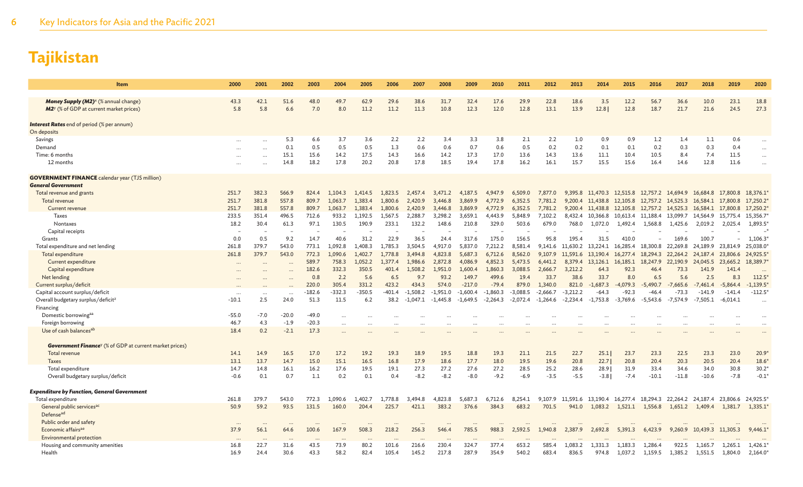| Item                                                                       | 2000           | 2001           | 2002           | 2003           | 2004                 | 2005               | 2006               | 2007               | 2008               | 2009               | 2010               | 2011               | 2012               | 2013               | 2014                 | 2015                 | 2016                 | 2017                 | 2018                          | 2019       | 2020                   |
|----------------------------------------------------------------------------|----------------|----------------|----------------|----------------|----------------------|--------------------|--------------------|--------------------|--------------------|--------------------|--------------------|--------------------|--------------------|--------------------|----------------------|----------------------|----------------------|----------------------|-------------------------------|------------|------------------------|
| <b>Money Supply (M2)</b> <sup>x</sup> (% annual change)                    | 43.3           | 42.1           | 51.6           | 48.0           | 49.7                 | 62.9               | 29.6               | 38.6               | 31.7               | 32.4               | 17.6               | 29.9               | 22.8               | 18.6               | 3.5                  | 12.2                 | 56.7                 | 36.6                 | 10.0                          | 23.1       | 18.8                   |
| <b>M2</b> <sup>y</sup> (% of GDP at current market prices)                 | 5.8            | 5.8            | 6.6            | 7.0            | 8.0                  | 11.2               | 11.2               | 11.3               | 10.8               | 12.3               | 12.0               | 12.8               | 13.1               | 13.9               | 12.8                 | 12.8                 | 18.7                 | 21.7                 | 21.6                          | 24.5       | 27.3                   |
| <b>Interest Rates</b> end of period (% per annum)<br>On deposits           |                |                |                |                |                      |                    |                    |                    |                    |                    |                    |                    |                    |                    |                      |                      |                      |                      |                               |            |                        |
| Savings                                                                    |                |                | 5.3            | 6.6            | 3.7                  | 3.6                | 2.2                | 2.2                | 3.4                | 3.3                | 3.8                | 2.1                | 2.2                | 1.0                | 0.9                  | 0.9                  | 1.2                  | 1.4                  | 1.1                           | 0.6        |                        |
| Demand                                                                     |                |                | 0.1            | 0.5            | 0.5                  | 0.5                | 1.3                | 0.6                | 0.6                | 0.7                | 0.6                | 0.5                | 0.2                | 0.2                | 0.1                  | 0.1                  | 0.2                  | 0.3                  | 0.3                           | 0.4        |                        |
| Time: 6 months                                                             |                |                | 15.1           | 15.6           | 14.2                 | 17.5               | 14.3               | 16.6               | 14.2               | 17.3               | 17.0               | 13.6               | 14.3               | 13.6               | 11.1                 | 10.4                 | 10.5                 | 8.4                  | 7.4                           | 11.5       |                        |
| 12 months                                                                  |                |                | 14.8           | 18.2           | 17.8                 | 20.2               | 20.8               | 17.8               | 18.5               | 19.4               | 17.8               | 16.2               | 16.1               | 15.7               | 15.5                 | 15.6                 | 16.4                 | 14.6                 | 12.8                          | 11.6       |                        |
| <b>GOVERNMENT FINANCE</b> calendar year (TJS million)                      |                |                |                |                |                      |                    |                    |                    |                    |                    |                    |                    |                    |                    |                      |                      |                      |                      |                               |            |                        |
| <b>General Government</b>                                                  |                |                |                |                |                      |                    |                    |                    |                    |                    |                    |                    |                    |                    |                      |                      |                      |                      |                               |            |                        |
| Total revenue and grants                                                   | 251.7          | 382.3<br>381.8 | 566.9<br>557.8 | 824.4          | 1,104.3              | 1,414.5            | 1,823.5            | 2,457.4            | 3,471.2            | 4,187.5            | 4,947.9            | 6,509.0            | 7,877.0            | 9,395.8            | 11,470.3 12,515.8    |                      | 12,757.2 14,694.9    |                      | 16,684.8                      | 17,800.8   | 18,376.1               |
| Total revenue<br>Current revenue                                           | 251.7<br>251.7 | 381.8          | 557.8          | 809.7<br>809.7 | 1,063.7<br>1.063.7   | 1,383.4<br>1,383.4 | 1,800.6<br>1,800.6 | 2,420.9<br>2,420.9 | 3,446.8<br>3,446.8 | 3,869.9<br>3,869.9 | 4,772.9<br>4,772.9 | 6,352.5<br>6,352.5 | 7,781.2<br>7,781.2 | 9,200.4<br>9,200.4 | 11,438.8<br>11,438.8 | 12,105.8<br>12,105.8 | 12,757.2<br>12,757.2 | 14,525.3<br>14,525.3 | 16,584.1<br>16,584.1 17,800.8 | 17,800.8   | 17,250.2*<br>17,250.2* |
| <b>Taxes</b>                                                               | 233.5          | 351.4          | 496.5          | 712.6          | 933.2                | 1,192.5            | 1,567.5            | 2,288.7            | 3,298.2            | 3,659.1            | 4,443.9            | 5,848.9            | 7,102.2            | 8,432.4            | 10,366.8             | 10,613.4             | 11,188.4             | 13,099.7             | 14,564.9                      | 15,775.4   | 15,356.7               |
| Nontaxes                                                                   | 18.2           | 30.4           | 61.3           | 97.1           | 130.5                | 190.9              | 233.1              | 132.2              | 148.6              | 210.8              | 329.0              | 503.6              | 679.0              | 768.0              | 1,072.0              | 1,492.4              | 1,568.8              | 1,425.6              | 2,019.2                       | 2,025.4    | 1,893.5*               |
| Capital receipts                                                           |                |                |                |                |                      |                    |                    |                    |                    |                    |                    |                    |                    |                    |                      |                      |                      |                      |                               |            |                        |
| Grants                                                                     | 0.0            | 0.5            | 9.2            | 14.7           | 40.6                 | 31.2               | 22.9               | 36.5               | 24.4               | 317.6              | 175.0              | 156.5              | 95.8               | 195.4              | 31.5                 | 410.0                |                      | 169.6                | 100.7                         |            | 1,106.3*               |
| Total expenditure and net lending                                          | 261.8          | 379.7          | 543.0          | 773.1          | 1.092.8              | 1.408.3            | 1.785.3            | 3.504.5            | 4.917.0            | 5.837.0            | 7.212.2            | 8.581.4            | 9.141.6            | 11.630.2           | 13,224.1 16,285.4    |                      | 18,300.8             | 22.269.8             | 24.189.9                      | 23,814.9   | 25,038.0               |
| Total expenditure                                                          | 261.8          | 379.7          | 543.0          | 772.3          | 1,090.6              | 1,402.7            | 1,778.8            | 3,494.8            | 4,823.8            | 5,687.3            | 6,712.6            | 8,562.0            | 9,107.9            | 11,591.6           | 13,190.4             | 16,277.4             | 18,294.3             | 22,264.2             | 24,187.4                      | 23,806.6   | 24,925.5               |
| Current expenditure                                                        |                |                |                | 589.7          | 758.3                | 1.052.2            | 1.377.4            | 1,986.6            | 2,872.8            | 4,086.9            | 4,852.3            | 5,473.5            | 6,441.2            | 8,379.4            | 13,126.1             | 16,185.1             | 18,247.9             | 22,190.9             | 24,045.5                      | 23,665.2   | 18,389.7               |
| Capital expenditure                                                        |                |                |                | 182.6          | 332.3                | 350.5              | 401.4              | 1,508.2            | 1,951.0            | 1,600.4            | 1,860.3            | 3,088.5            | 2,666.7            | 3,212.2            | 64.3                 | 92.3                 | 46.4                 | 73.3                 | 141.9                         | 141.4      | $\ddotsc$              |
| Net lending                                                                |                |                |                | 0.8            | 2.2                  | 5.6                | 6.5                | 9.7                | 93.2               | 149.7              | 499.6              | 19.4               | 33.7               | 38.6               | 33.7                 | 8.0                  | 6.5                  | 5.6                  | 2.5                           | 8.3        | $112.5*$               |
| Current surplus/deficit                                                    |                |                |                | 220.0          | 305.4                | 331.2              | 423.2              | 434.3              | 574.0              | $-217.0$           | $-79.4$            | 879.0              | 1.340.0            | 821.0              | $-1,687.3$           | $-4.079.3$           | $-5.490.7$           | $-7.665.6$           | $-7.461.4$                    | $-5.864.4$ | $-1,139.5*$            |
| Capital account surplus/deficit                                            | $\cdots$       |                |                | -182.6         | $-332.3$             | $-350.5$           | -401.4             | $-1,508.2$         | $-1,951.0$         | $-1,600.4$         | $-1,860.3$         | $-3,088.5$         | $-2,666.7$         | $-3.212.2$         | $-64.3$              | $-92.3$              | $-46.4$              | $-73.3$              | $-141.9$                      | $-141.4$   | $-112.5*$              |
| Overall budgetary surplus/deficit <sup>z</sup>                             | $-10.1$        | 2.5            | 24.0           | 51.3           | 11.5                 | 6.2                | 38.2               | $-1.047.1$         | $-1.445.8$         | $-1.649.5$         | $-2.264.3$         | $-2.072.4$         | $-1.264.6$         | $-2,234.4$         | $-1,753.8$           | $-3.769.6$           | $-5,543.6$           | $-7.574.9$           | $-7.505.1$                    | $-6,014.1$ |                        |
| Financing<br>Domestic borrowingaa                                          | $-55.0$        | $-7.0$         | $-20.0$        | $-49.0$        |                      |                    |                    |                    |                    |                    |                    |                    |                    |                    |                      |                      |                      |                      |                               |            |                        |
| Foreign borrowing                                                          | 46.7           | 4.3            | $-1.9$         | $-20.3$        | $\ddots$             |                    |                    |                    |                    |                    |                    |                    |                    |                    |                      |                      |                      |                      |                               |            |                        |
| Use of cash balances <sup>ab</sup>                                         | 18.4           | 0.2            | $-2.1$         | 17.3           | $\ddots$<br>$\cdots$ |                    |                    |                    |                    |                    |                    |                    |                    |                    |                      |                      |                      |                      |                               |            |                        |
| <b>Government Finance</b> <sup>y</sup> (% of GDP at current market prices) |                |                |                |                |                      |                    |                    |                    |                    |                    |                    |                    |                    |                    |                      |                      |                      |                      |                               |            |                        |
| Total revenue                                                              | 14.1           | 14.9           | 16.5           | 17.0           | 17.2                 | 19.2               | 19.3               | 18.9               | 19.5               | 18.8               | 19.3               | 21.1               | 21.5               | 22.7               | 25.1                 | 23.7                 | 23.3                 | 22.5                 | 23.3                          | 23.0       | $20.9*$                |
| <b>Taxes</b>                                                               | 13.1           | 13.7           | 14.7           | 15.0           | 15.1                 | 16.5               | 16.8               | 17.9               | 18.6               | 17.7               | 18.0               | 19.5               | 19.6               | 20.8               | 22.7                 | 20.8                 | 20.4                 | 20.3                 | 20.5                          | 20.4       | $18.6*$                |
| Total expenditure                                                          | 14.7           | 14.8           | 16.1           | 16.2           | 17.6                 | 19.5               | 19.1               | 27.3               | 27.2               | 27.6               | 27.2               | 28.5               | 25.2               | 28.6               | 28.9                 | 31.9                 | 33.4                 | 34.6                 | 34.0                          | 30.8       | $30.2*$                |
| Overall budgetary surplus/deficit                                          | $-0.6$         | 0.1            | 0.7            | 1.1            | 0.2                  | 0.1                | 0.4                | $-8.2$             | $-8.2$             | $-8.0$             | $-9.2$             | $-6.9$             | $-3.5$             | $-5.5$             | $-3.8$               | $-7.4$               | $-10.1$              | $-11.8$              | $-10.6$                       | $-7.8$     | $-0.1*$                |
| <b>Expenditure by Function, General Government</b>                         |                |                |                |                |                      |                    |                    |                    |                    |                    |                    |                    |                    |                    |                      |                      |                      |                      |                               |            |                        |
| Total expenditure                                                          | 261.8          | 379.7          | 543.0          | 772.3          | 1,090.6              | 1,402.7            | 1,778.8            | 3,494.8            | 4,823.8            | 5,687.3            | 6,712.6            | 8,254.1            | 9.107.9            | 11,591.6           | 13,190.4 16,277.4    |                      | 18,294.3             |                      | 22,264.2 24,187.4             | 23,806.6   | 24,925.5*              |
| General public services <sup>ac</sup><br>Defense <sup>ad</sup>             | 50.9           | 59.2           | 93.5           | 131.5          | 160.0                | 204.4              | 225.7              | 421.1              | 383.2              | 376.6              | 384.3              | 683.2              | 701.5              | 941.0              | 1,083.2              | 1,521.1              | 1,556.8              | 1,651.2              | 1,409.4                       | 1,381.7    | $1,335.1*$             |
| Public order and safety                                                    |                |                |                |                |                      |                    |                    |                    |                    |                    |                    |                    |                    |                    |                      |                      |                      |                      |                               |            |                        |
| Economic affairs <sup>ae</sup>                                             | 37.9           | 56.1           | 64.6           | 100.6          | 167.9                | 508.3              | 218.2              | 256.3              | 546.4              | 785.5              | 988.3              | 2,592.5            | 1,940.8            | 2,387.9            | 2,692.8              | 5,391.3              | 6,423.9              |                      | 9,260.9 10,439.3 11,305.3     |            | 9,446.1                |
| <b>Environmental protection</b>                                            |                |                |                |                |                      |                    |                    |                    |                    |                    |                    |                    |                    |                    |                      |                      |                      |                      |                               |            |                        |
| Housing and community amenities                                            | 16.8           | 22.7           | 31.6           | 43.5           | 73.9                 | 80.2               | 101.6              | 216.6              | 230.4              | 324.7              | 377.4              | 653.2              | 585.4              | 1,083.2            | 1,331.3              | 1,183.3              | 1,286.4              | 922.5                | 1,165.7                       | 1,265.1    | 1,426.1                |
| Health                                                                     | 16.9           | 24.4           | 30.6           | 43.3           | 58.2                 | 82.4               | 105.4              | 145.2              | 217.8              | 287.9              | 354.9              | 540.2              | 683.4              | 836.5              | 974.8                | 1,037.2              | 1,159.5              | 1,385.2              | 1,551.5                       | 1,804.0    | 2,164.0*               |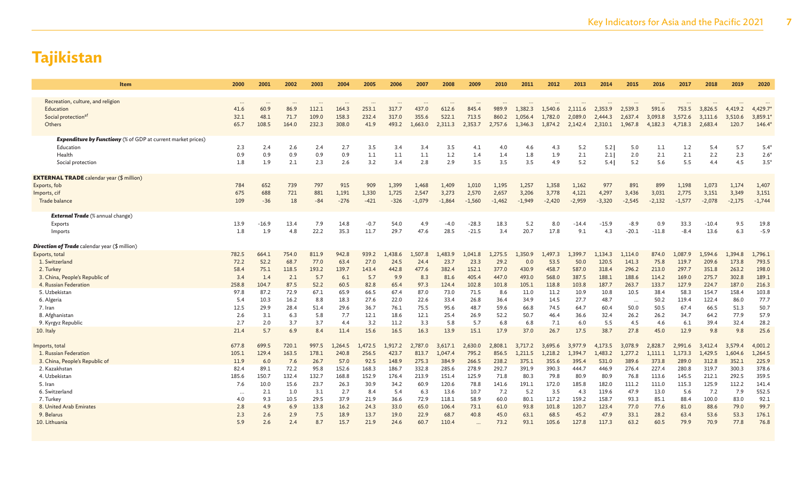| <b>Item</b>                                                         | 2000         | 2001         | 2002        | 2003        | 2004        | 2005        | 2006        | 2007        | 2008          | 2009           | 2010           | 2011           | 2012           | 2013           | 2014           | 2015             | 2016           | 2017           | 2018           | 2019           | 2020           |
|---------------------------------------------------------------------|--------------|--------------|-------------|-------------|-------------|-------------|-------------|-------------|---------------|----------------|----------------|----------------|----------------|----------------|----------------|------------------|----------------|----------------|----------------|----------------|----------------|
|                                                                     |              |              |             |             |             |             |             |             |               |                |                |                |                |                |                |                  |                |                |                |                |                |
| Recreation, culture, and religion                                   | $\ddotsc$    | $\ddotsc$    | $\ddotsc$   | $\cdots$    | $\ddotsc$   |             |             | $\cdots$    |               | $\cdots$       |                |                |                |                |                | $\ddots$         |                |                |                |                | $\cdots$       |
| Education                                                           | 41.6         | 60.9         | 86.9        | 112.1       | 164.3       | 253.1       | 317.7       | 437.0       | 612.6         | 845.4          | 989.9          | 1,382.3        | 1.540.6        | 2,111.6        | 2,353.9        | 2,539.3          | 591.6          | 753.5          | 3.826.5        | 4.419.2        | 4,429.7        |
| Social protection <sup>af</sup>                                     | 32.1         | 48.1         | 71.7        | 109.0       | 158.3       | 232.4       | 317.0       | 355.6       | 522.1         | 713.5          | 860.2          | 1,056.4        | 1,782.0        | 2,089.0        | 2,444.3        | 2,637.4          | 3,093.8        | 3,572.6        | 3,111.6        | 3,510.6        | 3,859.1        |
| Others                                                              | 65.7         | 108.5        | 164.0       | 232.3       | 308.0       | 41.9        | 493.2       | 1,663.0     | 2,311.3       | 2,353.7        | 2,757.6        | 1,346.3        | 1,874.2        | 2,142.4        | 2,310.1        | 1,967.8          | 4,182.3        | 4,718.3        | 2,683.4        | 120.7          | 146.4          |
| <b>Expenditure by Functiony</b> (% of GDP at current market prices) |              |              |             |             |             |             |             |             |               |                |                |                |                |                |                |                  |                |                |                |                |                |
| Education                                                           | 2.3          | 2.4          | 2.6         | 2.4         | 2.7         | 3.5         | 3.4         | 3.4         | 3.5           | 4.1            | 4.0            | 4.6            | 4.3            | 5.2            | 5.2            | 5.0              | 1.1            | 1.2            | 5.4            | 5.7            | $5.4^{\circ}$  |
| Health                                                              | 0.9          | 0.9          | 0.9         | 0.9         | 0.9         | 1.1         | 1.1         | 1.1         | 1.2           | 1.4            | 1.4            | 1.8            | 1.9            | 2.1            | 2.1            | 2.0              | 2.1            | 2.1            | 2.2            | 2.3            | $2.6^{\circ}$  |
| Social protection                                                   | 1.8          | 1.9          | 2.1         | 2.3         | 2.6         | 3.2         | 3.4         | 2.8         | 2.9           | 3.5            | 3.5            | 3.5            | 4.9            | 5.2            | 5.41           | 5.2              | 5.6            | 5.5            | 4.4            | 4.5            | $3.5*$         |
|                                                                     |              |              |             |             |             |             |             |             |               |                |                |                |                |                |                |                  |                |                |                |                |                |
| <b>EXTERNAL TRADE</b> calendar year (\$ million)                    |              |              |             |             |             |             |             |             |               |                |                |                |                |                |                |                  |                |                |                |                |                |
| Exports, fob                                                        | 784          | 652          | 739         | 797         | 915         | 909         | 1,399       | 1,468       | 1,409         | 1,010          | 1,195          | 1,257          | 1,358          | 1,162          | 977            | 891              | 899            | 1,198          | 1,073          | 1,174          | 1,407          |
| Imports, cif                                                        | 675          | 688          | 721         | 881         | 1,191       | 1,330       | 1,725       | 2,547       | 3,273         | 2,570          | 2,657          | 3,206          | 3,778          | 4,121          | 4,297          | 3,436            | 3,031          | 2,775          | 3,151          | 3,349          | 3,151          |
| Trade balance                                                       | 109          | $-36$        | 18          | $-84$       | $-276$      | $-421$      | $-326$      | $-1,079$    | $-1,864$      | $-1,560$       | $-1,462$       | $-1,949$       | $-2,420$       | $-2,959$       | $-3,320$       | $-2,545$         | $-2,132$       | $-1,577$       | $-2,078$       | $-2,175$       | $-1,744$       |
| <b>External Trade</b> (% annual change)                             |              |              |             |             |             |             |             |             |               |                |                |                |                |                |                |                  |                |                |                |                |                |
| Exports                                                             | 13.9         | $-16.9$      | 13.4        | 7.9         | 14.8        | $-0.7$      | 54.0        | 4.9         | $-4.0$        | $-28.3$        | 18.3           | 5.2            | 8.0            | $-14.4$        | $-15.9$        | $-8.9$           | 0.9            | 33.3           | $-10.4$        | 9.5            | 19.8           |
| Imports                                                             | 1.8          | 1.9          | 4.8         | 22.2        | 35.3        | 11.7        | 29.7        | 47.6        | 28.5          | $-21.5$        | 3.4            | 20.7           | 17.8           | 9.1            | 4.3            | $-20.1$          | $-11.8$        | $-8.4$         | 13.6           | 6.3            | $-5.9$         |
|                                                                     |              |              |             |             |             |             |             |             |               |                |                |                |                |                |                |                  |                |                |                |                |                |
| <b>Direction of Trade</b> calendar year (\$ million)                |              |              |             |             |             |             |             |             |               |                |                |                |                |                |                |                  |                |                |                |                |                |
| Exports, total                                                      | 782.5        | 664.1        | 754.0       | 811.9       | 942.8       | 939.2       | .438.6      | ,507.8      | 1,483.9       | 1,041.8        | ,275.5         | 1,350.9        | .497.3         | 1.399.7        | 1,134.3        | 1,114.0          | 874.0          | 1,087.9        | 1,594.6        | 1,394.8        | 1,796.1        |
| 1. Switzerland                                                      | 72.2         | 52.2         | 68.7        | 77.0        | 63.4        | 27.0        | 24.5        | 24.4        | 23.7          | 23.3           | 29.2           | 0.0            | 53.5           | 50.0           | 120.5          | 141.3            | 75.8           | 119.7          | 209.6          | 173.8          | 793.5          |
| 2. Turkey                                                           | 58.4         | 75.1         | 118.5       | 193.2       | 139.7       | 143.4       | 442.8       | 477.6       | 382.4         | 152.1          | 377.0          | 430.9          | 458.7          | 587.0          | 318.4          | 296.2            | 213.0          | 297.7          | 351.8          | 263.2          | 198.0<br>189.1 |
| 3. China, People's Republic of<br>4. Russian Federation             | 3.4<br>258.8 | 1.4<br>104.7 | 2.1<br>87.5 | 5.7<br>52.2 | 6.1<br>60.5 | 5.7<br>82.8 | 9.9<br>65.4 | 8.3<br>97.3 | 81.6<br>124.4 | 405.4<br>102.8 | 447.0<br>101.8 | 493.0<br>105.1 | 568.0<br>118.8 | 387.5<br>103.8 | 188.1<br>187.7 | 188.6<br>263.7   | 114.2<br>133.7 | 169.0<br>127.9 | 275.7<br>224.7 | 302.8<br>187.0 | 216.3          |
| 5. Uzbekistan                                                       | 97.8         | 87.2         | 72.9        | 67.1        | 65.9        | 66.5        | 67.4        | 87.0        | 73.0          | 71.5           | 8.6            | 11.0           | 11.2           | 10.9           | 10.8           | 10.5             | 38.4           | 58.3           | 154.7          | 158.4          | 103.8          |
| 6. Algeria                                                          | 5.4          | 10.3         | 16.2        | 8.8         | 18.3        | 27.6        | 22.0        | 22.6        | 33.4          | 26.8           | 36.4           | 34.9           | 14.5           | 27.7           | 48.7           |                  | 50.2           | 119.4          | 122.4          | 86.0           | 77.7           |
| 7. Iran                                                             | 12.5         | 29.9         | 28.4        | 51.4        | 29.6        | 36.7        | 76.1        | 75.5        | 95.6          | 48.7           | 59.6           | 66.8           | 74.5           | 64.7           | 60.4           | $\ddots$<br>50.0 | 50.5           | 67.4           | 66.5           | 51.3           | 50.7           |
| 8. Afghanistan                                                      | 2.6          | 3.1          | 6.3         | 5.8         | 7.7         | 12.1        | 18.6        | 12.1        | 25.4          | 26.9           | 52.2           | 50.7           | 46.4           | 36.6           | 32.4           | 26.2             | 26.2           | 34.7           | 64.2           | 77.9           | 57.9           |
| 9. Kyrgyz Republic                                                  | 2.7          | 2.0          | 3.7         | 3.7         | 4.4         | 3.2         | 11.2        | 3.3         | 5.8           | 5.7            | 6.8            | 6.8            | 7.1            | 6.0            | 5.5            | 4.5              | 4.6            | 6.1            | 39.4           | 32.4           | 28.2           |
| 10. Italy                                                           | 21.4         | 5.7          | 6.9         | 8.4         | 11.4        | 15.6        | 16.5        | 16.3        | 13.9          | 15.1           | 17.9           | 37.0           | 26.7           | 17.5           | 38.7           | 27.8             | 45.0           | 12.9           | 9.8            | 9.8            | 25.6           |
|                                                                     |              |              |             |             |             |             |             |             |               |                |                |                |                |                |                |                  |                |                |                |                |                |
| Imports, total                                                      | 677.8        | 699.5        | 720.1       | 997.5       | 1,264.5     | 1,472.5     | .917.2      | 2,787.0     | 3,617.1       | 2,630.0        | 2,808.1        | 3,717.2        | 3.695.6        | 3,977.9        | 4,173.5        | 3,078.9          | 2,828.7        | 2,991.6        | 3,412.4        | 3,579.4        | 4,001.2        |
| 1. Russian Federation                                               | 105.1        | 129.4        | 163.5       | 178.1       | 240.8       | 256.5       | 423.7       | 813.7       | 1.047.4       | 795.2          | 856.5          | 1,211.5        | 1.218.2        | 1,394.7        | 1,483.2        | 1,277.2          | 1.111.1        | 1,173.3        | 1,429.5        | 1,604.6        | 1,264.5        |
| 3. China, People's Republic of                                      | 11.9         | 6.0          | 7.6         | 26.7        | 57.0        | 92.5        | 148.9       | 275.3       | 384.9         | 266.5          | 238.2          | 375.1          | 355.6          | 395.4          | 531.0          | 389.6            | 373.8          | 289.0          | 312.8          | 352.1          | 225.9          |
| 2. Kazakhstan                                                       | 82.4         | 89.1         | 72.2        | 95.8        | 152.6       | 168.3       | 186.7       | 332.8       | 285.6         | 278.9          | 292.7          | 391.9          | 390.3          | 444.7          | 446.9          | 276.4            | 227.4          | 280.8          | 319.7          | 300.3          | 378.6          |
| 4. Uzbekistan                                                       | 185.6        | 150.7        | 132.4       | 132.7       | 168.8       | 152.9       | 176.4       | 213.9       | 151.4         | 125.9          | 71.8           | 80.3           | 79.8           | 80.9           | 80.9           | 76.8             | 113.6          | 145.5          | 212.1          | 292.5          | 359.5          |
| 5. Iran                                                             | 7.6          | 10.0         | 15.6        | 23.7        | 26.3        | 30.9        | 34.2        | 60.9        | 120.6         | 78.8           | 141.6          | 191.1          | 172.0          | 185.8          | 182.0          | 111.2            | 111.0          | 115.3          | 125.9          | 112.2          | 141.4          |
| 6. Switzerland                                                      | $\cdots$     | 2.1          | 1.0         | 3.1         | 2.7         | 8.4         | 5.4         | 6.3         | 13.6          | 10.7           | 7.2            | 5.2            | 3.5            | 4.3            | 119.6          | 47.9             | 13.0           | 5.6            | 7.2            | 7.9            | 552.5          |
| 7. Turkey                                                           | 4.0          | 9.3          | 10.5        | 29.5        | 37.9        | 21.9        | 36.6        | 72.9        | 118.1         | 58.9           | 60.0           | 80.1           | 117.2          | 159.2          | 158.7          | 93.3             | 85.1           | 88.4           | 100.0          | 83.0           | 92.1           |
| 8. United Arab Emirates                                             | 2.8          | 4.9          | 6.9         | 13.8        | 16.2        | 24.3        | 33.0        | 65.0        | 106.4         | 73.1           | 61.0           | 93.8           | 101.8          | 120.7          | 123.4          | 77.0             | 77.6           | 81.0           | 88.6           | 79.0           | 99.7           |
| 9. Belarus                                                          | 2.3          | 2.6          | 2.9         | 7.5         | 18.9        | 13.7        | 19.0        | 22.9        | 68.7          | 40.8           | 45.0           | 63.1           | 68.5           | 45.2           | 47.9           | 33.1             | 28.2           | 63.4           | 53.6           | 53.3           | 176.1          |
| 10. Lithuania                                                       | 5.9          | 2.6          | 2.4         | 8.7         | 15.7        | 21.9        | 24.6        | 60.7        | 110.4         | $\ddotsc$      | 73.2           | 93.1           | 105.6          | 127.8          | 117.3          | 63.2             | 60.5           | 79.9           | 70.9           | 77.8           | 76.8           |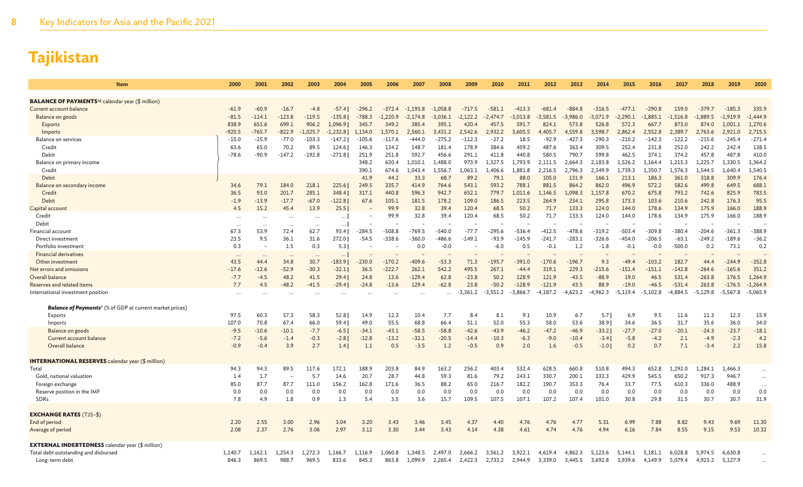| <b>BALANCE OF PAYMENTS</b> <sup>ag</sup> calendar year (\$ million)<br>$-61.9$<br>$-60.9$<br>$-16.7$<br>$-296.2$<br>$-717.5$<br>$-413.3$<br>$-681.4$<br>$-316.5$<br>$-290.8$<br>159.0<br>335.9<br>Current account balance<br>$-4.8$<br>$-57.4$<br>$-372.4$<br>$-1,193.8$<br>$-1.058.8$<br>$-581.1$<br>$-884.8$<br>$-477.1$<br>$-379.7$<br>$-185.3$<br>$-81.5$<br>$-123.8$<br>$-119.5$<br>$-1,444.9$<br>Balance on goods<br>$-114.1$<br>$-135.8$<br>$-788.3$<br>$-2,122.2$<br>$-3,013.8$<br>$-3,581.5$<br>$-3,986.0$<br>$-3.071.9$<br>$-2.290.1$<br>$-1.885.1$<br>$-1,516.8$<br>$-1.889.5$<br>$-1,919.9$<br>-1.220.9<br>$-2,174.8$<br>$-3.036.1$<br>$-2.474.7$<br>1,270.6<br>838.9<br>651.6<br>699.1<br>906.2<br>385.4<br>591.7<br>526.8<br>874.0<br>1.096.91<br>345.7<br>349.2<br>395.1<br>420.4<br>824.1<br>573.8<br>572.3<br>667.7<br>873.0<br>1.001.1<br>Exports<br>457.5<br>$-765.7$<br>$-822.9$<br>2.552.8<br>2,715.5<br>$-920.5$<br>$-1.025.7$<br>$-1.232.8$<br>1.134.0<br>1.570.1<br>2.560.1<br>2.542.6<br>2.932.2<br>4.405.7<br>4,559.8<br>3.598.7<br>2.862.4<br>2.389.7<br>2.763.6<br>2.921.0<br>Imports<br>3.431.2<br>3.605.5<br>$-271.4$<br>$-77.0$<br>$-27.2$<br>$-92.9$<br>$-210.2$<br>$-142.3$<br><b>Balance on services</b><br>$-25.9$<br>$-103.3$<br>$-105.6$<br>$-117.6$<br>$-275.2$<br>$-112.3$<br>18.5<br>$-427.3$<br>$-290.3$<br>$-122.2$<br>$-215.6$<br>$-245.4$<br>$-15.0$<br>$-147.2$<br>-444.0<br>70.2<br>89.5<br>148.7<br>181.4<br>178.9<br>384.6<br>459.2<br>487.6<br>309.5<br>252.4<br>231.8<br>252.0<br>242.2<br>138.5<br>Credit<br>63.6<br>65.0<br>124.6<br>134.2<br>363.4<br>242.4<br>146.3<br>251.8<br>592.7<br>456.6<br>291.1<br>580.5<br>790.7<br>599.8<br>462.5<br>374.1<br>374.2<br>457.8<br>487.8<br>410.0<br>Debit<br>$-78.6$<br>$-90.9$<br>$-147.2$<br>$-192.8$<br>$-271.8$<br>251.9<br>411.8<br>440.8<br>1,364.2<br>Balance on primary income<br>348.2<br>630.4<br>1,010.1<br>1,488.0<br>973.9<br>.327.5<br>1,793.9<br>2,111.5<br>2,664.3<br>2,183.8<br>.,526.2<br>1,215.3<br>1,225.7<br>1,330.5<br>1,164.4<br>1,540.5<br>390.1<br>1,043.4<br>1,556.7<br>1,063.1<br>1,881.8<br>2,216.5<br>2,796.3<br>2,349.9<br>1,739.3<br>1,350.7<br>1,576.3<br>1,544.5<br>1,640.4<br>Credit<br>674.6<br>.,406.6<br>Debit<br>41.9<br>44.2<br>33.3<br>68.7<br>89.2<br>79.1<br>88.0<br>105.0<br>131.9<br>213.1<br>186.3<br>361.0<br>318.8<br>309.9<br>176.4<br>166.1<br>688.1<br>79.1<br>218.1<br>225.6<br>249.5<br>543.1<br>593.2<br>788.1<br>881.5<br>862.0<br>496.9<br>582.6<br>499.8<br>34.6<br>184.0<br>335.7<br>414.9<br>764.6<br>864.2<br>572.2<br>649.5<br>Balance on secondary income<br>783.5<br>93.0<br>285.1<br>348.4<br>596.3<br>942.7<br>652.1<br>779.7<br>670.2<br>793.2<br>742.6<br>Credit<br>36.5<br>201.7<br>317.1<br>440.8<br>1,011.6<br>1,146.5<br>1.098.3<br>1,157.8<br>675.8<br>825.9<br>95.5<br>Debit<br>$-13.9$<br>$-17.7$<br>$-67.0$<br>$-122.8$<br>67.6<br>105.1<br>181.5<br>178.2<br>109.0<br>186.5<br>223.5<br>264.9<br>234.1<br>295.8<br>173.3<br>103.6<br>210.6<br>242.8<br>176.3<br>$-1.9$<br>32.8<br>133.3<br>188.9<br>15.2<br>45.4<br>13.9<br>25.5<br>99.9<br>39.4<br>120.4<br>68.5<br>50.2<br>71.7<br>124.0<br>144.0<br>178.6<br>134.9<br>175.9<br>166.0<br>Capital account<br>4.5<br>188.9<br>Credit<br>99.9<br>32.8<br>39.4<br>120.4<br>68.5<br>50.2<br>71.7<br>133.3<br>124.0<br>144.0<br>178.6<br>134.9<br>175.9<br>166.0<br><br>$\cdots$<br>$\cdots$<br><br>$\cdots$<br>Debit<br>$\cdots$<br>$\cdots$<br>$\ddots$<br>$\cdot \cdot$<br>$-388.9$<br>62.7<br>$-769.5$<br>$-77.7$<br>$-412.5$<br>$-503.4$<br><b>Financial account</b><br>67.3<br>53.9<br>72.4<br>$-284.5$<br>$-508.8$<br>$-540.0$<br>$-295.6$<br>$-536.4$<br>$-478.6$<br>$-319.2$<br>$-309.8$<br>$-380.4$<br>$-204.6$<br>$-361.3$<br>93.4<br>23.5<br>9.5<br>36.1<br>31.6<br>272.0<br>$-338.6$<br>$-360.0$<br>$-486.6$<br>$-149.1$<br>$-93.9$<br>$-241.7$<br>$-283.1$<br>$-326.6$<br>$-454.0$<br>$-206.5$<br>$-63.1$<br>$-249.2$<br>$-189.6$<br>$-36.2$<br>Direct investment<br>$-54.5$<br>$-145.9$<br>1.5<br>0.0<br>$-0.1$<br>73.1<br>0.2<br>Portfolio investment<br>0.3<br>0.3<br>$-0.0$<br>$-6.0$<br>0.5<br>$-0.1$<br>$-500.0$<br>0.2<br>5.3<br>1.2<br>$-1.8$<br>$-0.0$<br><b>Financial derivatives</b><br>$\cdots$<br>182.7<br>$-352.8$<br>43.5<br>34.8<br>30.7<br>$-230.0$<br>$-170.2$<br>$-409.6$<br>$-53.3$<br>71.3<br>$-195.7$<br>$-391.0$<br>$-170.6$<br>$-196.7$<br>9.3<br>$-49.4$<br>$-103.2$<br>Other investment<br>-183.9  <br>44.4<br>$-244.9$<br>44.4<br>$-52.9$<br>$-30.3$<br>229.3<br>351.2<br>$-17.6$<br>$-12.6$<br>$-32.1$<br>$-222.7$<br>262.1<br>542.2<br>495.5<br>267.1<br>319.1<br>$-215.6$<br>$-151.4$<br>$-151.1$<br>$-142.8$<br>$-165.6$<br>Net errors and omissions<br>36.5<br>$-44.4$<br>$-264.6$<br>Overall balance<br>$-7.7$<br>$-4.5$<br>48.2<br>41.5<br>13.6<br>$-129.4$<br>62.8<br>$-23.8$<br>50.2<br>128.9<br>121.9<br>$-43.5$<br>$-88.9$<br>19.0<br>46.5<br>531.4<br>$-263.8$<br>1,264.9<br>29.4<br>24.8<br>176.5<br>7.7<br>$-48.2$<br>$-13.6$<br>129.4<br>23.8<br>$-50.2$<br>$-128.9$<br>$-121.9$<br>43.5<br>88.9<br>$-19.0$<br>$-531.4$<br>263.8<br>$-1,264.9$<br>Reserves and related items<br>4.5<br>$-41.5$<br>$-29.4$<br>$-24.8$<br>$-62.8$<br>$-46.5$<br>$-176.5$<br>$-3.361.2$<br>$-4.187.2$<br>$-4.623.2$<br>$-5.129.8$<br>$-5,065.9$<br>International investment position<br>$-3.551.2$<br>$-3,866.7$<br>$-4,962.3$<br>$-5.119.4$<br>$-5.102.8$<br>$-4.884.5$<br>$-5,567.8$<br><b>Balance of Payments</b> <sup>y</sup> (% of GDP at current market prices)<br>15.9<br>97.5<br>60.3<br>57.3<br>58.3<br>12.3<br>10.4<br>7.7<br>8.1<br>9.1<br>10.9<br>9.5<br>11.6<br>11.3<br>12.3<br>Exports<br>52.8<br>14.9<br>8.4<br>6.7<br>5.7<br>6.9<br>55.5<br>34.0<br>67.4<br>51.1<br>52.0<br>58.0<br>53.6<br>31.7<br>35.6<br>36.0<br>Imports<br>107.0<br>70.8<br>66.0<br>59.4<br>49.0<br>68.8<br>66.4<br>55.3<br>38.9<br>34.6<br>36.5<br>$-18.1$<br>$-9.5$<br>$-10.6$<br>$-10.1$<br>$-7.7$<br>$-34.1$<br>$-43.1$<br>$-58.5$<br>$-58.8$<br>$-42.6$<br>$-43.9$<br>$-47.2$<br>$-46.9$<br>$-33.2$<br>$-27.7$<br>$-27.0$<br>$-20.1$<br>$-24.3$<br>$-23.7$<br>Balance on goods<br>$-6.5$<br>$-46.2$<br>$-7.2$<br>$-1.4$<br>$-13.2$<br>$-32.1$<br>$-2.3$<br>4.2<br>Current account balance<br>$-5.6$<br>$-0.3$<br>$-2.8$<br>$-12.8$<br>$-20.5$<br>$-14.4$<br>$-10.3$<br>$-6.3$<br>$-9.0$<br>$-10.4$<br>$-3.4$<br>$-5.8$<br>$-4.2$<br>2.1<br>$-4.9$<br>7.1<br>15.8<br>Overall balance<br>$-0.9$<br>$-0.4$<br>3.9<br>2.7<br>1.1<br>0.5<br>$-3.5$<br>1.2<br>$-0.5$<br>0.9<br>2.0<br>1.6<br>$-0.5$<br>$-1.0$<br>0.2<br>0.7<br>$-3.4$<br>2.2<br>1.4<br><b>INTERNATIONAL RESERVES</b> calendar year (\$ million)<br>Total<br>89.5<br>117.6<br>172.1<br>188.9<br>203.8<br>84.9<br>256.2<br>403.4<br>532.4<br>628.5<br>660.8<br>510.8<br>494.3<br>1.284.1<br>1.466.3<br>94.3<br>94.3<br>163.2<br>652.8<br>1,292.0<br>$\cdots$<br>20.7<br>28.7<br>59.3<br>79.2<br>243.1<br>330.7<br>200.1<br>333.3<br>429.9<br>917.3<br>1.4<br>1.7<br>5.7<br>14.6<br>44.8<br>81.6<br>545.5<br>650.2<br>946.7<br>Gold, national valuation<br>$\ddots$<br>190.7<br>77.5<br>336.0<br>488.9<br>Foreign exchange<br>85.0<br>87.7<br>87.7<br>111.0<br>156.2<br>162.8<br>171.6<br>36.5<br>88.2<br>65.0<br>216.7<br>182.2<br>353.3<br>76.4<br>33.7<br>610.3<br>$\cdots$<br>0.0<br>0.0<br>0.0<br>0.0<br>0.0<br>0.0<br>0.0<br>0.0<br>0.0<br>0.0<br>0.0<br>0.0<br>Reserve position in the IMF<br>0.0<br>0.0<br>0.0<br>0.0<br>0.0<br>0.0<br>0.0<br>0.0<br>0.0<br><b>SDRs</b><br>7.8<br>4.9<br>1.8<br>0.9<br>1.3<br>5.4<br>3.5<br>3.6<br>15.7<br>109.5<br>107.5<br>107.2<br>107.4<br>101.0<br>30.8<br>29.8<br>31.5<br>30.7<br>30.7<br>31.9<br>107.1<br><b>EXCHANGE RATES (TJS-\$)</b><br>End of period<br>2.55<br>3.00<br>2.96<br>3.04<br>3.20<br>3.46<br>6.99<br>7.88<br>9.43<br>9.69<br>11.30<br>2.20<br>3.43<br>3.45<br>4.37<br>4.40<br>4.76<br>4.76<br>4.77<br>5.31<br>8.82<br>10.32<br>Average of period<br>2.37<br>2.76<br>3.06<br>2.97<br>3.12<br>3.30<br>3.43<br>7.84<br>8.55<br>9.53<br>2.08<br>3.44<br>4.14<br>4.38<br>4.74<br>4.76<br>4.94<br>6.16<br>9.15<br>4.61<br><b>EXTERNAL INDEBTEDNESS</b> calendar year (\$ million)<br>Total debt outstanding and disbursed<br>1.140.7<br>254.3<br>1,272.3<br>.116.9<br>1.060.8<br>2,666.2<br>3.561.2<br>3,922.1<br>4.619.4<br>4,862.3<br>5,123.6<br>5,144.1<br>5.181.1<br>6.028.8<br>5,974.5<br>6,630.8<br>1.166<br>24970<br>$\ddots$<br>869.5<br>969.5<br>833.6<br>3,692.8<br>Long-term debt<br>846.3<br>988.7<br>845.3<br>863.8<br>1,099.9<br>2,265.4<br>2,422.3<br>2,733.2<br>2,944.9<br>3,339.0<br>3,445.5<br>3,939.6<br>4,149.9<br>5,079.4<br>4,923.2<br>5,127.9<br>$\ddotsc$ | Item | 2000 | 2001 | 2002 | 2003 | 2004 | 2005 | 2006 | 2007 | 2008 | 2009 | 2010 | 2011 | 2012 | 2013 | 2014 | 2015 | 2016 | 2017 | 2018 | 2019 | 2020 |
|------------------------------------------------------------------------------------------------------------------------------------------------------------------------------------------------------------------------------------------------------------------------------------------------------------------------------------------------------------------------------------------------------------------------------------------------------------------------------------------------------------------------------------------------------------------------------------------------------------------------------------------------------------------------------------------------------------------------------------------------------------------------------------------------------------------------------------------------------------------------------------------------------------------------------------------------------------------------------------------------------------------------------------------------------------------------------------------------------------------------------------------------------------------------------------------------------------------------------------------------------------------------------------------------------------------------------------------------------------------------------------------------------------------------------------------------------------------------------------------------------------------------------------------------------------------------------------------------------------------------------------------------------------------------------------------------------------------------------------------------------------------------------------------------------------------------------------------------------------------------------------------------------------------------------------------------------------------------------------------------------------------------------------------------------------------------------------------------------------------------------------------------------------------------------------------------------------------------------------------------------------------------------------------------------------------------------------------------------------------------------------------------------------------------------------------------------------------------------------------------------------------------------------------------------------------------------------------------------------------------------------------------------------------------------------------------------------------------------------------------------------------------------------------------------------------------------------------------------------------------------------------------------------------------------------------------------------------------------------------------------------------------------------------------------------------------------------------------------------------------------------------------------------------------------------------------------------------------------------------------------------------------------------------------------------------------------------------------------------------------------------------------------------------------------------------------------------------------------------------------------------------------------------------------------------------------------------------------------------------------------------------------------------------------------------------------------------------------------------------------------------------------------------------------------------------------------------------------------------------------------------------------------------------------------------------------------------------------------------------------------------------------------------------------------------------------------------------------------------------------------------------------------------------------------------------------------------------------------------------------------------------------------------------------------------------------------------------------------------------------------------------------------------------------------------------------------------------------------------------------------------------------------------------------------------------------------------------------------------------------------------------------------------------------------------------------------------------------------------------------------------------------------------------------------------------------------------------------------------------------------------------------------------------------------------------------------------------------------------------------------------------------------------------------------------------------------------------------------------------------------------------------------------------------------------------------------------------------------------------------------------------------------------------------------------------------------------------------------------------------------------------------------------------------------------------------------------------------------------------------------------------------------------------------------------------------------------------------------------------------------------------------------------------------------------------------------------------------------------------------------------------------------------------------------------------------------------------------------------------------------------------------------------------------------------------------------------------------------------------------------------------------------------------------------------------------------------------------------------------------------------------------------------------------------------------------------------------------------------------------------------------------------------------------------------------------------------------------------------------------------------------------------------------------------------------------------------------------------------------------------------------------------------------------------------------------------------------------------------------------------------------------------------------------------------------------------------------------------------------------------------------------------------------------------------------------------------------------------------------------------------------------------------------------------------------------------------------------------------------------------------------------------------------------------------------------------------------------------------------------------------------------------------------------------------------------------------------------------------------------------------------------------------------------------------------------------------------------------------------------------------------------------------------------------------------------------------------------------------------------------------------------------------------------------------------------------------------------------------------------------------------------------------------------------------------------------------------------------------------------------------------------------------------------------------------------------------------------------------------------------------------------------------------------------------------------------------------------------------------------------------------------------------------------------------------------------------------------------------------------------------------------------------------------------------------------------------------------------------------------------------------------------------------------------------------------------------------------------------------------------------------------------------------------------------------------------------------------------------------------------------------------------------------------------------------------------------------------------------------------------------------------------|------|------|------|------|------|------|------|------|------|------|------|------|------|------|------|------|------|------|------|------|------|------|
|                                                                                                                                                                                                                                                                                                                                                                                                                                                                                                                                                                                                                                                                                                                                                                                                                                                                                                                                                                                                                                                                                                                                                                                                                                                                                                                                                                                                                                                                                                                                                                                                                                                                                                                                                                                                                                                                                                                                                                                                                                                                                                                                                                                                                                                                                                                                                                                                                                                                                                                                                                                                                                                                                                                                                                                                                                                                                                                                                                                                                                                                                                                                                                                                                                                                                                                                                                                                                                                                                                                                                                                                                                                                                                                                                                                                                                                                                                                                                                                                                                                                                                                                                                                                                                                                                                                                                                                                                                                                                                                                                                                                                                                                                                                                                                                                                                                                                                                                                                                                                                                                                                                                                                                                                                                                                                                                                                                                                                                                                                                                                                                                                                                                                                                                                                                                                                                                                                                                                                                                                                                                                                                                                                                                                                                                                                                                                                                                                                                                                                                                                                                                                                                                                                                                                                                                                                                                                                                                                                                                                                                                                                                                                                                                                                                                                                                                                                                                                                                                                                                                                                                                                                                                                                                                                                                                                                                                                                                                                                                                                                                                                                                                                                                                                                                                                                                                                                                                                                                                                                                                                                                                                                                      |      |      |      |      |      |      |      |      |      |      |      |      |      |      |      |      |      |      |      |      |      |      |
|                                                                                                                                                                                                                                                                                                                                                                                                                                                                                                                                                                                                                                                                                                                                                                                                                                                                                                                                                                                                                                                                                                                                                                                                                                                                                                                                                                                                                                                                                                                                                                                                                                                                                                                                                                                                                                                                                                                                                                                                                                                                                                                                                                                                                                                                                                                                                                                                                                                                                                                                                                                                                                                                                                                                                                                                                                                                                                                                                                                                                                                                                                                                                                                                                                                                                                                                                                                                                                                                                                                                                                                                                                                                                                                                                                                                                                                                                                                                                                                                                                                                                                                                                                                                                                                                                                                                                                                                                                                                                                                                                                                                                                                                                                                                                                                                                                                                                                                                                                                                                                                                                                                                                                                                                                                                                                                                                                                                                                                                                                                                                                                                                                                                                                                                                                                                                                                                                                                                                                                                                                                                                                                                                                                                                                                                                                                                                                                                                                                                                                                                                                                                                                                                                                                                                                                                                                                                                                                                                                                                                                                                                                                                                                                                                                                                                                                                                                                                                                                                                                                                                                                                                                                                                                                                                                                                                                                                                                                                                                                                                                                                                                                                                                                                                                                                                                                                                                                                                                                                                                                                                                                                                                                      |      |      |      |      |      |      |      |      |      |      |      |      |      |      |      |      |      |      |      |      |      |      |
|                                                                                                                                                                                                                                                                                                                                                                                                                                                                                                                                                                                                                                                                                                                                                                                                                                                                                                                                                                                                                                                                                                                                                                                                                                                                                                                                                                                                                                                                                                                                                                                                                                                                                                                                                                                                                                                                                                                                                                                                                                                                                                                                                                                                                                                                                                                                                                                                                                                                                                                                                                                                                                                                                                                                                                                                                                                                                                                                                                                                                                                                                                                                                                                                                                                                                                                                                                                                                                                                                                                                                                                                                                                                                                                                                                                                                                                                                                                                                                                                                                                                                                                                                                                                                                                                                                                                                                                                                                                                                                                                                                                                                                                                                                                                                                                                                                                                                                                                                                                                                                                                                                                                                                                                                                                                                                                                                                                                                                                                                                                                                                                                                                                                                                                                                                                                                                                                                                                                                                                                                                                                                                                                                                                                                                                                                                                                                                                                                                                                                                                                                                                                                                                                                                                                                                                                                                                                                                                                                                                                                                                                                                                                                                                                                                                                                                                                                                                                                                                                                                                                                                                                                                                                                                                                                                                                                                                                                                                                                                                                                                                                                                                                                                                                                                                                                                                                                                                                                                                                                                                                                                                                                                                      |      |      |      |      |      |      |      |      |      |      |      |      |      |      |      |      |      |      |      |      |      |      |
|                                                                                                                                                                                                                                                                                                                                                                                                                                                                                                                                                                                                                                                                                                                                                                                                                                                                                                                                                                                                                                                                                                                                                                                                                                                                                                                                                                                                                                                                                                                                                                                                                                                                                                                                                                                                                                                                                                                                                                                                                                                                                                                                                                                                                                                                                                                                                                                                                                                                                                                                                                                                                                                                                                                                                                                                                                                                                                                                                                                                                                                                                                                                                                                                                                                                                                                                                                                                                                                                                                                                                                                                                                                                                                                                                                                                                                                                                                                                                                                                                                                                                                                                                                                                                                                                                                                                                                                                                                                                                                                                                                                                                                                                                                                                                                                                                                                                                                                                                                                                                                                                                                                                                                                                                                                                                                                                                                                                                                                                                                                                                                                                                                                                                                                                                                                                                                                                                                                                                                                                                                                                                                                                                                                                                                                                                                                                                                                                                                                                                                                                                                                                                                                                                                                                                                                                                                                                                                                                                                                                                                                                                                                                                                                                                                                                                                                                                                                                                                                                                                                                                                                                                                                                                                                                                                                                                                                                                                                                                                                                                                                                                                                                                                                                                                                                                                                                                                                                                                                                                                                                                                                                                                                      |      |      |      |      |      |      |      |      |      |      |      |      |      |      |      |      |      |      |      |      |      |      |
|                                                                                                                                                                                                                                                                                                                                                                                                                                                                                                                                                                                                                                                                                                                                                                                                                                                                                                                                                                                                                                                                                                                                                                                                                                                                                                                                                                                                                                                                                                                                                                                                                                                                                                                                                                                                                                                                                                                                                                                                                                                                                                                                                                                                                                                                                                                                                                                                                                                                                                                                                                                                                                                                                                                                                                                                                                                                                                                                                                                                                                                                                                                                                                                                                                                                                                                                                                                                                                                                                                                                                                                                                                                                                                                                                                                                                                                                                                                                                                                                                                                                                                                                                                                                                                                                                                                                                                                                                                                                                                                                                                                                                                                                                                                                                                                                                                                                                                                                                                                                                                                                                                                                                                                                                                                                                                                                                                                                                                                                                                                                                                                                                                                                                                                                                                                                                                                                                                                                                                                                                                                                                                                                                                                                                                                                                                                                                                                                                                                                                                                                                                                                                                                                                                                                                                                                                                                                                                                                                                                                                                                                                                                                                                                                                                                                                                                                                                                                                                                                                                                                                                                                                                                                                                                                                                                                                                                                                                                                                                                                                                                                                                                                                                                                                                                                                                                                                                                                                                                                                                                                                                                                                                                      |      |      |      |      |      |      |      |      |      |      |      |      |      |      |      |      |      |      |      |      |      |      |
|                                                                                                                                                                                                                                                                                                                                                                                                                                                                                                                                                                                                                                                                                                                                                                                                                                                                                                                                                                                                                                                                                                                                                                                                                                                                                                                                                                                                                                                                                                                                                                                                                                                                                                                                                                                                                                                                                                                                                                                                                                                                                                                                                                                                                                                                                                                                                                                                                                                                                                                                                                                                                                                                                                                                                                                                                                                                                                                                                                                                                                                                                                                                                                                                                                                                                                                                                                                                                                                                                                                                                                                                                                                                                                                                                                                                                                                                                                                                                                                                                                                                                                                                                                                                                                                                                                                                                                                                                                                                                                                                                                                                                                                                                                                                                                                                                                                                                                                                                                                                                                                                                                                                                                                                                                                                                                                                                                                                                                                                                                                                                                                                                                                                                                                                                                                                                                                                                                                                                                                                                                                                                                                                                                                                                                                                                                                                                                                                                                                                                                                                                                                                                                                                                                                                                                                                                                                                                                                                                                                                                                                                                                                                                                                                                                                                                                                                                                                                                                                                                                                                                                                                                                                                                                                                                                                                                                                                                                                                                                                                                                                                                                                                                                                                                                                                                                                                                                                                                                                                                                                                                                                                                                                      |      |      |      |      |      |      |      |      |      |      |      |      |      |      |      |      |      |      |      |      |      |      |
|                                                                                                                                                                                                                                                                                                                                                                                                                                                                                                                                                                                                                                                                                                                                                                                                                                                                                                                                                                                                                                                                                                                                                                                                                                                                                                                                                                                                                                                                                                                                                                                                                                                                                                                                                                                                                                                                                                                                                                                                                                                                                                                                                                                                                                                                                                                                                                                                                                                                                                                                                                                                                                                                                                                                                                                                                                                                                                                                                                                                                                                                                                                                                                                                                                                                                                                                                                                                                                                                                                                                                                                                                                                                                                                                                                                                                                                                                                                                                                                                                                                                                                                                                                                                                                                                                                                                                                                                                                                                                                                                                                                                                                                                                                                                                                                                                                                                                                                                                                                                                                                                                                                                                                                                                                                                                                                                                                                                                                                                                                                                                                                                                                                                                                                                                                                                                                                                                                                                                                                                                                                                                                                                                                                                                                                                                                                                                                                                                                                                                                                                                                                                                                                                                                                                                                                                                                                                                                                                                                                                                                                                                                                                                                                                                                                                                                                                                                                                                                                                                                                                                                                                                                                                                                                                                                                                                                                                                                                                                                                                                                                                                                                                                                                                                                                                                                                                                                                                                                                                                                                                                                                                                                                      |      |      |      |      |      |      |      |      |      |      |      |      |      |      |      |      |      |      |      |      |      |      |
|                                                                                                                                                                                                                                                                                                                                                                                                                                                                                                                                                                                                                                                                                                                                                                                                                                                                                                                                                                                                                                                                                                                                                                                                                                                                                                                                                                                                                                                                                                                                                                                                                                                                                                                                                                                                                                                                                                                                                                                                                                                                                                                                                                                                                                                                                                                                                                                                                                                                                                                                                                                                                                                                                                                                                                                                                                                                                                                                                                                                                                                                                                                                                                                                                                                                                                                                                                                                                                                                                                                                                                                                                                                                                                                                                                                                                                                                                                                                                                                                                                                                                                                                                                                                                                                                                                                                                                                                                                                                                                                                                                                                                                                                                                                                                                                                                                                                                                                                                                                                                                                                                                                                                                                                                                                                                                                                                                                                                                                                                                                                                                                                                                                                                                                                                                                                                                                                                                                                                                                                                                                                                                                                                                                                                                                                                                                                                                                                                                                                                                                                                                                                                                                                                                                                                                                                                                                                                                                                                                                                                                                                                                                                                                                                                                                                                                                                                                                                                                                                                                                                                                                                                                                                                                                                                                                                                                                                                                                                                                                                                                                                                                                                                                                                                                                                                                                                                                                                                                                                                                                                                                                                                                                      |      |      |      |      |      |      |      |      |      |      |      |      |      |      |      |      |      |      |      |      |      |      |
|                                                                                                                                                                                                                                                                                                                                                                                                                                                                                                                                                                                                                                                                                                                                                                                                                                                                                                                                                                                                                                                                                                                                                                                                                                                                                                                                                                                                                                                                                                                                                                                                                                                                                                                                                                                                                                                                                                                                                                                                                                                                                                                                                                                                                                                                                                                                                                                                                                                                                                                                                                                                                                                                                                                                                                                                                                                                                                                                                                                                                                                                                                                                                                                                                                                                                                                                                                                                                                                                                                                                                                                                                                                                                                                                                                                                                                                                                                                                                                                                                                                                                                                                                                                                                                                                                                                                                                                                                                                                                                                                                                                                                                                                                                                                                                                                                                                                                                                                                                                                                                                                                                                                                                                                                                                                                                                                                                                                                                                                                                                                                                                                                                                                                                                                                                                                                                                                                                                                                                                                                                                                                                                                                                                                                                                                                                                                                                                                                                                                                                                                                                                                                                                                                                                                                                                                                                                                                                                                                                                                                                                                                                                                                                                                                                                                                                                                                                                                                                                                                                                                                                                                                                                                                                                                                                                                                                                                                                                                                                                                                                                                                                                                                                                                                                                                                                                                                                                                                                                                                                                                                                                                                                                      |      |      |      |      |      |      |      |      |      |      |      |      |      |      |      |      |      |      |      |      |      |      |
|                                                                                                                                                                                                                                                                                                                                                                                                                                                                                                                                                                                                                                                                                                                                                                                                                                                                                                                                                                                                                                                                                                                                                                                                                                                                                                                                                                                                                                                                                                                                                                                                                                                                                                                                                                                                                                                                                                                                                                                                                                                                                                                                                                                                                                                                                                                                                                                                                                                                                                                                                                                                                                                                                                                                                                                                                                                                                                                                                                                                                                                                                                                                                                                                                                                                                                                                                                                                                                                                                                                                                                                                                                                                                                                                                                                                                                                                                                                                                                                                                                                                                                                                                                                                                                                                                                                                                                                                                                                                                                                                                                                                                                                                                                                                                                                                                                                                                                                                                                                                                                                                                                                                                                                                                                                                                                                                                                                                                                                                                                                                                                                                                                                                                                                                                                                                                                                                                                                                                                                                                                                                                                                                                                                                                                                                                                                                                                                                                                                                                                                                                                                                                                                                                                                                                                                                                                                                                                                                                                                                                                                                                                                                                                                                                                                                                                                                                                                                                                                                                                                                                                                                                                                                                                                                                                                                                                                                                                                                                                                                                                                                                                                                                                                                                                                                                                                                                                                                                                                                                                                                                                                                                                                      |      |      |      |      |      |      |      |      |      |      |      |      |      |      |      |      |      |      |      |      |      |      |
|                                                                                                                                                                                                                                                                                                                                                                                                                                                                                                                                                                                                                                                                                                                                                                                                                                                                                                                                                                                                                                                                                                                                                                                                                                                                                                                                                                                                                                                                                                                                                                                                                                                                                                                                                                                                                                                                                                                                                                                                                                                                                                                                                                                                                                                                                                                                                                                                                                                                                                                                                                                                                                                                                                                                                                                                                                                                                                                                                                                                                                                                                                                                                                                                                                                                                                                                                                                                                                                                                                                                                                                                                                                                                                                                                                                                                                                                                                                                                                                                                                                                                                                                                                                                                                                                                                                                                                                                                                                                                                                                                                                                                                                                                                                                                                                                                                                                                                                                                                                                                                                                                                                                                                                                                                                                                                                                                                                                                                                                                                                                                                                                                                                                                                                                                                                                                                                                                                                                                                                                                                                                                                                                                                                                                                                                                                                                                                                                                                                                                                                                                                                                                                                                                                                                                                                                                                                                                                                                                                                                                                                                                                                                                                                                                                                                                                                                                                                                                                                                                                                                                                                                                                                                                                                                                                                                                                                                                                                                                                                                                                                                                                                                                                                                                                                                                                                                                                                                                                                                                                                                                                                                                                                      |      |      |      |      |      |      |      |      |      |      |      |      |      |      |      |      |      |      |      |      |      |      |
|                                                                                                                                                                                                                                                                                                                                                                                                                                                                                                                                                                                                                                                                                                                                                                                                                                                                                                                                                                                                                                                                                                                                                                                                                                                                                                                                                                                                                                                                                                                                                                                                                                                                                                                                                                                                                                                                                                                                                                                                                                                                                                                                                                                                                                                                                                                                                                                                                                                                                                                                                                                                                                                                                                                                                                                                                                                                                                                                                                                                                                                                                                                                                                                                                                                                                                                                                                                                                                                                                                                                                                                                                                                                                                                                                                                                                                                                                                                                                                                                                                                                                                                                                                                                                                                                                                                                                                                                                                                                                                                                                                                                                                                                                                                                                                                                                                                                                                                                                                                                                                                                                                                                                                                                                                                                                                                                                                                                                                                                                                                                                                                                                                                                                                                                                                                                                                                                                                                                                                                                                                                                                                                                                                                                                                                                                                                                                                                                                                                                                                                                                                                                                                                                                                                                                                                                                                                                                                                                                                                                                                                                                                                                                                                                                                                                                                                                                                                                                                                                                                                                                                                                                                                                                                                                                                                                                                                                                                                                                                                                                                                                                                                                                                                                                                                                                                                                                                                                                                                                                                                                                                                                                                                      |      |      |      |      |      |      |      |      |      |      |      |      |      |      |      |      |      |      |      |      |      |      |
|                                                                                                                                                                                                                                                                                                                                                                                                                                                                                                                                                                                                                                                                                                                                                                                                                                                                                                                                                                                                                                                                                                                                                                                                                                                                                                                                                                                                                                                                                                                                                                                                                                                                                                                                                                                                                                                                                                                                                                                                                                                                                                                                                                                                                                                                                                                                                                                                                                                                                                                                                                                                                                                                                                                                                                                                                                                                                                                                                                                                                                                                                                                                                                                                                                                                                                                                                                                                                                                                                                                                                                                                                                                                                                                                                                                                                                                                                                                                                                                                                                                                                                                                                                                                                                                                                                                                                                                                                                                                                                                                                                                                                                                                                                                                                                                                                                                                                                                                                                                                                                                                                                                                                                                                                                                                                                                                                                                                                                                                                                                                                                                                                                                                                                                                                                                                                                                                                                                                                                                                                                                                                                                                                                                                                                                                                                                                                                                                                                                                                                                                                                                                                                                                                                                                                                                                                                                                                                                                                                                                                                                                                                                                                                                                                                                                                                                                                                                                                                                                                                                                                                                                                                                                                                                                                                                                                                                                                                                                                                                                                                                                                                                                                                                                                                                                                                                                                                                                                                                                                                                                                                                                                                                      |      |      |      |      |      |      |      |      |      |      |      |      |      |      |      |      |      |      |      |      |      |      |
|                                                                                                                                                                                                                                                                                                                                                                                                                                                                                                                                                                                                                                                                                                                                                                                                                                                                                                                                                                                                                                                                                                                                                                                                                                                                                                                                                                                                                                                                                                                                                                                                                                                                                                                                                                                                                                                                                                                                                                                                                                                                                                                                                                                                                                                                                                                                                                                                                                                                                                                                                                                                                                                                                                                                                                                                                                                                                                                                                                                                                                                                                                                                                                                                                                                                                                                                                                                                                                                                                                                                                                                                                                                                                                                                                                                                                                                                                                                                                                                                                                                                                                                                                                                                                                                                                                                                                                                                                                                                                                                                                                                                                                                                                                                                                                                                                                                                                                                                                                                                                                                                                                                                                                                                                                                                                                                                                                                                                                                                                                                                                                                                                                                                                                                                                                                                                                                                                                                                                                                                                                                                                                                                                                                                                                                                                                                                                                                                                                                                                                                                                                                                                                                                                                                                                                                                                                                                                                                                                                                                                                                                                                                                                                                                                                                                                                                                                                                                                                                                                                                                                                                                                                                                                                                                                                                                                                                                                                                                                                                                                                                                                                                                                                                                                                                                                                                                                                                                                                                                                                                                                                                                                                                      |      |      |      |      |      |      |      |      |      |      |      |      |      |      |      |      |      |      |      |      |      |      |
|                                                                                                                                                                                                                                                                                                                                                                                                                                                                                                                                                                                                                                                                                                                                                                                                                                                                                                                                                                                                                                                                                                                                                                                                                                                                                                                                                                                                                                                                                                                                                                                                                                                                                                                                                                                                                                                                                                                                                                                                                                                                                                                                                                                                                                                                                                                                                                                                                                                                                                                                                                                                                                                                                                                                                                                                                                                                                                                                                                                                                                                                                                                                                                                                                                                                                                                                                                                                                                                                                                                                                                                                                                                                                                                                                                                                                                                                                                                                                                                                                                                                                                                                                                                                                                                                                                                                                                                                                                                                                                                                                                                                                                                                                                                                                                                                                                                                                                                                                                                                                                                                                                                                                                                                                                                                                                                                                                                                                                                                                                                                                                                                                                                                                                                                                                                                                                                                                                                                                                                                                                                                                                                                                                                                                                                                                                                                                                                                                                                                                                                                                                                                                                                                                                                                                                                                                                                                                                                                                                                                                                                                                                                                                                                                                                                                                                                                                                                                                                                                                                                                                                                                                                                                                                                                                                                                                                                                                                                                                                                                                                                                                                                                                                                                                                                                                                                                                                                                                                                                                                                                                                                                                                                      |      |      |      |      |      |      |      |      |      |      |      |      |      |      |      |      |      |      |      |      |      |      |
|                                                                                                                                                                                                                                                                                                                                                                                                                                                                                                                                                                                                                                                                                                                                                                                                                                                                                                                                                                                                                                                                                                                                                                                                                                                                                                                                                                                                                                                                                                                                                                                                                                                                                                                                                                                                                                                                                                                                                                                                                                                                                                                                                                                                                                                                                                                                                                                                                                                                                                                                                                                                                                                                                                                                                                                                                                                                                                                                                                                                                                                                                                                                                                                                                                                                                                                                                                                                                                                                                                                                                                                                                                                                                                                                                                                                                                                                                                                                                                                                                                                                                                                                                                                                                                                                                                                                                                                                                                                                                                                                                                                                                                                                                                                                                                                                                                                                                                                                                                                                                                                                                                                                                                                                                                                                                                                                                                                                                                                                                                                                                                                                                                                                                                                                                                                                                                                                                                                                                                                                                                                                                                                                                                                                                                                                                                                                                                                                                                                                                                                                                                                                                                                                                                                                                                                                                                                                                                                                                                                                                                                                                                                                                                                                                                                                                                                                                                                                                                                                                                                                                                                                                                                                                                                                                                                                                                                                                                                                                                                                                                                                                                                                                                                                                                                                                                                                                                                                                                                                                                                                                                                                                                                      |      |      |      |      |      |      |      |      |      |      |      |      |      |      |      |      |      |      |      |      |      |      |
|                                                                                                                                                                                                                                                                                                                                                                                                                                                                                                                                                                                                                                                                                                                                                                                                                                                                                                                                                                                                                                                                                                                                                                                                                                                                                                                                                                                                                                                                                                                                                                                                                                                                                                                                                                                                                                                                                                                                                                                                                                                                                                                                                                                                                                                                                                                                                                                                                                                                                                                                                                                                                                                                                                                                                                                                                                                                                                                                                                                                                                                                                                                                                                                                                                                                                                                                                                                                                                                                                                                                                                                                                                                                                                                                                                                                                                                                                                                                                                                                                                                                                                                                                                                                                                                                                                                                                                                                                                                                                                                                                                                                                                                                                                                                                                                                                                                                                                                                                                                                                                                                                                                                                                                                                                                                                                                                                                                                                                                                                                                                                                                                                                                                                                                                                                                                                                                                                                                                                                                                                                                                                                                                                                                                                                                                                                                                                                                                                                                                                                                                                                                                                                                                                                                                                                                                                                                                                                                                                                                                                                                                                                                                                                                                                                                                                                                                                                                                                                                                                                                                                                                                                                                                                                                                                                                                                                                                                                                                                                                                                                                                                                                                                                                                                                                                                                                                                                                                                                                                                                                                                                                                                                                      |      |      |      |      |      |      |      |      |      |      |      |      |      |      |      |      |      |      |      |      |      |      |
|                                                                                                                                                                                                                                                                                                                                                                                                                                                                                                                                                                                                                                                                                                                                                                                                                                                                                                                                                                                                                                                                                                                                                                                                                                                                                                                                                                                                                                                                                                                                                                                                                                                                                                                                                                                                                                                                                                                                                                                                                                                                                                                                                                                                                                                                                                                                                                                                                                                                                                                                                                                                                                                                                                                                                                                                                                                                                                                                                                                                                                                                                                                                                                                                                                                                                                                                                                                                                                                                                                                                                                                                                                                                                                                                                                                                                                                                                                                                                                                                                                                                                                                                                                                                                                                                                                                                                                                                                                                                                                                                                                                                                                                                                                                                                                                                                                                                                                                                                                                                                                                                                                                                                                                                                                                                                                                                                                                                                                                                                                                                                                                                                                                                                                                                                                                                                                                                                                                                                                                                                                                                                                                                                                                                                                                                                                                                                                                                                                                                                                                                                                                                                                                                                                                                                                                                                                                                                                                                                                                                                                                                                                                                                                                                                                                                                                                                                                                                                                                                                                                                                                                                                                                                                                                                                                                                                                                                                                                                                                                                                                                                                                                                                                                                                                                                                                                                                                                                                                                                                                                                                                                                                                                      |      |      |      |      |      |      |      |      |      |      |      |      |      |      |      |      |      |      |      |      |      |      |
|                                                                                                                                                                                                                                                                                                                                                                                                                                                                                                                                                                                                                                                                                                                                                                                                                                                                                                                                                                                                                                                                                                                                                                                                                                                                                                                                                                                                                                                                                                                                                                                                                                                                                                                                                                                                                                                                                                                                                                                                                                                                                                                                                                                                                                                                                                                                                                                                                                                                                                                                                                                                                                                                                                                                                                                                                                                                                                                                                                                                                                                                                                                                                                                                                                                                                                                                                                                                                                                                                                                                                                                                                                                                                                                                                                                                                                                                                                                                                                                                                                                                                                                                                                                                                                                                                                                                                                                                                                                                                                                                                                                                                                                                                                                                                                                                                                                                                                                                                                                                                                                                                                                                                                                                                                                                                                                                                                                                                                                                                                                                                                                                                                                                                                                                                                                                                                                                                                                                                                                                                                                                                                                                                                                                                                                                                                                                                                                                                                                                                                                                                                                                                                                                                                                                                                                                                                                                                                                                                                                                                                                                                                                                                                                                                                                                                                                                                                                                                                                                                                                                                                                                                                                                                                                                                                                                                                                                                                                                                                                                                                                                                                                                                                                                                                                                                                                                                                                                                                                                                                                                                                                                                                                      |      |      |      |      |      |      |      |      |      |      |      |      |      |      |      |      |      |      |      |      |      |      |
|                                                                                                                                                                                                                                                                                                                                                                                                                                                                                                                                                                                                                                                                                                                                                                                                                                                                                                                                                                                                                                                                                                                                                                                                                                                                                                                                                                                                                                                                                                                                                                                                                                                                                                                                                                                                                                                                                                                                                                                                                                                                                                                                                                                                                                                                                                                                                                                                                                                                                                                                                                                                                                                                                                                                                                                                                                                                                                                                                                                                                                                                                                                                                                                                                                                                                                                                                                                                                                                                                                                                                                                                                                                                                                                                                                                                                                                                                                                                                                                                                                                                                                                                                                                                                                                                                                                                                                                                                                                                                                                                                                                                                                                                                                                                                                                                                                                                                                                                                                                                                                                                                                                                                                                                                                                                                                                                                                                                                                                                                                                                                                                                                                                                                                                                                                                                                                                                                                                                                                                                                                                                                                                                                                                                                                                                                                                                                                                                                                                                                                                                                                                                                                                                                                                                                                                                                                                                                                                                                                                                                                                                                                                                                                                                                                                                                                                                                                                                                                                                                                                                                                                                                                                                                                                                                                                                                                                                                                                                                                                                                                                                                                                                                                                                                                                                                                                                                                                                                                                                                                                                                                                                                                                      |      |      |      |      |      |      |      |      |      |      |      |      |      |      |      |      |      |      |      |      |      |      |
|                                                                                                                                                                                                                                                                                                                                                                                                                                                                                                                                                                                                                                                                                                                                                                                                                                                                                                                                                                                                                                                                                                                                                                                                                                                                                                                                                                                                                                                                                                                                                                                                                                                                                                                                                                                                                                                                                                                                                                                                                                                                                                                                                                                                                                                                                                                                                                                                                                                                                                                                                                                                                                                                                                                                                                                                                                                                                                                                                                                                                                                                                                                                                                                                                                                                                                                                                                                                                                                                                                                                                                                                                                                                                                                                                                                                                                                                                                                                                                                                                                                                                                                                                                                                                                                                                                                                                                                                                                                                                                                                                                                                                                                                                                                                                                                                                                                                                                                                                                                                                                                                                                                                                                                                                                                                                                                                                                                                                                                                                                                                                                                                                                                                                                                                                                                                                                                                                                                                                                                                                                                                                                                                                                                                                                                                                                                                                                                                                                                                                                                                                                                                                                                                                                                                                                                                                                                                                                                                                                                                                                                                                                                                                                                                                                                                                                                                                                                                                                                                                                                                                                                                                                                                                                                                                                                                                                                                                                                                                                                                                                                                                                                                                                                                                                                                                                                                                                                                                                                                                                                                                                                                                                                      |      |      |      |      |      |      |      |      |      |      |      |      |      |      |      |      |      |      |      |      |      |      |
|                                                                                                                                                                                                                                                                                                                                                                                                                                                                                                                                                                                                                                                                                                                                                                                                                                                                                                                                                                                                                                                                                                                                                                                                                                                                                                                                                                                                                                                                                                                                                                                                                                                                                                                                                                                                                                                                                                                                                                                                                                                                                                                                                                                                                                                                                                                                                                                                                                                                                                                                                                                                                                                                                                                                                                                                                                                                                                                                                                                                                                                                                                                                                                                                                                                                                                                                                                                                                                                                                                                                                                                                                                                                                                                                                                                                                                                                                                                                                                                                                                                                                                                                                                                                                                                                                                                                                                                                                                                                                                                                                                                                                                                                                                                                                                                                                                                                                                                                                                                                                                                                                                                                                                                                                                                                                                                                                                                                                                                                                                                                                                                                                                                                                                                                                                                                                                                                                                                                                                                                                                                                                                                                                                                                                                                                                                                                                                                                                                                                                                                                                                                                                                                                                                                                                                                                                                                                                                                                                                                                                                                                                                                                                                                                                                                                                                                                                                                                                                                                                                                                                                                                                                                                                                                                                                                                                                                                                                                                                                                                                                                                                                                                                                                                                                                                                                                                                                                                                                                                                                                                                                                                                                                      |      |      |      |      |      |      |      |      |      |      |      |      |      |      |      |      |      |      |      |      |      |      |
|                                                                                                                                                                                                                                                                                                                                                                                                                                                                                                                                                                                                                                                                                                                                                                                                                                                                                                                                                                                                                                                                                                                                                                                                                                                                                                                                                                                                                                                                                                                                                                                                                                                                                                                                                                                                                                                                                                                                                                                                                                                                                                                                                                                                                                                                                                                                                                                                                                                                                                                                                                                                                                                                                                                                                                                                                                                                                                                                                                                                                                                                                                                                                                                                                                                                                                                                                                                                                                                                                                                                                                                                                                                                                                                                                                                                                                                                                                                                                                                                                                                                                                                                                                                                                                                                                                                                                                                                                                                                                                                                                                                                                                                                                                                                                                                                                                                                                                                                                                                                                                                                                                                                                                                                                                                                                                                                                                                                                                                                                                                                                                                                                                                                                                                                                                                                                                                                                                                                                                                                                                                                                                                                                                                                                                                                                                                                                                                                                                                                                                                                                                                                                                                                                                                                                                                                                                                                                                                                                                                                                                                                                                                                                                                                                                                                                                                                                                                                                                                                                                                                                                                                                                                                                                                                                                                                                                                                                                                                                                                                                                                                                                                                                                                                                                                                                                                                                                                                                                                                                                                                                                                                                                                      |      |      |      |      |      |      |      |      |      |      |      |      |      |      |      |      |      |      |      |      |      |      |
|                                                                                                                                                                                                                                                                                                                                                                                                                                                                                                                                                                                                                                                                                                                                                                                                                                                                                                                                                                                                                                                                                                                                                                                                                                                                                                                                                                                                                                                                                                                                                                                                                                                                                                                                                                                                                                                                                                                                                                                                                                                                                                                                                                                                                                                                                                                                                                                                                                                                                                                                                                                                                                                                                                                                                                                                                                                                                                                                                                                                                                                                                                                                                                                                                                                                                                                                                                                                                                                                                                                                                                                                                                                                                                                                                                                                                                                                                                                                                                                                                                                                                                                                                                                                                                                                                                                                                                                                                                                                                                                                                                                                                                                                                                                                                                                                                                                                                                                                                                                                                                                                                                                                                                                                                                                                                                                                                                                                                                                                                                                                                                                                                                                                                                                                                                                                                                                                                                                                                                                                                                                                                                                                                                                                                                                                                                                                                                                                                                                                                                                                                                                                                                                                                                                                                                                                                                                                                                                                                                                                                                                                                                                                                                                                                                                                                                                                                                                                                                                                                                                                                                                                                                                                                                                                                                                                                                                                                                                                                                                                                                                                                                                                                                                                                                                                                                                                                                                                                                                                                                                                                                                                                                                      |      |      |      |      |      |      |      |      |      |      |      |      |      |      |      |      |      |      |      |      |      |      |
|                                                                                                                                                                                                                                                                                                                                                                                                                                                                                                                                                                                                                                                                                                                                                                                                                                                                                                                                                                                                                                                                                                                                                                                                                                                                                                                                                                                                                                                                                                                                                                                                                                                                                                                                                                                                                                                                                                                                                                                                                                                                                                                                                                                                                                                                                                                                                                                                                                                                                                                                                                                                                                                                                                                                                                                                                                                                                                                                                                                                                                                                                                                                                                                                                                                                                                                                                                                                                                                                                                                                                                                                                                                                                                                                                                                                                                                                                                                                                                                                                                                                                                                                                                                                                                                                                                                                                                                                                                                                                                                                                                                                                                                                                                                                                                                                                                                                                                                                                                                                                                                                                                                                                                                                                                                                                                                                                                                                                                                                                                                                                                                                                                                                                                                                                                                                                                                                                                                                                                                                                                                                                                                                                                                                                                                                                                                                                                                                                                                                                                                                                                                                                                                                                                                                                                                                                                                                                                                                                                                                                                                                                                                                                                                                                                                                                                                                                                                                                                                                                                                                                                                                                                                                                                                                                                                                                                                                                                                                                                                                                                                                                                                                                                                                                                                                                                                                                                                                                                                                                                                                                                                                                                                      |      |      |      |      |      |      |      |      |      |      |      |      |      |      |      |      |      |      |      |      |      |      |
|                                                                                                                                                                                                                                                                                                                                                                                                                                                                                                                                                                                                                                                                                                                                                                                                                                                                                                                                                                                                                                                                                                                                                                                                                                                                                                                                                                                                                                                                                                                                                                                                                                                                                                                                                                                                                                                                                                                                                                                                                                                                                                                                                                                                                                                                                                                                                                                                                                                                                                                                                                                                                                                                                                                                                                                                                                                                                                                                                                                                                                                                                                                                                                                                                                                                                                                                                                                                                                                                                                                                                                                                                                                                                                                                                                                                                                                                                                                                                                                                                                                                                                                                                                                                                                                                                                                                                                                                                                                                                                                                                                                                                                                                                                                                                                                                                                                                                                                                                                                                                                                                                                                                                                                                                                                                                                                                                                                                                                                                                                                                                                                                                                                                                                                                                                                                                                                                                                                                                                                                                                                                                                                                                                                                                                                                                                                                                                                                                                                                                                                                                                                                                                                                                                                                                                                                                                                                                                                                                                                                                                                                                                                                                                                                                                                                                                                                                                                                                                                                                                                                                                                                                                                                                                                                                                                                                                                                                                                                                                                                                                                                                                                                                                                                                                                                                                                                                                                                                                                                                                                                                                                                                                                      |      |      |      |      |      |      |      |      |      |      |      |      |      |      |      |      |      |      |      |      |      |      |
|                                                                                                                                                                                                                                                                                                                                                                                                                                                                                                                                                                                                                                                                                                                                                                                                                                                                                                                                                                                                                                                                                                                                                                                                                                                                                                                                                                                                                                                                                                                                                                                                                                                                                                                                                                                                                                                                                                                                                                                                                                                                                                                                                                                                                                                                                                                                                                                                                                                                                                                                                                                                                                                                                                                                                                                                                                                                                                                                                                                                                                                                                                                                                                                                                                                                                                                                                                                                                                                                                                                                                                                                                                                                                                                                                                                                                                                                                                                                                                                                                                                                                                                                                                                                                                                                                                                                                                                                                                                                                                                                                                                                                                                                                                                                                                                                                                                                                                                                                                                                                                                                                                                                                                                                                                                                                                                                                                                                                                                                                                                                                                                                                                                                                                                                                                                                                                                                                                                                                                                                                                                                                                                                                                                                                                                                                                                                                                                                                                                                                                                                                                                                                                                                                                                                                                                                                                                                                                                                                                                                                                                                                                                                                                                                                                                                                                                                                                                                                                                                                                                                                                                                                                                                                                                                                                                                                                                                                                                                                                                                                                                                                                                                                                                                                                                                                                                                                                                                                                                                                                                                                                                                                                                      |      |      |      |      |      |      |      |      |      |      |      |      |      |      |      |      |      |      |      |      |      |      |
|                                                                                                                                                                                                                                                                                                                                                                                                                                                                                                                                                                                                                                                                                                                                                                                                                                                                                                                                                                                                                                                                                                                                                                                                                                                                                                                                                                                                                                                                                                                                                                                                                                                                                                                                                                                                                                                                                                                                                                                                                                                                                                                                                                                                                                                                                                                                                                                                                                                                                                                                                                                                                                                                                                                                                                                                                                                                                                                                                                                                                                                                                                                                                                                                                                                                                                                                                                                                                                                                                                                                                                                                                                                                                                                                                                                                                                                                                                                                                                                                                                                                                                                                                                                                                                                                                                                                                                                                                                                                                                                                                                                                                                                                                                                                                                                                                                                                                                                                                                                                                                                                                                                                                                                                                                                                                                                                                                                                                                                                                                                                                                                                                                                                                                                                                                                                                                                                                                                                                                                                                                                                                                                                                                                                                                                                                                                                                                                                                                                                                                                                                                                                                                                                                                                                                                                                                                                                                                                                                                                                                                                                                                                                                                                                                                                                                                                                                                                                                                                                                                                                                                                                                                                                                                                                                                                                                                                                                                                                                                                                                                                                                                                                                                                                                                                                                                                                                                                                                                                                                                                                                                                                                                                      |      |      |      |      |      |      |      |      |      |      |      |      |      |      |      |      |      |      |      |      |      |      |
|                                                                                                                                                                                                                                                                                                                                                                                                                                                                                                                                                                                                                                                                                                                                                                                                                                                                                                                                                                                                                                                                                                                                                                                                                                                                                                                                                                                                                                                                                                                                                                                                                                                                                                                                                                                                                                                                                                                                                                                                                                                                                                                                                                                                                                                                                                                                                                                                                                                                                                                                                                                                                                                                                                                                                                                                                                                                                                                                                                                                                                                                                                                                                                                                                                                                                                                                                                                                                                                                                                                                                                                                                                                                                                                                                                                                                                                                                                                                                                                                                                                                                                                                                                                                                                                                                                                                                                                                                                                                                                                                                                                                                                                                                                                                                                                                                                                                                                                                                                                                                                                                                                                                                                                                                                                                                                                                                                                                                                                                                                                                                                                                                                                                                                                                                                                                                                                                                                                                                                                                                                                                                                                                                                                                                                                                                                                                                                                                                                                                                                                                                                                                                                                                                                                                                                                                                                                                                                                                                                                                                                                                                                                                                                                                                                                                                                                                                                                                                                                                                                                                                                                                                                                                                                                                                                                                                                                                                                                                                                                                                                                                                                                                                                                                                                                                                                                                                                                                                                                                                                                                                                                                                                                      |      |      |      |      |      |      |      |      |      |      |      |      |      |      |      |      |      |      |      |      |      |      |
|                                                                                                                                                                                                                                                                                                                                                                                                                                                                                                                                                                                                                                                                                                                                                                                                                                                                                                                                                                                                                                                                                                                                                                                                                                                                                                                                                                                                                                                                                                                                                                                                                                                                                                                                                                                                                                                                                                                                                                                                                                                                                                                                                                                                                                                                                                                                                                                                                                                                                                                                                                                                                                                                                                                                                                                                                                                                                                                                                                                                                                                                                                                                                                                                                                                                                                                                                                                                                                                                                                                                                                                                                                                                                                                                                                                                                                                                                                                                                                                                                                                                                                                                                                                                                                                                                                                                                                                                                                                                                                                                                                                                                                                                                                                                                                                                                                                                                                                                                                                                                                                                                                                                                                                                                                                                                                                                                                                                                                                                                                                                                                                                                                                                                                                                                                                                                                                                                                                                                                                                                                                                                                                                                                                                                                                                                                                                                                                                                                                                                                                                                                                                                                                                                                                                                                                                                                                                                                                                                                                                                                                                                                                                                                                                                                                                                                                                                                                                                                                                                                                                                                                                                                                                                                                                                                                                                                                                                                                                                                                                                                                                                                                                                                                                                                                                                                                                                                                                                                                                                                                                                                                                                                                      |      |      |      |      |      |      |      |      |      |      |      |      |      |      |      |      |      |      |      |      |      |      |
|                                                                                                                                                                                                                                                                                                                                                                                                                                                                                                                                                                                                                                                                                                                                                                                                                                                                                                                                                                                                                                                                                                                                                                                                                                                                                                                                                                                                                                                                                                                                                                                                                                                                                                                                                                                                                                                                                                                                                                                                                                                                                                                                                                                                                                                                                                                                                                                                                                                                                                                                                                                                                                                                                                                                                                                                                                                                                                                                                                                                                                                                                                                                                                                                                                                                                                                                                                                                                                                                                                                                                                                                                                                                                                                                                                                                                                                                                                                                                                                                                                                                                                                                                                                                                                                                                                                                                                                                                                                                                                                                                                                                                                                                                                                                                                                                                                                                                                                                                                                                                                                                                                                                                                                                                                                                                                                                                                                                                                                                                                                                                                                                                                                                                                                                                                                                                                                                                                                                                                                                                                                                                                                                                                                                                                                                                                                                                                                                                                                                                                                                                                                                                                                                                                                                                                                                                                                                                                                                                                                                                                                                                                                                                                                                                                                                                                                                                                                                                                                                                                                                                                                                                                                                                                                                                                                                                                                                                                                                                                                                                                                                                                                                                                                                                                                                                                                                                                                                                                                                                                                                                                                                                                                      |      |      |      |      |      |      |      |      |      |      |      |      |      |      |      |      |      |      |      |      |      |      |
|                                                                                                                                                                                                                                                                                                                                                                                                                                                                                                                                                                                                                                                                                                                                                                                                                                                                                                                                                                                                                                                                                                                                                                                                                                                                                                                                                                                                                                                                                                                                                                                                                                                                                                                                                                                                                                                                                                                                                                                                                                                                                                                                                                                                                                                                                                                                                                                                                                                                                                                                                                                                                                                                                                                                                                                                                                                                                                                                                                                                                                                                                                                                                                                                                                                                                                                                                                                                                                                                                                                                                                                                                                                                                                                                                                                                                                                                                                                                                                                                                                                                                                                                                                                                                                                                                                                                                                                                                                                                                                                                                                                                                                                                                                                                                                                                                                                                                                                                                                                                                                                                                                                                                                                                                                                                                                                                                                                                                                                                                                                                                                                                                                                                                                                                                                                                                                                                                                                                                                                                                                                                                                                                                                                                                                                                                                                                                                                                                                                                                                                                                                                                                                                                                                                                                                                                                                                                                                                                                                                                                                                                                                                                                                                                                                                                                                                                                                                                                                                                                                                                                                                                                                                                                                                                                                                                                                                                                                                                                                                                                                                                                                                                                                                                                                                                                                                                                                                                                                                                                                                                                                                                                                                      |      |      |      |      |      |      |      |      |      |      |      |      |      |      |      |      |      |      |      |      |      |      |
|                                                                                                                                                                                                                                                                                                                                                                                                                                                                                                                                                                                                                                                                                                                                                                                                                                                                                                                                                                                                                                                                                                                                                                                                                                                                                                                                                                                                                                                                                                                                                                                                                                                                                                                                                                                                                                                                                                                                                                                                                                                                                                                                                                                                                                                                                                                                                                                                                                                                                                                                                                                                                                                                                                                                                                                                                                                                                                                                                                                                                                                                                                                                                                                                                                                                                                                                                                                                                                                                                                                                                                                                                                                                                                                                                                                                                                                                                                                                                                                                                                                                                                                                                                                                                                                                                                                                                                                                                                                                                                                                                                                                                                                                                                                                                                                                                                                                                                                                                                                                                                                                                                                                                                                                                                                                                                                                                                                                                                                                                                                                                                                                                                                                                                                                                                                                                                                                                                                                                                                                                                                                                                                                                                                                                                                                                                                                                                                                                                                                                                                                                                                                                                                                                                                                                                                                                                                                                                                                                                                                                                                                                                                                                                                                                                                                                                                                                                                                                                                                                                                                                                                                                                                                                                                                                                                                                                                                                                                                                                                                                                                                                                                                                                                                                                                                                                                                                                                                                                                                                                                                                                                                                                                      |      |      |      |      |      |      |      |      |      |      |      |      |      |      |      |      |      |      |      |      |      |      |
|                                                                                                                                                                                                                                                                                                                                                                                                                                                                                                                                                                                                                                                                                                                                                                                                                                                                                                                                                                                                                                                                                                                                                                                                                                                                                                                                                                                                                                                                                                                                                                                                                                                                                                                                                                                                                                                                                                                                                                                                                                                                                                                                                                                                                                                                                                                                                                                                                                                                                                                                                                                                                                                                                                                                                                                                                                                                                                                                                                                                                                                                                                                                                                                                                                                                                                                                                                                                                                                                                                                                                                                                                                                                                                                                                                                                                                                                                                                                                                                                                                                                                                                                                                                                                                                                                                                                                                                                                                                                                                                                                                                                                                                                                                                                                                                                                                                                                                                                                                                                                                                                                                                                                                                                                                                                                                                                                                                                                                                                                                                                                                                                                                                                                                                                                                                                                                                                                                                                                                                                                                                                                                                                                                                                                                                                                                                                                                                                                                                                                                                                                                                                                                                                                                                                                                                                                                                                                                                                                                                                                                                                                                                                                                                                                                                                                                                                                                                                                                                                                                                                                                                                                                                                                                                                                                                                                                                                                                                                                                                                                                                                                                                                                                                                                                                                                                                                                                                                                                                                                                                                                                                                                                                      |      |      |      |      |      |      |      |      |      |      |      |      |      |      |      |      |      |      |      |      |      |      |
|                                                                                                                                                                                                                                                                                                                                                                                                                                                                                                                                                                                                                                                                                                                                                                                                                                                                                                                                                                                                                                                                                                                                                                                                                                                                                                                                                                                                                                                                                                                                                                                                                                                                                                                                                                                                                                                                                                                                                                                                                                                                                                                                                                                                                                                                                                                                                                                                                                                                                                                                                                                                                                                                                                                                                                                                                                                                                                                                                                                                                                                                                                                                                                                                                                                                                                                                                                                                                                                                                                                                                                                                                                                                                                                                                                                                                                                                                                                                                                                                                                                                                                                                                                                                                                                                                                                                                                                                                                                                                                                                                                                                                                                                                                                                                                                                                                                                                                                                                                                                                                                                                                                                                                                                                                                                                                                                                                                                                                                                                                                                                                                                                                                                                                                                                                                                                                                                                                                                                                                                                                                                                                                                                                                                                                                                                                                                                                                                                                                                                                                                                                                                                                                                                                                                                                                                                                                                                                                                                                                                                                                                                                                                                                                                                                                                                                                                                                                                                                                                                                                                                                                                                                                                                                                                                                                                                                                                                                                                                                                                                                                                                                                                                                                                                                                                                                                                                                                                                                                                                                                                                                                                                                                      |      |      |      |      |      |      |      |      |      |      |      |      |      |      |      |      |      |      |      |      |      |      |
|                                                                                                                                                                                                                                                                                                                                                                                                                                                                                                                                                                                                                                                                                                                                                                                                                                                                                                                                                                                                                                                                                                                                                                                                                                                                                                                                                                                                                                                                                                                                                                                                                                                                                                                                                                                                                                                                                                                                                                                                                                                                                                                                                                                                                                                                                                                                                                                                                                                                                                                                                                                                                                                                                                                                                                                                                                                                                                                                                                                                                                                                                                                                                                                                                                                                                                                                                                                                                                                                                                                                                                                                                                                                                                                                                                                                                                                                                                                                                                                                                                                                                                                                                                                                                                                                                                                                                                                                                                                                                                                                                                                                                                                                                                                                                                                                                                                                                                                                                                                                                                                                                                                                                                                                                                                                                                                                                                                                                                                                                                                                                                                                                                                                                                                                                                                                                                                                                                                                                                                                                                                                                                                                                                                                                                                                                                                                                                                                                                                                                                                                                                                                                                                                                                                                                                                                                                                                                                                                                                                                                                                                                                                                                                                                                                                                                                                                                                                                                                                                                                                                                                                                                                                                                                                                                                                                                                                                                                                                                                                                                                                                                                                                                                                                                                                                                                                                                                                                                                                                                                                                                                                                                                                      |      |      |      |      |      |      |      |      |      |      |      |      |      |      |      |      |      |      |      |      |      |      |
|                                                                                                                                                                                                                                                                                                                                                                                                                                                                                                                                                                                                                                                                                                                                                                                                                                                                                                                                                                                                                                                                                                                                                                                                                                                                                                                                                                                                                                                                                                                                                                                                                                                                                                                                                                                                                                                                                                                                                                                                                                                                                                                                                                                                                                                                                                                                                                                                                                                                                                                                                                                                                                                                                                                                                                                                                                                                                                                                                                                                                                                                                                                                                                                                                                                                                                                                                                                                                                                                                                                                                                                                                                                                                                                                                                                                                                                                                                                                                                                                                                                                                                                                                                                                                                                                                                                                                                                                                                                                                                                                                                                                                                                                                                                                                                                                                                                                                                                                                                                                                                                                                                                                                                                                                                                                                                                                                                                                                                                                                                                                                                                                                                                                                                                                                                                                                                                                                                                                                                                                                                                                                                                                                                                                                                                                                                                                                                                                                                                                                                                                                                                                                                                                                                                                                                                                                                                                                                                                                                                                                                                                                                                                                                                                                                                                                                                                                                                                                                                                                                                                                                                                                                                                                                                                                                                                                                                                                                                                                                                                                                                                                                                                                                                                                                                                                                                                                                                                                                                                                                                                                                                                                                                      |      |      |      |      |      |      |      |      |      |      |      |      |      |      |      |      |      |      |      |      |      |      |
|                                                                                                                                                                                                                                                                                                                                                                                                                                                                                                                                                                                                                                                                                                                                                                                                                                                                                                                                                                                                                                                                                                                                                                                                                                                                                                                                                                                                                                                                                                                                                                                                                                                                                                                                                                                                                                                                                                                                                                                                                                                                                                                                                                                                                                                                                                                                                                                                                                                                                                                                                                                                                                                                                                                                                                                                                                                                                                                                                                                                                                                                                                                                                                                                                                                                                                                                                                                                                                                                                                                                                                                                                                                                                                                                                                                                                                                                                                                                                                                                                                                                                                                                                                                                                                                                                                                                                                                                                                                                                                                                                                                                                                                                                                                                                                                                                                                                                                                                                                                                                                                                                                                                                                                                                                                                                                                                                                                                                                                                                                                                                                                                                                                                                                                                                                                                                                                                                                                                                                                                                                                                                                                                                                                                                                                                                                                                                                                                                                                                                                                                                                                                                                                                                                                                                                                                                                                                                                                                                                                                                                                                                                                                                                                                                                                                                                                                                                                                                                                                                                                                                                                                                                                                                                                                                                                                                                                                                                                                                                                                                                                                                                                                                                                                                                                                                                                                                                                                                                                                                                                                                                                                                                                      |      |      |      |      |      |      |      |      |      |      |      |      |      |      |      |      |      |      |      |      |      |      |
|                                                                                                                                                                                                                                                                                                                                                                                                                                                                                                                                                                                                                                                                                                                                                                                                                                                                                                                                                                                                                                                                                                                                                                                                                                                                                                                                                                                                                                                                                                                                                                                                                                                                                                                                                                                                                                                                                                                                                                                                                                                                                                                                                                                                                                                                                                                                                                                                                                                                                                                                                                                                                                                                                                                                                                                                                                                                                                                                                                                                                                                                                                                                                                                                                                                                                                                                                                                                                                                                                                                                                                                                                                                                                                                                                                                                                                                                                                                                                                                                                                                                                                                                                                                                                                                                                                                                                                                                                                                                                                                                                                                                                                                                                                                                                                                                                                                                                                                                                                                                                                                                                                                                                                                                                                                                                                                                                                                                                                                                                                                                                                                                                                                                                                                                                                                                                                                                                                                                                                                                                                                                                                                                                                                                                                                                                                                                                                                                                                                                                                                                                                                                                                                                                                                                                                                                                                                                                                                                                                                                                                                                                                                                                                                                                                                                                                                                                                                                                                                                                                                                                                                                                                                                                                                                                                                                                                                                                                                                                                                                                                                                                                                                                                                                                                                                                                                                                                                                                                                                                                                                                                                                                                                      |      |      |      |      |      |      |      |      |      |      |      |      |      |      |      |      |      |      |      |      |      |      |
|                                                                                                                                                                                                                                                                                                                                                                                                                                                                                                                                                                                                                                                                                                                                                                                                                                                                                                                                                                                                                                                                                                                                                                                                                                                                                                                                                                                                                                                                                                                                                                                                                                                                                                                                                                                                                                                                                                                                                                                                                                                                                                                                                                                                                                                                                                                                                                                                                                                                                                                                                                                                                                                                                                                                                                                                                                                                                                                                                                                                                                                                                                                                                                                                                                                                                                                                                                                                                                                                                                                                                                                                                                                                                                                                                                                                                                                                                                                                                                                                                                                                                                                                                                                                                                                                                                                                                                                                                                                                                                                                                                                                                                                                                                                                                                                                                                                                                                                                                                                                                                                                                                                                                                                                                                                                                                                                                                                                                                                                                                                                                                                                                                                                                                                                                                                                                                                                                                                                                                                                                                                                                                                                                                                                                                                                                                                                                                                                                                                                                                                                                                                                                                                                                                                                                                                                                                                                                                                                                                                                                                                                                                                                                                                                                                                                                                                                                                                                                                                                                                                                                                                                                                                                                                                                                                                                                                                                                                                                                                                                                                                                                                                                                                                                                                                                                                                                                                                                                                                                                                                                                                                                                                                      |      |      |      |      |      |      |      |      |      |      |      |      |      |      |      |      |      |      |      |      |      |      |
|                                                                                                                                                                                                                                                                                                                                                                                                                                                                                                                                                                                                                                                                                                                                                                                                                                                                                                                                                                                                                                                                                                                                                                                                                                                                                                                                                                                                                                                                                                                                                                                                                                                                                                                                                                                                                                                                                                                                                                                                                                                                                                                                                                                                                                                                                                                                                                                                                                                                                                                                                                                                                                                                                                                                                                                                                                                                                                                                                                                                                                                                                                                                                                                                                                                                                                                                                                                                                                                                                                                                                                                                                                                                                                                                                                                                                                                                                                                                                                                                                                                                                                                                                                                                                                                                                                                                                                                                                                                                                                                                                                                                                                                                                                                                                                                                                                                                                                                                                                                                                                                                                                                                                                                                                                                                                                                                                                                                                                                                                                                                                                                                                                                                                                                                                                                                                                                                                                                                                                                                                                                                                                                                                                                                                                                                                                                                                                                                                                                                                                                                                                                                                                                                                                                                                                                                                                                                                                                                                                                                                                                                                                                                                                                                                                                                                                                                                                                                                                                                                                                                                                                                                                                                                                                                                                                                                                                                                                                                                                                                                                                                                                                                                                                                                                                                                                                                                                                                                                                                                                                                                                                                                                                      |      |      |      |      |      |      |      |      |      |      |      |      |      |      |      |      |      |      |      |      |      |      |
|                                                                                                                                                                                                                                                                                                                                                                                                                                                                                                                                                                                                                                                                                                                                                                                                                                                                                                                                                                                                                                                                                                                                                                                                                                                                                                                                                                                                                                                                                                                                                                                                                                                                                                                                                                                                                                                                                                                                                                                                                                                                                                                                                                                                                                                                                                                                                                                                                                                                                                                                                                                                                                                                                                                                                                                                                                                                                                                                                                                                                                                                                                                                                                                                                                                                                                                                                                                                                                                                                                                                                                                                                                                                                                                                                                                                                                                                                                                                                                                                                                                                                                                                                                                                                                                                                                                                                                                                                                                                                                                                                                                                                                                                                                                                                                                                                                                                                                                                                                                                                                                                                                                                                                                                                                                                                                                                                                                                                                                                                                                                                                                                                                                                                                                                                                                                                                                                                                                                                                                                                                                                                                                                                                                                                                                                                                                                                                                                                                                                                                                                                                                                                                                                                                                                                                                                                                                                                                                                                                                                                                                                                                                                                                                                                                                                                                                                                                                                                                                                                                                                                                                                                                                                                                                                                                                                                                                                                                                                                                                                                                                                                                                                                                                                                                                                                                                                                                                                                                                                                                                                                                                                                                                      |      |      |      |      |      |      |      |      |      |      |      |      |      |      |      |      |      |      |      |      |      |      |
|                                                                                                                                                                                                                                                                                                                                                                                                                                                                                                                                                                                                                                                                                                                                                                                                                                                                                                                                                                                                                                                                                                                                                                                                                                                                                                                                                                                                                                                                                                                                                                                                                                                                                                                                                                                                                                                                                                                                                                                                                                                                                                                                                                                                                                                                                                                                                                                                                                                                                                                                                                                                                                                                                                                                                                                                                                                                                                                                                                                                                                                                                                                                                                                                                                                                                                                                                                                                                                                                                                                                                                                                                                                                                                                                                                                                                                                                                                                                                                                                                                                                                                                                                                                                                                                                                                                                                                                                                                                                                                                                                                                                                                                                                                                                                                                                                                                                                                                                                                                                                                                                                                                                                                                                                                                                                                                                                                                                                                                                                                                                                                                                                                                                                                                                                                                                                                                                                                                                                                                                                                                                                                                                                                                                                                                                                                                                                                                                                                                                                                                                                                                                                                                                                                                                                                                                                                                                                                                                                                                                                                                                                                                                                                                                                                                                                                                                                                                                                                                                                                                                                                                                                                                                                                                                                                                                                                                                                                                                                                                                                                                                                                                                                                                                                                                                                                                                                                                                                                                                                                                                                                                                                                                      |      |      |      |      |      |      |      |      |      |      |      |      |      |      |      |      |      |      |      |      |      |      |
|                                                                                                                                                                                                                                                                                                                                                                                                                                                                                                                                                                                                                                                                                                                                                                                                                                                                                                                                                                                                                                                                                                                                                                                                                                                                                                                                                                                                                                                                                                                                                                                                                                                                                                                                                                                                                                                                                                                                                                                                                                                                                                                                                                                                                                                                                                                                                                                                                                                                                                                                                                                                                                                                                                                                                                                                                                                                                                                                                                                                                                                                                                                                                                                                                                                                                                                                                                                                                                                                                                                                                                                                                                                                                                                                                                                                                                                                                                                                                                                                                                                                                                                                                                                                                                                                                                                                                                                                                                                                                                                                                                                                                                                                                                                                                                                                                                                                                                                                                                                                                                                                                                                                                                                                                                                                                                                                                                                                                                                                                                                                                                                                                                                                                                                                                                                                                                                                                                                                                                                                                                                                                                                                                                                                                                                                                                                                                                                                                                                                                                                                                                                                                                                                                                                                                                                                                                                                                                                                                                                                                                                                                                                                                                                                                                                                                                                                                                                                                                                                                                                                                                                                                                                                                                                                                                                                                                                                                                                                                                                                                                                                                                                                                                                                                                                                                                                                                                                                                                                                                                                                                                                                                                                      |      |      |      |      |      |      |      |      |      |      |      |      |      |      |      |      |      |      |      |      |      |      |
|                                                                                                                                                                                                                                                                                                                                                                                                                                                                                                                                                                                                                                                                                                                                                                                                                                                                                                                                                                                                                                                                                                                                                                                                                                                                                                                                                                                                                                                                                                                                                                                                                                                                                                                                                                                                                                                                                                                                                                                                                                                                                                                                                                                                                                                                                                                                                                                                                                                                                                                                                                                                                                                                                                                                                                                                                                                                                                                                                                                                                                                                                                                                                                                                                                                                                                                                                                                                                                                                                                                                                                                                                                                                                                                                                                                                                                                                                                                                                                                                                                                                                                                                                                                                                                                                                                                                                                                                                                                                                                                                                                                                                                                                                                                                                                                                                                                                                                                                                                                                                                                                                                                                                                                                                                                                                                                                                                                                                                                                                                                                                                                                                                                                                                                                                                                                                                                                                                                                                                                                                                                                                                                                                                                                                                                                                                                                                                                                                                                                                                                                                                                                                                                                                                                                                                                                                                                                                                                                                                                                                                                                                                                                                                                                                                                                                                                                                                                                                                                                                                                                                                                                                                                                                                                                                                                                                                                                                                                                                                                                                                                                                                                                                                                                                                                                                                                                                                                                                                                                                                                                                                                                                                                      |      |      |      |      |      |      |      |      |      |      |      |      |      |      |      |      |      |      |      |      |      |      |
|                                                                                                                                                                                                                                                                                                                                                                                                                                                                                                                                                                                                                                                                                                                                                                                                                                                                                                                                                                                                                                                                                                                                                                                                                                                                                                                                                                                                                                                                                                                                                                                                                                                                                                                                                                                                                                                                                                                                                                                                                                                                                                                                                                                                                                                                                                                                                                                                                                                                                                                                                                                                                                                                                                                                                                                                                                                                                                                                                                                                                                                                                                                                                                                                                                                                                                                                                                                                                                                                                                                                                                                                                                                                                                                                                                                                                                                                                                                                                                                                                                                                                                                                                                                                                                                                                                                                                                                                                                                                                                                                                                                                                                                                                                                                                                                                                                                                                                                                                                                                                                                                                                                                                                                                                                                                                                                                                                                                                                                                                                                                                                                                                                                                                                                                                                                                                                                                                                                                                                                                                                                                                                                                                                                                                                                                                                                                                                                                                                                                                                                                                                                                                                                                                                                                                                                                                                                                                                                                                                                                                                                                                                                                                                                                                                                                                                                                                                                                                                                                                                                                                                                                                                                                                                                                                                                                                                                                                                                                                                                                                                                                                                                                                                                                                                                                                                                                                                                                                                                                                                                                                                                                                                                      |      |      |      |      |      |      |      |      |      |      |      |      |      |      |      |      |      |      |      |      |      |      |
|                                                                                                                                                                                                                                                                                                                                                                                                                                                                                                                                                                                                                                                                                                                                                                                                                                                                                                                                                                                                                                                                                                                                                                                                                                                                                                                                                                                                                                                                                                                                                                                                                                                                                                                                                                                                                                                                                                                                                                                                                                                                                                                                                                                                                                                                                                                                                                                                                                                                                                                                                                                                                                                                                                                                                                                                                                                                                                                                                                                                                                                                                                                                                                                                                                                                                                                                                                                                                                                                                                                                                                                                                                                                                                                                                                                                                                                                                                                                                                                                                                                                                                                                                                                                                                                                                                                                                                                                                                                                                                                                                                                                                                                                                                                                                                                                                                                                                                                                                                                                                                                                                                                                                                                                                                                                                                                                                                                                                                                                                                                                                                                                                                                                                                                                                                                                                                                                                                                                                                                                                                                                                                                                                                                                                                                                                                                                                                                                                                                                                                                                                                                                                                                                                                                                                                                                                                                                                                                                                                                                                                                                                                                                                                                                                                                                                                                                                                                                                                                                                                                                                                                                                                                                                                                                                                                                                                                                                                                                                                                                                                                                                                                                                                                                                                                                                                                                                                                                                                                                                                                                                                                                                                                      |      |      |      |      |      |      |      |      |      |      |      |      |      |      |      |      |      |      |      |      |      |      |
|                                                                                                                                                                                                                                                                                                                                                                                                                                                                                                                                                                                                                                                                                                                                                                                                                                                                                                                                                                                                                                                                                                                                                                                                                                                                                                                                                                                                                                                                                                                                                                                                                                                                                                                                                                                                                                                                                                                                                                                                                                                                                                                                                                                                                                                                                                                                                                                                                                                                                                                                                                                                                                                                                                                                                                                                                                                                                                                                                                                                                                                                                                                                                                                                                                                                                                                                                                                                                                                                                                                                                                                                                                                                                                                                                                                                                                                                                                                                                                                                                                                                                                                                                                                                                                                                                                                                                                                                                                                                                                                                                                                                                                                                                                                                                                                                                                                                                                                                                                                                                                                                                                                                                                                                                                                                                                                                                                                                                                                                                                                                                                                                                                                                                                                                                                                                                                                                                                                                                                                                                                                                                                                                                                                                                                                                                                                                                                                                                                                                                                                                                                                                                                                                                                                                                                                                                                                                                                                                                                                                                                                                                                                                                                                                                                                                                                                                                                                                                                                                                                                                                                                                                                                                                                                                                                                                                                                                                                                                                                                                                                                                                                                                                                                                                                                                                                                                                                                                                                                                                                                                                                                                                                                      |      |      |      |      |      |      |      |      |      |      |      |      |      |      |      |      |      |      |      |      |      |      |
|                                                                                                                                                                                                                                                                                                                                                                                                                                                                                                                                                                                                                                                                                                                                                                                                                                                                                                                                                                                                                                                                                                                                                                                                                                                                                                                                                                                                                                                                                                                                                                                                                                                                                                                                                                                                                                                                                                                                                                                                                                                                                                                                                                                                                                                                                                                                                                                                                                                                                                                                                                                                                                                                                                                                                                                                                                                                                                                                                                                                                                                                                                                                                                                                                                                                                                                                                                                                                                                                                                                                                                                                                                                                                                                                                                                                                                                                                                                                                                                                                                                                                                                                                                                                                                                                                                                                                                                                                                                                                                                                                                                                                                                                                                                                                                                                                                                                                                                                                                                                                                                                                                                                                                                                                                                                                                                                                                                                                                                                                                                                                                                                                                                                                                                                                                                                                                                                                                                                                                                                                                                                                                                                                                                                                                                                                                                                                                                                                                                                                                                                                                                                                                                                                                                                                                                                                                                                                                                                                                                                                                                                                                                                                                                                                                                                                                                                                                                                                                                                                                                                                                                                                                                                                                                                                                                                                                                                                                                                                                                                                                                                                                                                                                                                                                                                                                                                                                                                                                                                                                                                                                                                                                                      |      |      |      |      |      |      |      |      |      |      |      |      |      |      |      |      |      |      |      |      |      |      |
|                                                                                                                                                                                                                                                                                                                                                                                                                                                                                                                                                                                                                                                                                                                                                                                                                                                                                                                                                                                                                                                                                                                                                                                                                                                                                                                                                                                                                                                                                                                                                                                                                                                                                                                                                                                                                                                                                                                                                                                                                                                                                                                                                                                                                                                                                                                                                                                                                                                                                                                                                                                                                                                                                                                                                                                                                                                                                                                                                                                                                                                                                                                                                                                                                                                                                                                                                                                                                                                                                                                                                                                                                                                                                                                                                                                                                                                                                                                                                                                                                                                                                                                                                                                                                                                                                                                                                                                                                                                                                                                                                                                                                                                                                                                                                                                                                                                                                                                                                                                                                                                                                                                                                                                                                                                                                                                                                                                                                                                                                                                                                                                                                                                                                                                                                                                                                                                                                                                                                                                                                                                                                                                                                                                                                                                                                                                                                                                                                                                                                                                                                                                                                                                                                                                                                                                                                                                                                                                                                                                                                                                                                                                                                                                                                                                                                                                                                                                                                                                                                                                                                                                                                                                                                                                                                                                                                                                                                                                                                                                                                                                                                                                                                                                                                                                                                                                                                                                                                                                                                                                                                                                                                                                      |      |      |      |      |      |      |      |      |      |      |      |      |      |      |      |      |      |      |      |      |      |      |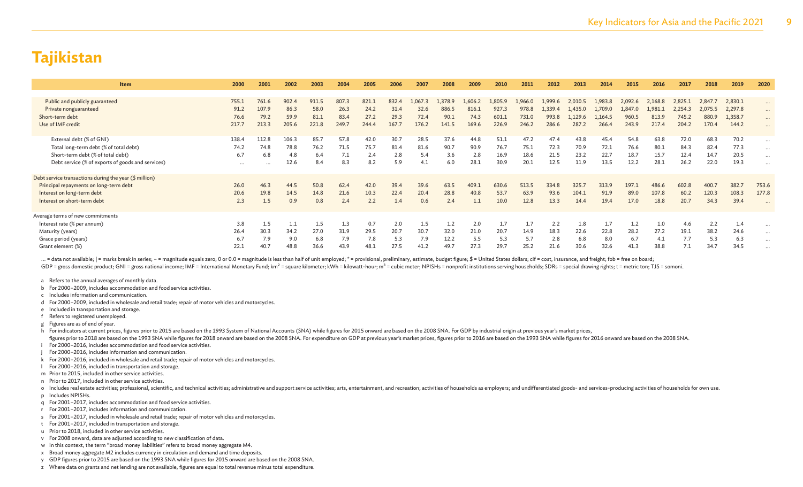| <b>Item</b>                                            | 2000     | 2001     | 2002  | 2003  | 2004  | 2005  | 2006  | 2007    | 2008    | 2009    | 2010    | 2011    | 2012    | 2013    | 2014    | 2015    | 2016    | 2017    | 2018    | 2019    | 2020                 |
|--------------------------------------------------------|----------|----------|-------|-------|-------|-------|-------|---------|---------|---------|---------|---------|---------|---------|---------|---------|---------|---------|---------|---------|----------------------|
|                                                        |          |          |       |       |       |       |       |         |         |         |         |         |         |         |         |         |         |         |         |         |                      |
| Public and publicly guaranteed                         | 755.1    | 761.6    | 902.4 | 911.5 | 807.3 | 821.1 | 832.4 | 1,067.3 | 1,378.9 | 1,606.2 | 1,805.9 | 1,966.0 | 1,999.6 | 2,010.5 | 1,983.8 | 2,092.6 | 2,168.8 | 2,825.1 | 2,847.7 | 2,830.1 | $\cdots$             |
| Private nonguaranteed                                  | 91.2     | 107.9    | 86.3  | 58.0  | 26.3  | 24.2  | 31.4  | 32.6    | 886.5   | 816.1   | 927.3   | 978.8   | 1,339.4 | 1,435.0 | 1,709.0 | 1,847.0 | 1,981.1 | 2,254.3 | 2,075.5 | 2,297.8 | $\cdots$             |
| Short-term debt                                        | 76.6     | 79.2     | 59.9  | 81.1  | 83.4  | 27.2  | 29.3  | 72.4    | 90.1    | 74.3    | 601.1   | 731.0   | 993.8   | 1,129.6 | 1,164.5 | 960.5   | 813.9   | 745.2   | 880.9   | 1,358.7 | $\cdots$             |
| Use of IMF credit                                      | 217.7    | 213.3    | 205.6 | 221.8 | 249.7 | 244.4 | 167.7 | 176.2   | 141.5   | 169.6   | 226.9   | 246.2   | 286.6   | 287.2   | 266.4   | 243.9   | 217.4   | 204.2   | 170.4   | 144.2   |                      |
|                                                        |          |          |       |       |       |       |       |         |         |         |         |         |         |         |         |         |         |         |         |         |                      |
| External debt (% of GNI)                               | 138.4    | 112.8    | 106.3 | 85.7  | 57.8  | 42.0  | 30.7  | 28.5    | 37.6    | 44.8    | 51.1    | 47.2    | 47.4    | 43.8    | 45.4    | 54.8    | 63.8    | 72.0    | 68.3    | 70.2    | $\cdots$             |
| Total long-term debt (% of total debt)                 | 74.2     | 74.8     | 78.8  | 76.2  | 71.5  | 75.7  | 81.4  | 81.6    | 90.7    | 90.9    | 76.7    | 75.1    | 72.3    | 70.9    | 72.1    | 76.6    | 80.1    | 84.3    | 82.4    | 77.3    | $\cdots$             |
| Short-term debt (% of total debt)                      | 6.7      | 6.8      | 4.8   | 6.4   | 7.1   | 2.4   | 2.8   | 5.4     | 3.6     | 2.8     | 16.9    | 18.6    | 21.5    | 23.2    | 22.7    | 18.7    | 15.7    | 12.4    | 14.7    | 20.5    | $\cdots$             |
| Debt service (% of exports of goods and services)      | $\cdots$ | $\cdots$ | 12.6  | 8.4   | 8.3   | 8.2   | 5.9   | 4.1     | 6.0     | 28.1    | 30.9    | 20.1    | 12.5    | 11.9    | 13.5    | 12.2    | 28.1    | 26.2    | 22.0    | 19.3    | $\cdots$             |
|                                                        |          |          |       |       |       |       |       |         |         |         |         |         |         |         |         |         |         |         |         |         |                      |
| Debt service transactions during the year (\$ million) |          |          |       |       |       |       |       |         |         |         |         |         |         |         |         |         |         |         |         |         |                      |
| Principal repayments on long-term debt                 | 26.0     | 46.3     | 44.5  | 50.8  | 62.4  | 42.0  | 39.4  | 39.6    | 63.5    | 409.1   | 630.6   | 513.5   | 334.8   | 325.7   | 313.9   | 197.1   | 486.6   | 602.8   | 400.7   | 382.7   | 753.6                |
| Interest on long-term debt                             | 20.6     | 19.8     | 14.5  | 14.8  | 21.6  | 10.3  | 22.4  | 20.4    | 28.8    | 40.8    | 53.7    | 63.9    | 93.6    | 104.1   | 91.9    | 89.0    | 107.8   | 60.2    | 120.3   | 108.3   | 177.8                |
| Interest on short-term debt                            | 2.3      | 1.5      | 0.9   | 0.8   | 2.4   | 2.2   | 1.4   | 0.6     | 2.4     |         | 10.0    | 12.8    | 13.3    | 14.4    | 19.4    | 17.0    | 18.8    | 20.7    | 34.3    | 39.4    | $\ddot{\phantom{0}}$ |
|                                                        |          |          |       |       |       |       |       |         |         |         |         |         |         |         |         |         |         |         |         |         |                      |
| Average terms of new commitments                       |          |          |       |       |       |       |       |         |         |         |         |         |         |         |         |         |         |         |         |         |                      |
| Interest rate (% per annum)                            | 3.8      | 1.5      |       | 1.5   | 1.3   | 0.7   | 2.0   | 1.5     | 1.2     | 2.0     | 1.7     | 1.7     | 2.2     | 1.8     | 1.7     | 1.2     | 1.0     | 4.6     | 2.2     | 1.4     | $\cdots$             |
| Maturity (years)                                       | 26.4     | 30.3     | 34.2  | 27.0  | 31.9  | 29.5  | 20.7  | 30.7    | 32.0    | 21.0    | 20.7    | 14.9    | 18.3    | 22.6    | 22.8    | 28.2    | 27.2    | 19.1    | 38.2    | 24.6    | $\cdots$             |
| Grace period (years)                                   | 6.7      | 7.9      | 9.0   | 6.8   | 7.9   | 7.8   | 5.3   | 7.9     | 12.2    | 5.5     | 5.3     | 5.7     | 2.8     | 6.8     | 8.0     | 6.7     | 4.1     | 7.7     | 5.3     | 6.3     | $\cdots$             |
| Grant element (%)                                      | 22.1     | 40.7     | 48.8  | 36.6  | 43.9  | 48.1  | 27.5  | 41.2    | 49.7    | 27.3    | 29.7    | 25.2    | 21.6    | 30.6    | 32.6    | 41.3    | 38.8    | 7.1     | 34.7    | 34.5    | $\cdots$             |
|                                                        |          |          |       |       |       |       |       |         |         |         |         |         |         |         |         |         |         |         |         |         |                      |

... = data not available; | = marks break in series; - = magnitude equals zero; 0 or 0.0 = magnitude is less than half of unit employed; \* = provisional, preliminary, estimate, budget figure; \$ = United States dollars; cif GDP = gross domestic product; GNI = gross national income; IMF = International Monetary Fund; km<sup>2</sup> = square kilometer; kWh = kilowatt-hour; m<sup>3</sup> = cubic meter; NPISHs = nonprofit institutions serving households; SDRs = sp

a Refers to the annual averages of monthly data.

b For 2000–2009, includes accommodation and food service activities.

c Includes information and communication.

d For 2000–2009, included in wholesale and retail trade; repair of motor vehicles and motorcycles.

e Included in transportation and storage.

f Refers to registered unemployed.

g Figures are as of end of year.

h For indicators at current prices, figures prior to 2015 are based on the 1993 System of National Accounts (SNA) while figures for 2015 onward are based on the 2008 SNA. For GDP by industrial origin at previous year's mar

figures prior to 2018 are based on the 1993 SNA while figures for 2018 onward are based on the 2008 SNA. For expenditure on GDP at previous year's market prices, figures frior to 2016 are based on the 1993 SNA while figure For 2000–2016, includes accommodation and food service activities.

For 2000–2016, includes information and communication.

k For 2000–2016, included in wholesale and retail trade; repair of motor vehicles and motorcycles.

l For 2000–2016, included in transportation and storage.

m Prior to 2015, included in other service activities.

n Prior to 2017, included in other service activities.

o Includes real estate activities; professional, scientific, and technical activities; administrative and support service activities; entertainment, and recreation; activities of households as employers; and undifferentiat p Includes NPISHs.

q For 2001–2017, includes accommodation and food service activities.

r For 2001–2017, includes information and communication.

s For 2001–2017, included in wholesale and retail trade; repair of motor vehicles and motorcycles.

t For 2001–2017, included in transportation and storage.

u Prior to 2018, included in other service activities.

v For 2008 onward, data are adjusted according to new classification of data.

w In this context, the term "broad money liabilities" refers to broad money aggregate M4.

- x Broad money aggregate M2 includes currency in circulation and demand and time deposits.
- y GDP figures prior to 2015 are based on the 1993 SNA while figures for 2015 onward are based on the 2008 SNA.

z Where data on grants and net lending are not available, figures are equal to total revenue minus total expenditure.